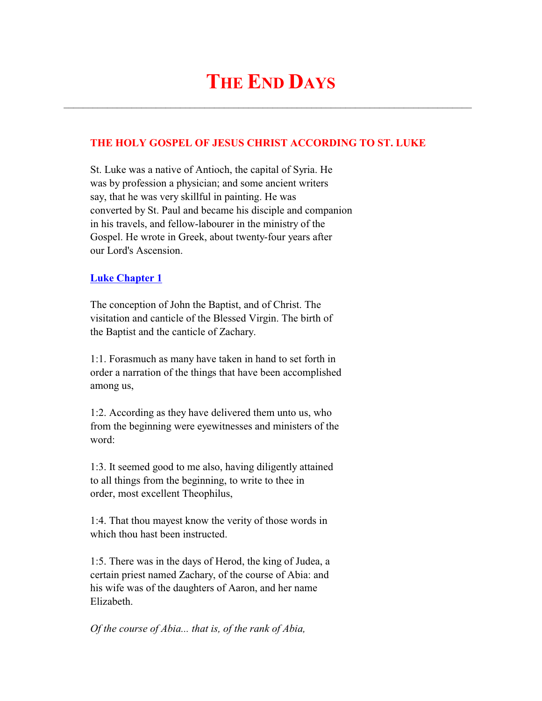# **THE END DAYS**

 $\mathcal{L}_\text{max}$  and  $\mathcal{L}_\text{max}$  and  $\mathcal{L}_\text{max}$  and  $\mathcal{L}_\text{max}$  and  $\mathcal{L}_\text{max}$  and  $\mathcal{L}_\text{max}$ 

# **THE HOLY GOSPEL OF JESUS CHRIST ACCORDING TO ST. LUKE**

 St. Luke was a native of Antioch, the capital of Syria. He was by profession a physician; and some ancient writers say, that he was very skillful in painting. He was converted by St. Paul and became his disciple and companion in his travels, and fellow-labourer in the ministry of the Gospel. He wrote in Greek, about twenty-four years after our Lord's Ascension.

## **Luke Chapter 1**

 The conception of John the Baptist, and of Christ. The visitation and canticle of the Blessed Virgin. The birth of the Baptist and the canticle of Zachary.

 1:1. Forasmuch as many have taken in hand to set forth in order a narration of the things that have been accomplished among us,

 1:2. According as they have delivered them unto us, who from the beginning were eyewitnesses and ministers of the word:

 1:3. It seemed good to me also, having diligently attained to all things from the beginning, to write to thee in order, most excellent Theophilus,

 1:4. That thou mayest know the verity of those words in which thou hast been instructed.

 1:5. There was in the days of Herod, the king of Judea, a certain priest named Zachary, of the course of Abia: and his wife was of the daughters of Aaron, and her name Elizabeth.

*Of the course of Abia... that is, of the rank of Abia,*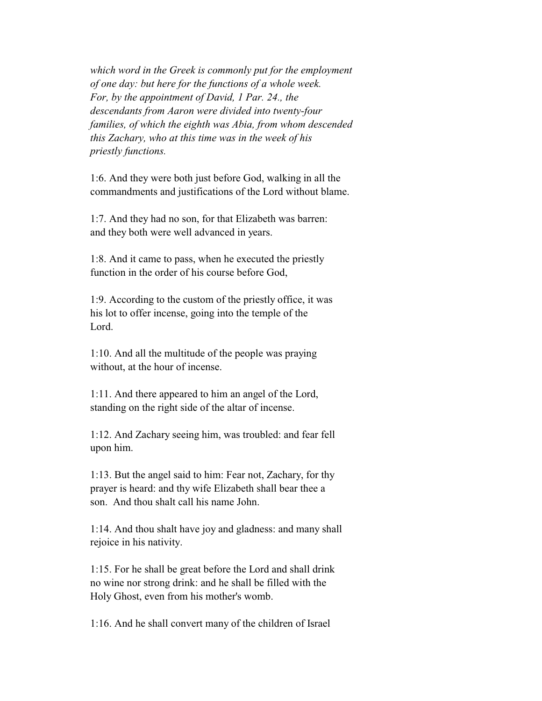*which word in the Greek is commonly put for the employment of one day: but here for the functions of a whole week. For, by the appointment of David, 1 Par. 24., the descendants from Aaron were divided into twenty-four families, of which the eighth was Abia, from whom descended this Zachary, who at this time was in the week of his priestly functions.*

 1:6. And they were both just before God, walking in all the commandments and justifications of the Lord without blame.

 1:7. And they had no son, for that Elizabeth was barren: and they both were well advanced in years.

 1:8. And it came to pass, when he executed the priestly function in the order of his course before God,

 1:9. According to the custom of the priestly office, it was his lot to offer incense, going into the temple of the Lord.

 1:10. And all the multitude of the people was praying without, at the hour of incense.

 1:11. And there appeared to him an angel of the Lord, standing on the right side of the altar of incense.

 1:12. And Zachary seeing him, was troubled: and fear fell upon him.

 1:13. But the angel said to him: Fear not, Zachary, for thy prayer is heard: and thy wife Elizabeth shall bear thee a son. And thou shalt call his name John.

 1:14. And thou shalt have joy and gladness: and many shall rejoice in his nativity.

 1:15. For he shall be great before the Lord and shall drink no wine nor strong drink: and he shall be filled with the Holy Ghost, even from his mother's womb.

1:16. And he shall convert many of the children of Israel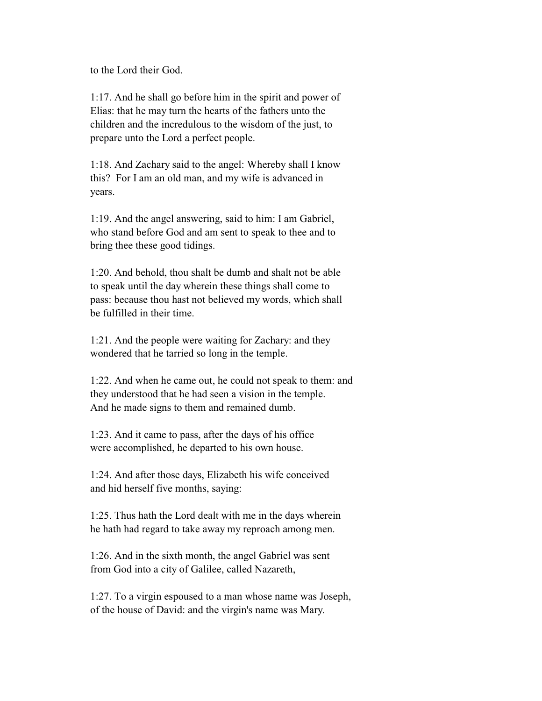to the Lord their God.

 1:17. And he shall go before him in the spirit and power of Elias: that he may turn the hearts of the fathers unto the children and the incredulous to the wisdom of the just, to prepare unto the Lord a perfect people.

 1:18. And Zachary said to the angel: Whereby shall I know this? For I am an old man, and my wife is advanced in years.

 1:19. And the angel answering, said to him: I am Gabriel, who stand before God and am sent to speak to thee and to bring thee these good tidings.

 1:20. And behold, thou shalt be dumb and shalt not be able to speak until the day wherein these things shall come to pass: because thou hast not believed my words, which shall be fulfilled in their time.

 1:21. And the people were waiting for Zachary: and they wondered that he tarried so long in the temple.

 1:22. And when he came out, he could not speak to them: and they understood that he had seen a vision in the temple. And he made signs to them and remained dumb.

 1:23. And it came to pass, after the days of his office were accomplished, he departed to his own house.

 1:24. And after those days, Elizabeth his wife conceived and hid herself five months, saying:

 1:25. Thus hath the Lord dealt with me in the days wherein he hath had regard to take away my reproach among men.

 1:26. And in the sixth month, the angel Gabriel was sent from God into a city of Galilee, called Nazareth,

 1:27. To a virgin espoused to a man whose name was Joseph, of the house of David: and the virgin's name was Mary.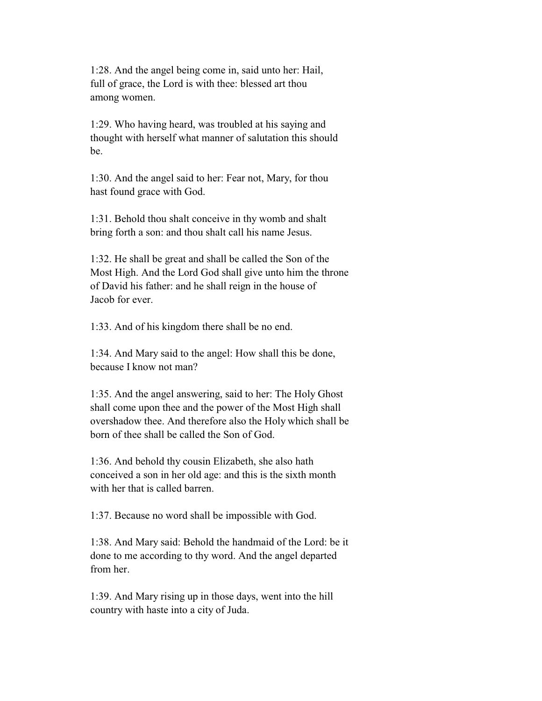1:28. And the angel being come in, said unto her: Hail, full of grace, the Lord is with thee: blessed art thou among women.

 1:29. Who having heard, was troubled at his saying and thought with herself what manner of salutation this should be.

 1:30. And the angel said to her: Fear not, Mary, for thou hast found grace with God.

 1:31. Behold thou shalt conceive in thy womb and shalt bring forth a son: and thou shalt call his name Jesus.

 1:32. He shall be great and shall be called the Son of the Most High. And the Lord God shall give unto him the throne of David his father: and he shall reign in the house of Jacob for ever.

1:33. And of his kingdom there shall be no end.

 1:34. And Mary said to the angel: How shall this be done, because I know not man?

 1:35. And the angel answering, said to her: The Holy Ghost shall come upon thee and the power of the Most High shall overshadow thee. And therefore also the Holy which shall be born of thee shall be called the Son of God.

 1:36. And behold thy cousin Elizabeth, she also hath conceived a son in her old age: and this is the sixth month with her that is called barren.

1:37. Because no word shall be impossible with God.

 1:38. And Mary said: Behold the handmaid of the Lord: be it done to me according to thy word. And the angel departed from her.

 1:39. And Mary rising up in those days, went into the hill country with haste into a city of Juda.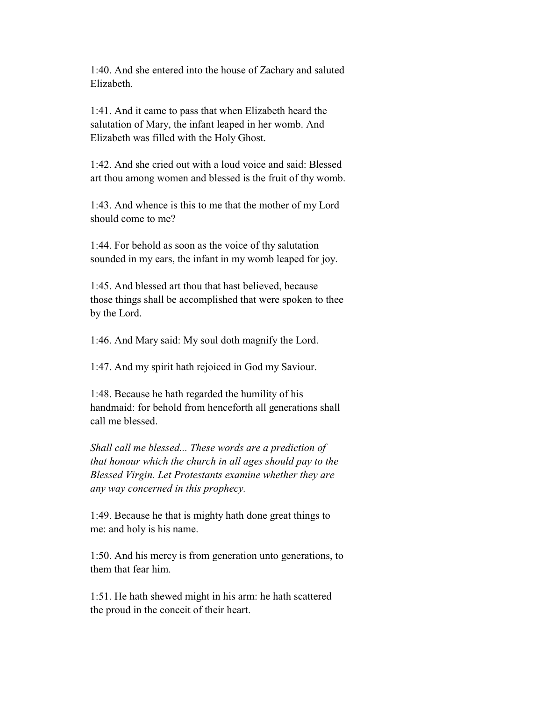1:40. And she entered into the house of Zachary and saluted Elizabeth.

 1:41. And it came to pass that when Elizabeth heard the salutation of Mary, the infant leaped in her womb. And Elizabeth was filled with the Holy Ghost.

 1:42. And she cried out with a loud voice and said: Blessed art thou among women and blessed is the fruit of thy womb.

 1:43. And whence is this to me that the mother of my Lord should come to me?

 1:44. For behold as soon as the voice of thy salutation sounded in my ears, the infant in my womb leaped for joy.

 1:45. And blessed art thou that hast believed, because those things shall be accomplished that were spoken to thee by the Lord.

1:46. And Mary said: My soul doth magnify the Lord.

1:47. And my spirit hath rejoiced in God my Saviour.

 1:48. Because he hath regarded the humility of his handmaid: for behold from henceforth all generations shall call me blessed.

 *Shall call me blessed... These words are a prediction of that honour which the church in all ages should pay to the Blessed Virgin. Let Protestants examine whether they are any way concerned in this prophecy.*

 1:49. Because he that is mighty hath done great things to me: and holy is his name.

 1:50. And his mercy is from generation unto generations, to them that fear him.

 1:51. He hath shewed might in his arm: he hath scattered the proud in the conceit of their heart.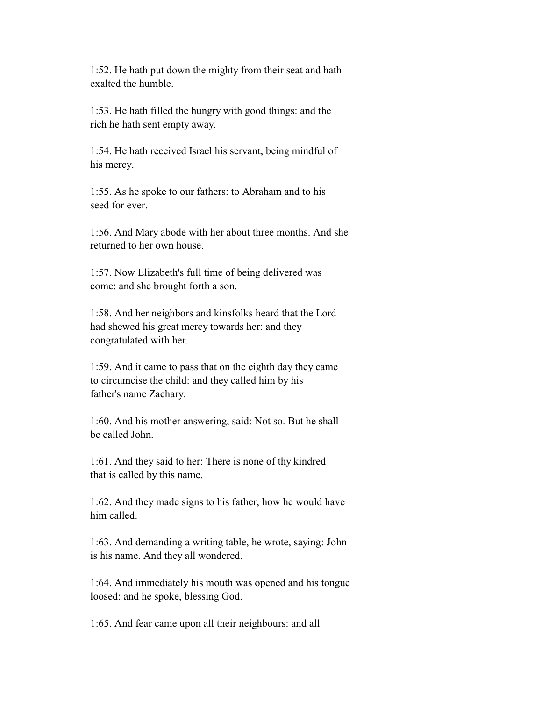1:52. He hath put down the mighty from their seat and hath exalted the humble.

 1:53. He hath filled the hungry with good things: and the rich he hath sent empty away.

 1:54. He hath received Israel his servant, being mindful of his mercy.

 1:55. As he spoke to our fathers: to Abraham and to his seed for ever.

 1:56. And Mary abode with her about three months. And she returned to her own house.

 1:57. Now Elizabeth's full time of being delivered was come: and she brought forth a son.

 1:58. And her neighbors and kinsfolks heard that the Lord had shewed his great mercy towards her: and they congratulated with her.

 1:59. And it came to pass that on the eighth day they came to circumcise the child: and they called him by his father's name Zachary.

 1:60. And his mother answering, said: Not so. But he shall be called John.

 1:61. And they said to her: There is none of thy kindred that is called by this name.

 1:62. And they made signs to his father, how he would have him called.

 1:63. And demanding a writing table, he wrote, saying: John is his name. And they all wondered.

 1:64. And immediately his mouth was opened and his tongue loosed: and he spoke, blessing God.

1:65. And fear came upon all their neighbours: and all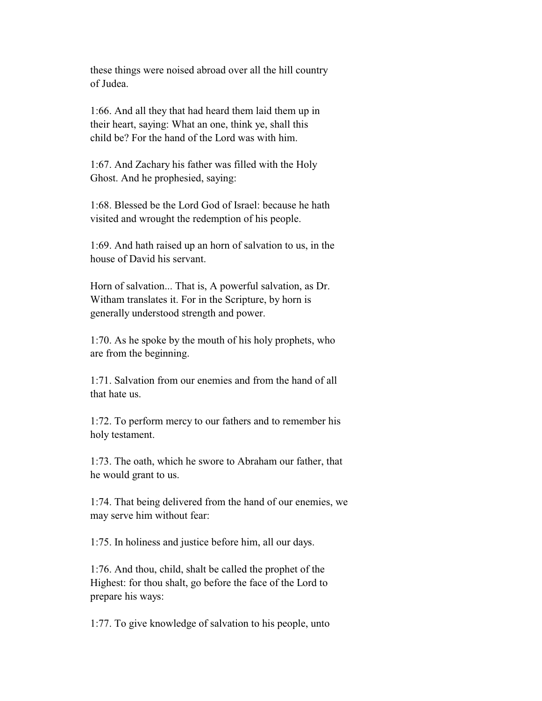these things were noised abroad over all the hill country of Judea.

 1:66. And all they that had heard them laid them up in their heart, saying: What an one, think ye, shall this child be? For the hand of the Lord was with him.

 1:67. And Zachary his father was filled with the Holy Ghost. And he prophesied, saying:

 1:68. Blessed be the Lord God of Israel: because he hath visited and wrought the redemption of his people.

 1:69. And hath raised up an horn of salvation to us, in the house of David his servant.

 Horn of salvation... That is, A powerful salvation, as Dr. Witham translates it. For in the Scripture, by horn is generally understood strength and power.

 1:70. As he spoke by the mouth of his holy prophets, who are from the beginning.

 1:71. Salvation from our enemies and from the hand of all that hate us.

 1:72. To perform mercy to our fathers and to remember his holy testament.

 1:73. The oath, which he swore to Abraham our father, that he would grant to us.

 1:74. That being delivered from the hand of our enemies, we may serve him without fear:

1:75. In holiness and justice before him, all our days.

 1:76. And thou, child, shalt be called the prophet of the Highest: for thou shalt, go before the face of the Lord to prepare his ways:

1:77. To give knowledge of salvation to his people, unto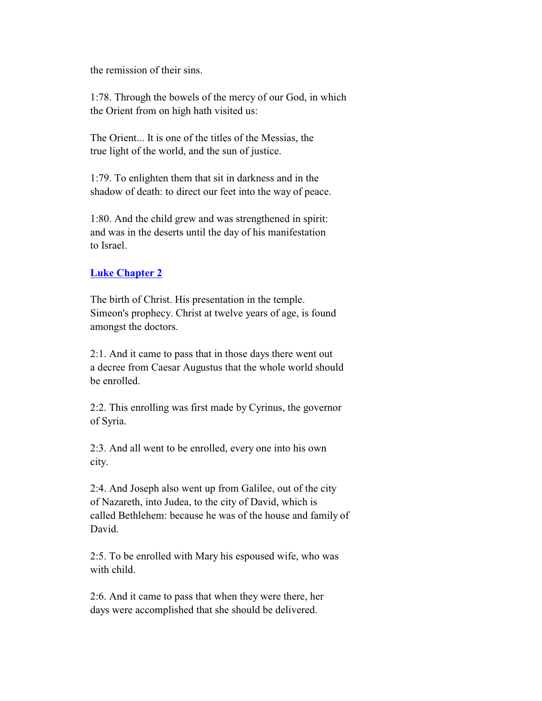the remission of their sins.

 1:78. Through the bowels of the mercy of our God, in which the Orient from on high hath visited us:

 The Orient... It is one of the titles of the Messias, the true light of the world, and the sun of justice.

 1:79. To enlighten them that sit in darkness and in the shadow of death: to direct our feet into the way of peace.

 1:80. And the child grew and was strengthened in spirit: and was in the deserts until the day of his manifestation to Israel.

# **Luke Chapter 2**

 The birth of Christ. His presentation in the temple. Simeon's prophecy. Christ at twelve years of age, is found amongst the doctors.

 2:1. And it came to pass that in those days there went out a decree from Caesar Augustus that the whole world should be enrolled.

 2:2. This enrolling was first made by Cyrinus, the governor of Syria.

 2:3. And all went to be enrolled, every one into his own city.

 2:4. And Joseph also went up from Galilee, out of the city of Nazareth, into Judea, to the city of David, which is called Bethlehem: because he was of the house and family of David.

 2:5. To be enrolled with Mary his espoused wife, who was with child.

 2:6. And it came to pass that when they were there, her days were accomplished that she should be delivered.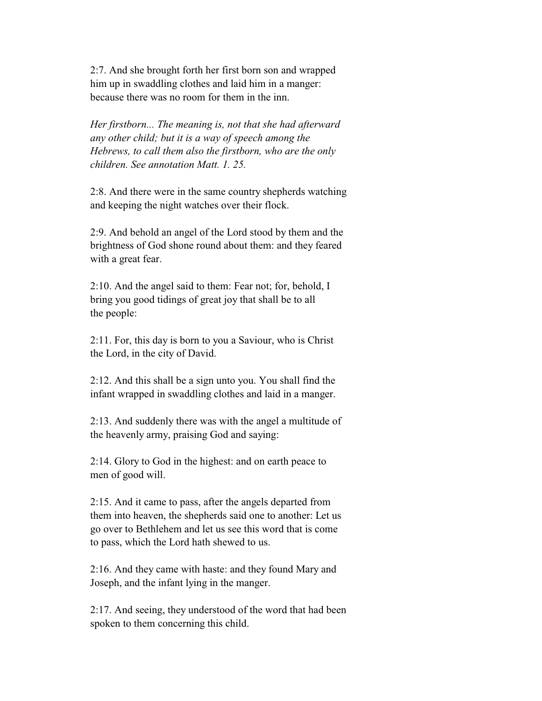2:7. And she brought forth her first born son and wrapped him up in swaddling clothes and laid him in a manger: because there was no room for them in the inn.

 *Her firstborn... The meaning is, not that she had afterward any other child; but it is a way of speech among the Hebrews, to call them also the firstborn, who are the only children. See annotation Matt. 1. 25.*

 2:8. And there were in the same country shepherds watching and keeping the night watches over their flock.

 2:9. And behold an angel of the Lord stood by them and the brightness of God shone round about them: and they feared with a great fear.

 2:10. And the angel said to them: Fear not; for, behold, I bring you good tidings of great joy that shall be to all the people:

 2:11. For, this day is born to you a Saviour, who is Christ the Lord, in the city of David.

 2:12. And this shall be a sign unto you. You shall find the infant wrapped in swaddling clothes and laid in a manger.

 2:13. And suddenly there was with the angel a multitude of the heavenly army, praising God and saying:

 2:14. Glory to God in the highest: and on earth peace to men of good will.

 2:15. And it came to pass, after the angels departed from them into heaven, the shepherds said one to another: Let us go over to Bethlehem and let us see this word that is come to pass, which the Lord hath shewed to us.

 2:16. And they came with haste: and they found Mary and Joseph, and the infant lying in the manger.

 2:17. And seeing, they understood of the word that had been spoken to them concerning this child.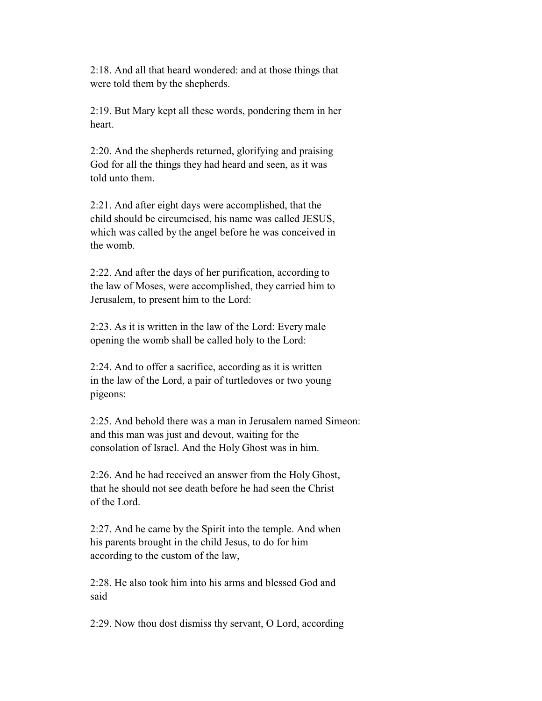2:18. And all that heard wondered: and at those things that were told them by the shepherds.

 2:19. But Mary kept all these words, pondering them in her heart.

 2:20. And the shepherds returned, glorifying and praising God for all the things they had heard and seen, as it was told unto them.

 2:21. And after eight days were accomplished, that the child should be circumcised, his name was called JESUS, which was called by the angel before he was conceived in the womb.

 2:22. And after the days of her purification, according to the law of Moses, were accomplished, they carried him to Jerusalem, to present him to the Lord:

 2:23. As it is written in the law of the Lord: Every male opening the womb shall be called holy to the Lord:

 2:24. And to offer a sacrifice, according as it is written in the law of the Lord, a pair of turtledoves or two young pigeons:

 2:25. And behold there was a man in Jerusalem named Simeon: and this man was just and devout, waiting for the consolation of Israel. And the Holy Ghost was in him.

 2:26. And he had received an answer from the Holy Ghost, that he should not see death before he had seen the Christ of the Lord.

 2:27. And he came by the Spirit into the temple. And when his parents brought in the child Jesus, to do for him according to the custom of the law,

 2:28. He also took him into his arms and blessed God and said

2:29. Now thou dost dismiss thy servant, O Lord, according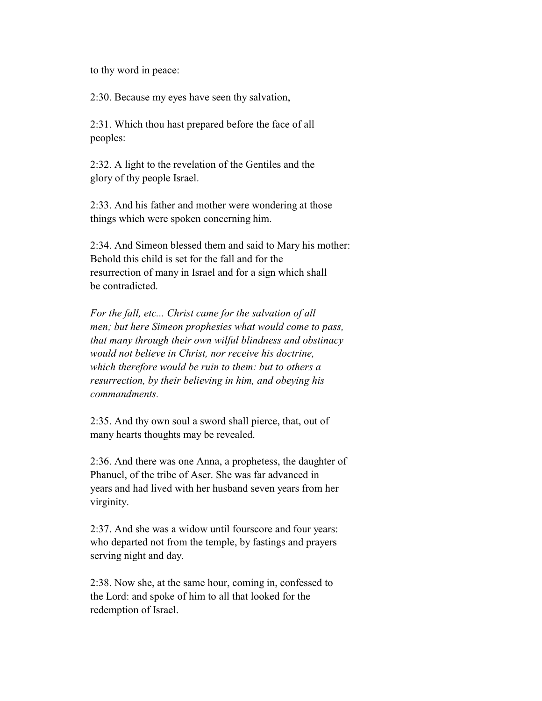to thy word in peace:

2:30. Because my eyes have seen thy salvation,

 2:31. Which thou hast prepared before the face of all peoples:

 2:32. A light to the revelation of the Gentiles and the glory of thy people Israel.

 2:33. And his father and mother were wondering at those things which were spoken concerning him.

 2:34. And Simeon blessed them and said to Mary his mother: Behold this child is set for the fall and for the resurrection of many in Israel and for a sign which shall be contradicted.

 *For the fall, etc... Christ came for the salvation of all men; but here Simeon prophesies what would come to pass, that many through their own wilful blindness and obstinacy would not believe in Christ, nor receive his doctrine, which therefore would be ruin to them: but to others a resurrection, by their believing in him, and obeying his commandments.*

 2:35. And thy own soul a sword shall pierce, that, out of many hearts thoughts may be revealed.

 2:36. And there was one Anna, a prophetess, the daughter of Phanuel, of the tribe of Aser. She was far advanced in years and had lived with her husband seven years from her virginity.

 2:37. And she was a widow until fourscore and four years: who departed not from the temple, by fastings and prayers serving night and day.

 2:38. Now she, at the same hour, coming in, confessed to the Lord: and spoke of him to all that looked for the redemption of Israel.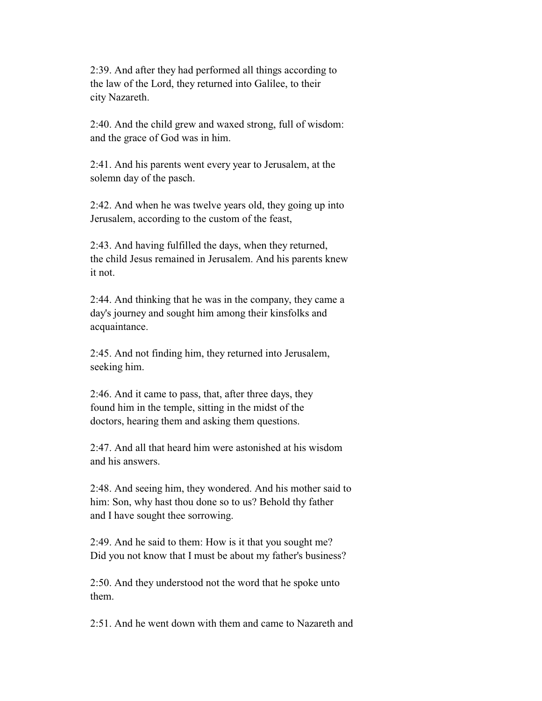2:39. And after they had performed all things according to the law of the Lord, they returned into Galilee, to their city Nazareth.

 2:40. And the child grew and waxed strong, full of wisdom: and the grace of God was in him.

 2:41. And his parents went every year to Jerusalem, at the solemn day of the pasch.

 2:42. And when he was twelve years old, they going up into Jerusalem, according to the custom of the feast,

 2:43. And having fulfilled the days, when they returned, the child Jesus remained in Jerusalem. And his parents knew it not.

 2:44. And thinking that he was in the company, they came a day's journey and sought him among their kinsfolks and acquaintance.

 2:45. And not finding him, they returned into Jerusalem, seeking him.

 2:46. And it came to pass, that, after three days, they found him in the temple, sitting in the midst of the doctors, hearing them and asking them questions.

 2:47. And all that heard him were astonished at his wisdom and his answers.

 2:48. And seeing him, they wondered. And his mother said to him: Son, why hast thou done so to us? Behold thy father and I have sought thee sorrowing.

 2:49. And he said to them: How is it that you sought me? Did you not know that I must be about my father's business?

 2:50. And they understood not the word that he spoke unto them.

2:51. And he went down with them and came to Nazareth and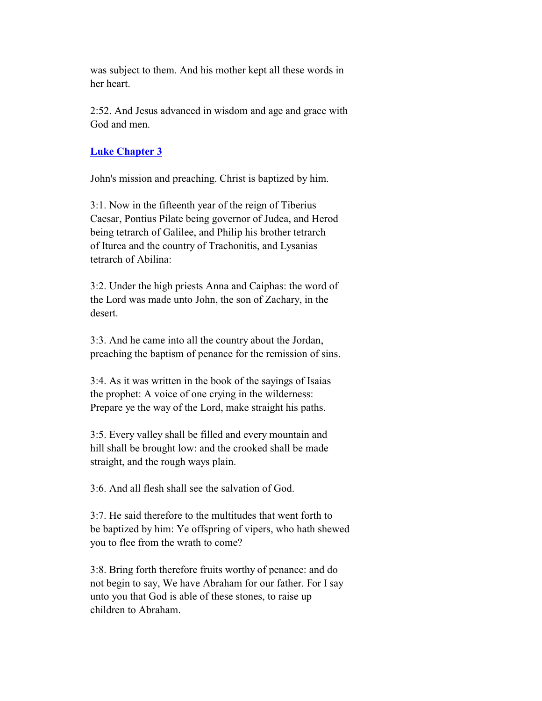was subject to them. And his mother kept all these words in her heart.

 2:52. And Jesus advanced in wisdom and age and grace with God and men.

# **Luke Chapter 3**

John's mission and preaching. Christ is baptized by him.

 3:1. Now in the fifteenth year of the reign of Tiberius Caesar, Pontius Pilate being governor of Judea, and Herod being tetrarch of Galilee, and Philip his brother tetrarch of Iturea and the country of Trachonitis, and Lysanias tetrarch of Abilina:

 3:2. Under the high priests Anna and Caiphas: the word of the Lord was made unto John, the son of Zachary, in the desert.

 3:3. And he came into all the country about the Jordan, preaching the baptism of penance for the remission of sins.

 3:4. As it was written in the book of the sayings of Isaias the prophet: A voice of one crying in the wilderness: Prepare ye the way of the Lord, make straight his paths.

 3:5. Every valley shall be filled and every mountain and hill shall be brought low: and the crooked shall be made straight, and the rough ways plain.

3:6. And all flesh shall see the salvation of God.

 3:7. He said therefore to the multitudes that went forth to be baptized by him: Ye offspring of vipers, who hath shewed you to flee from the wrath to come?

 3:8. Bring forth therefore fruits worthy of penance: and do not begin to say, We have Abraham for our father. For I say unto you that God is able of these stones, to raise up children to Abraham.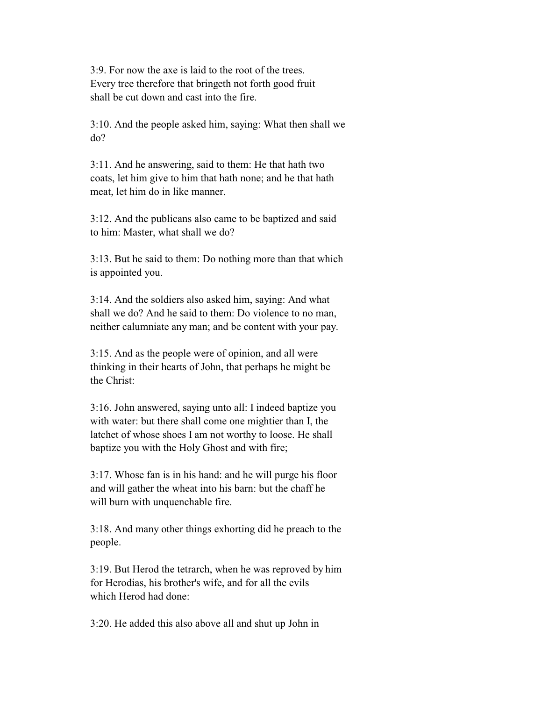3:9. For now the axe is laid to the root of the trees. Every tree therefore that bringeth not forth good fruit shall be cut down and cast into the fire.

 3:10. And the people asked him, saying: What then shall we do?

 3:11. And he answering, said to them: He that hath two coats, let him give to him that hath none; and he that hath meat, let him do in like manner.

 3:12. And the publicans also came to be baptized and said to him: Master, what shall we do?

 3:13. But he said to them: Do nothing more than that which is appointed you.

 3:14. And the soldiers also asked him, saying: And what shall we do? And he said to them: Do violence to no man, neither calumniate any man; and be content with your pay.

 3:15. And as the people were of opinion, and all were thinking in their hearts of John, that perhaps he might be the Christ:

 3:16. John answered, saying unto all: I indeed baptize you with water: but there shall come one mightier than I, the latchet of whose shoes I am not worthy to loose. He shall baptize you with the Holy Ghost and with fire;

 3:17. Whose fan is in his hand: and he will purge his floor and will gather the wheat into his barn: but the chaff he will burn with unquenchable fire.

 3:18. And many other things exhorting did he preach to the people.

 3:19. But Herod the tetrarch, when he was reproved by him for Herodias, his brother's wife, and for all the evils which Herod had done:

3:20. He added this also above all and shut up John in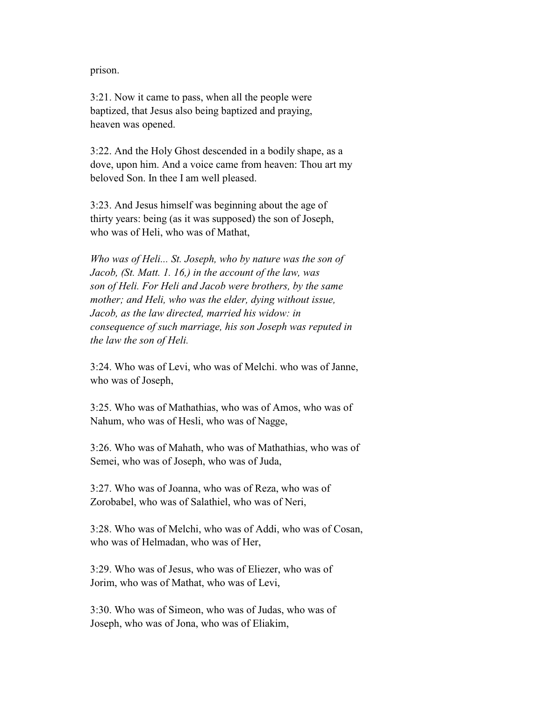prison.

 3:21. Now it came to pass, when all the people were baptized, that Jesus also being baptized and praying, heaven was opened.

 3:22. And the Holy Ghost descended in a bodily shape, as a dove, upon him. And a voice came from heaven: Thou art my beloved Son. In thee I am well pleased.

 3:23. And Jesus himself was beginning about the age of thirty years: being (as it was supposed) the son of Joseph, who was of Heli, who was of Mathat,

 *Who was of Heli... St. Joseph, who by nature was the son of Jacob, (St. Matt. 1. 16,) in the account of the law, was son of Heli. For Heli and Jacob were brothers, by the same mother; and Heli, who was the elder, dying without issue, Jacob, as the law directed, married his widow: in consequence of such marriage, his son Joseph was reputed in the law the son of Heli.*

 3:24. Who was of Levi, who was of Melchi. who was of Janne, who was of Joseph,

 3:25. Who was of Mathathias, who was of Amos, who was of Nahum, who was of Hesli, who was of Nagge,

 3:26. Who was of Mahath, who was of Mathathias, who was of Semei, who was of Joseph, who was of Juda,

 3:27. Who was of Joanna, who was of Reza, who was of Zorobabel, who was of Salathiel, who was of Neri,

 3:28. Who was of Melchi, who was of Addi, who was of Cosan, who was of Helmadan, who was of Her,

 3:29. Who was of Jesus, who was of Eliezer, who was of Jorim, who was of Mathat, who was of Levi,

 3:30. Who was of Simeon, who was of Judas, who was of Joseph, who was of Jona, who was of Eliakim,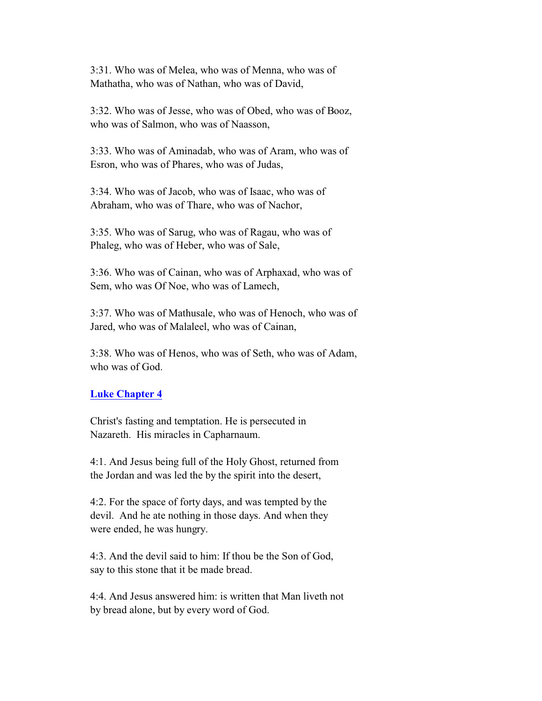3:31. Who was of Melea, who was of Menna, who was of Mathatha, who was of Nathan, who was of David,

 3:32. Who was of Jesse, who was of Obed, who was of Booz, who was of Salmon, who was of Naasson,

 3:33. Who was of Aminadab, who was of Aram, who was of Esron, who was of Phares, who was of Judas,

 3:34. Who was of Jacob, who was of Isaac, who was of Abraham, who was of Thare, who was of Nachor,

 3:35. Who was of Sarug, who was of Ragau, who was of Phaleg, who was of Heber, who was of Sale,

 3:36. Who was of Cainan, who was of Arphaxad, who was of Sem, who was Of Noe, who was of Lamech,

 3:37. Who was of Mathusale, who was of Henoch, who was of Jared, who was of Malaleel, who was of Cainan,

 3:38. Who was of Henos, who was of Seth, who was of Adam, who was of God.

# **Luke Chapter 4**

 Christ's fasting and temptation. He is persecuted in Nazareth. His miracles in Capharnaum.

 4:1. And Jesus being full of the Holy Ghost, returned from the Jordan and was led the by the spirit into the desert,

 4:2. For the space of forty days, and was tempted by the devil. And he ate nothing in those days. And when they were ended, he was hungry.

 4:3. And the devil said to him: If thou be the Son of God, say to this stone that it be made bread.

 4:4. And Jesus answered him: is written that Man liveth not by bread alone, but by every word of God.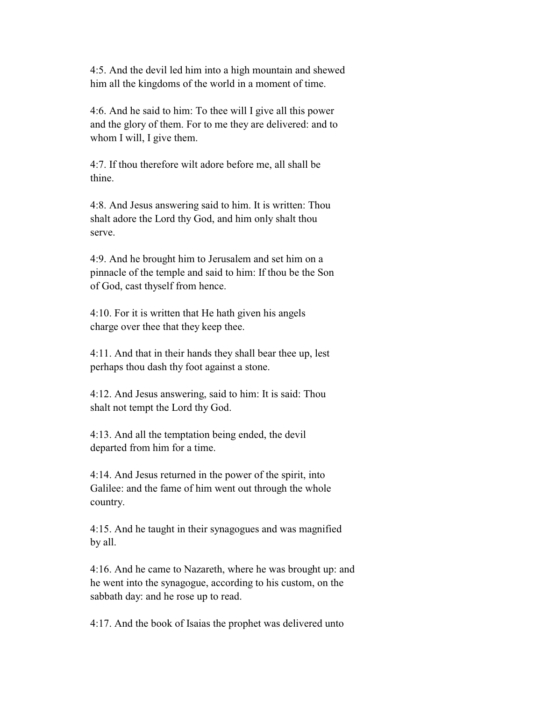4:5. And the devil led him into a high mountain and shewed him all the kingdoms of the world in a moment of time.

 4:6. And he said to him: To thee will I give all this power and the glory of them. For to me they are delivered: and to whom I will, I give them.

 4:7. If thou therefore wilt adore before me, all shall be thine.

 4:8. And Jesus answering said to him. It is written: Thou shalt adore the Lord thy God, and him only shalt thou serve.

 4:9. And he brought him to Jerusalem and set him on a pinnacle of the temple and said to him: If thou be the Son of God, cast thyself from hence.

 4:10. For it is written that He hath given his angels charge over thee that they keep thee.

 4:11. And that in their hands they shall bear thee up, lest perhaps thou dash thy foot against a stone.

 4:12. And Jesus answering, said to him: It is said: Thou shalt not tempt the Lord thy God.

 4:13. And all the temptation being ended, the devil departed from him for a time.

 4:14. And Jesus returned in the power of the spirit, into Galilee: and the fame of him went out through the whole country.

 4:15. And he taught in their synagogues and was magnified by all.

 4:16. And he came to Nazareth, where he was brought up: and he went into the synagogue, according to his custom, on the sabbath day: and he rose up to read.

4:17. And the book of Isaias the prophet was delivered unto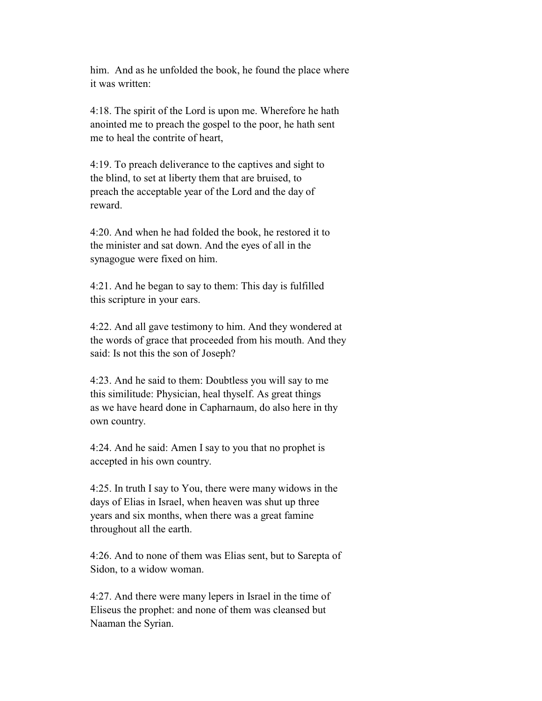him. And as he unfolded the book, he found the place where it was written:

 4:18. The spirit of the Lord is upon me. Wherefore he hath anointed me to preach the gospel to the poor, he hath sent me to heal the contrite of heart,

 4:19. To preach deliverance to the captives and sight to the blind, to set at liberty them that are bruised, to preach the acceptable year of the Lord and the day of reward.

 4:20. And when he had folded the book, he restored it to the minister and sat down. And the eyes of all in the synagogue were fixed on him.

 4:21. And he began to say to them: This day is fulfilled this scripture in your ears.

 4:22. And all gave testimony to him. And they wondered at the words of grace that proceeded from his mouth. And they said: Is not this the son of Joseph?

 4:23. And he said to them: Doubtless you will say to me this similitude: Physician, heal thyself. As great things as we have heard done in Capharnaum, do also here in thy own country.

 4:24. And he said: Amen I say to you that no prophet is accepted in his own country.

 4:25. In truth I say to You, there were many widows in the days of Elias in Israel, when heaven was shut up three years and six months, when there was a great famine throughout all the earth.

 4:26. And to none of them was Elias sent, but to Sarepta of Sidon, to a widow woman.

 4:27. And there were many lepers in Israel in the time of Eliseus the prophet: and none of them was cleansed but Naaman the Syrian.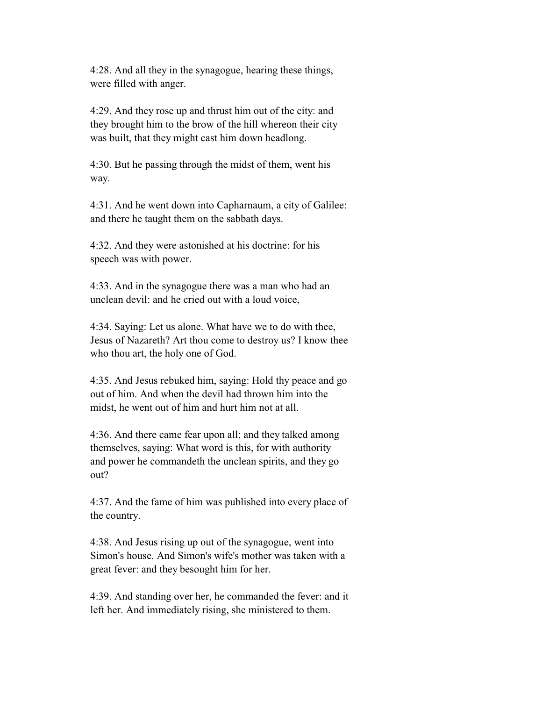4:28. And all they in the synagogue, hearing these things, were filled with anger.

 4:29. And they rose up and thrust him out of the city: and they brought him to the brow of the hill whereon their city was built, that they might cast him down headlong.

 4:30. But he passing through the midst of them, went his way.

 4:31. And he went down into Capharnaum, a city of Galilee: and there he taught them on the sabbath days.

 4:32. And they were astonished at his doctrine: for his speech was with power.

 4:33. And in the synagogue there was a man who had an unclean devil: and he cried out with a loud voice,

 4:34. Saying: Let us alone. What have we to do with thee, Jesus of Nazareth? Art thou come to destroy us? I know thee who thou art, the holy one of God.

 4:35. And Jesus rebuked him, saying: Hold thy peace and go out of him. And when the devil had thrown him into the midst, he went out of him and hurt him not at all.

 4:36. And there came fear upon all; and they talked among themselves, saying: What word is this, for with authority and power he commandeth the unclean spirits, and they go out?

 4:37. And the fame of him was published into every place of the country.

 4:38. And Jesus rising up out of the synagogue, went into Simon's house. And Simon's wife's mother was taken with a great fever: and they besought him for her.

 4:39. And standing over her, he commanded the fever: and it left her. And immediately rising, she ministered to them.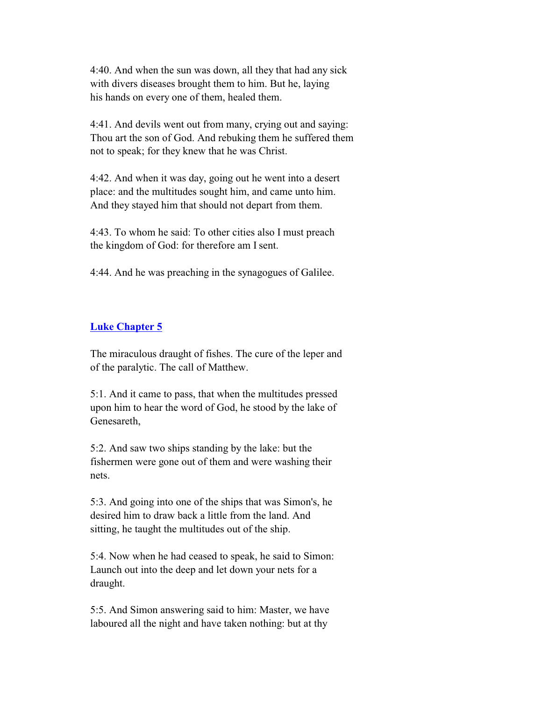4:40. And when the sun was down, all they that had any sick with divers diseases brought them to him. But he, laying his hands on every one of them, healed them.

 4:41. And devils went out from many, crying out and saying: Thou art the son of God. And rebuking them he suffered them not to speak; for they knew that he was Christ.

 4:42. And when it was day, going out he went into a desert place: and the multitudes sought him, and came unto him. And they stayed him that should not depart from them.

 4:43. To whom he said: To other cities also I must preach the kingdom of God: for therefore am I sent.

4:44. And he was preaching in the synagogues of Galilee.

# **Luke Chapter 5**

 The miraculous draught of fishes. The cure of the leper and of the paralytic. The call of Matthew.

 5:1. And it came to pass, that when the multitudes pressed upon him to hear the word of God, he stood by the lake of Genesareth,

 5:2. And saw two ships standing by the lake: but the fishermen were gone out of them and were washing their nets.

 5:3. And going into one of the ships that was Simon's, he desired him to draw back a little from the land. And sitting, he taught the multitudes out of the ship.

 5:4. Now when he had ceased to speak, he said to Simon: Launch out into the deep and let down your nets for a draught.

 5:5. And Simon answering said to him: Master, we have laboured all the night and have taken nothing: but at thy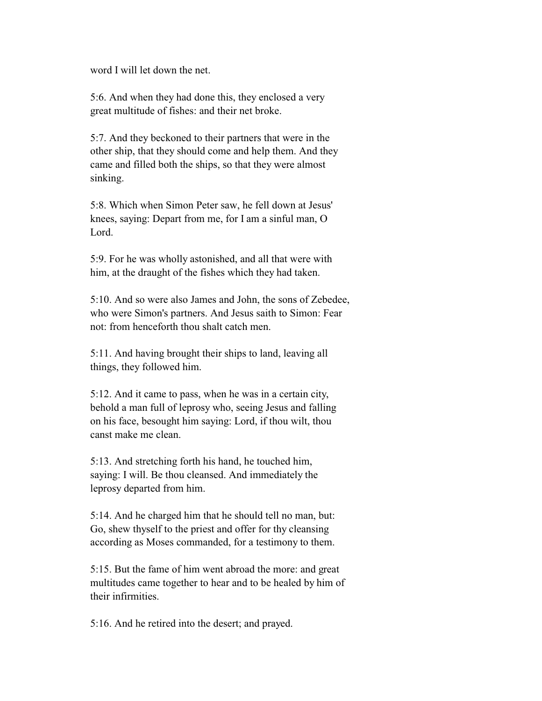word I will let down the net.

 5:6. And when they had done this, they enclosed a very great multitude of fishes: and their net broke.

 5:7. And they beckoned to their partners that were in the other ship, that they should come and help them. And they came and filled both the ships, so that they were almost sinking.

 5:8. Which when Simon Peter saw, he fell down at Jesus' knees, saying: Depart from me, for I am a sinful man, O Lord.

 5:9. For he was wholly astonished, and all that were with him, at the draught of the fishes which they had taken.

 5:10. And so were also James and John, the sons of Zebedee, who were Simon's partners. And Jesus saith to Simon: Fear not: from henceforth thou shalt catch men.

 5:11. And having brought their ships to land, leaving all things, they followed him.

 5:12. And it came to pass, when he was in a certain city, behold a man full of leprosy who, seeing Jesus and falling on his face, besought him saying: Lord, if thou wilt, thou canst make me clean.

 5:13. And stretching forth his hand, he touched him, saying: I will. Be thou cleansed. And immediately the leprosy departed from him.

 5:14. And he charged him that he should tell no man, but: Go, shew thyself to the priest and offer for thy cleansing according as Moses commanded, for a testimony to them.

 5:15. But the fame of him went abroad the more: and great multitudes came together to hear and to be healed by him of their infirmities.

5:16. And he retired into the desert; and prayed.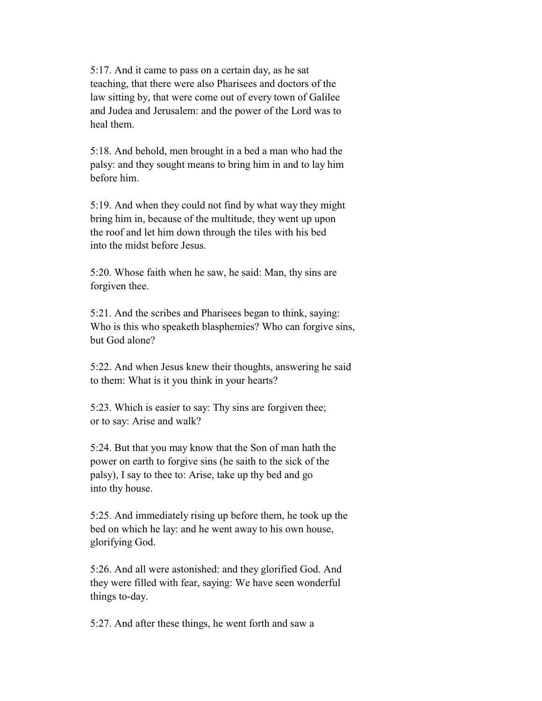5:17. And it came to pass on a certain day, as he sat teaching, that there were also Pharisees and doctors of the law sitting by, that were come out of every town of Galilee and Judea and Jerusalem: and the power of the Lord was to heal them.

 5:18. And behold, men brought in a bed a man who had the palsy: and they sought means to bring him in and to lay him before him.

 5:19. And when they could not find by what way they might bring him in, because of the multitude, they went up upon the roof and let him down through the tiles with his bed into the midst before Jesus.

 5:20. Whose faith when he saw, he said: Man, thy sins are forgiven thee.

 5:21. And the scribes and Pharisees began to think, saying: Who is this who speaketh blasphemies? Who can forgive sins, but God alone?

 5:22. And when Jesus knew their thoughts, answering he said to them: What is it you think in your hearts?

 5:23. Which is easier to say: Thy sins are forgiven thee; or to say: Arise and walk?

 5:24. But that you may know that the Son of man hath the power on earth to forgive sins (he saith to the sick of the palsy), I say to thee to: Arise, take up thy bed and go into thy house.

 5:25. And immediately rising up before them, he took up the bed on which he lay: and he went away to his own house, glorifying God.

 5:26. And all were astonished: and they glorified God. And they were filled with fear, saying: We have seen wonderful things to-day.

5:27. And after these things, he went forth and saw a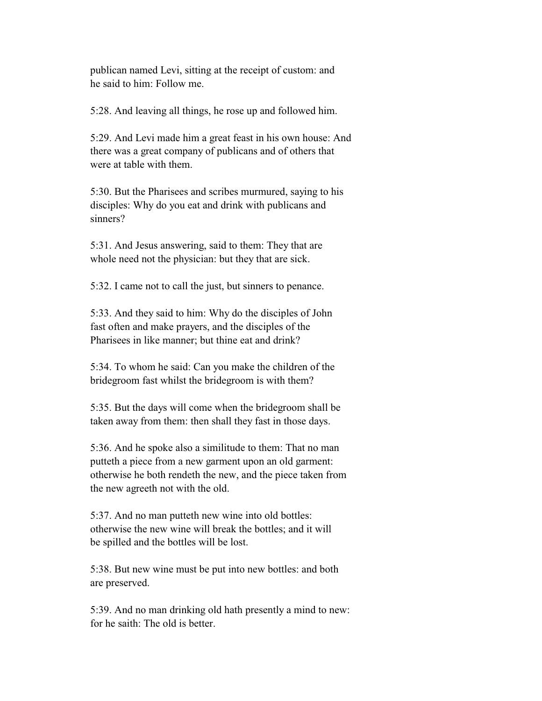publican named Levi, sitting at the receipt of custom: and he said to him: Follow me.

5:28. And leaving all things, he rose up and followed him.

 5:29. And Levi made him a great feast in his own house: And there was a great company of publicans and of others that were at table with them.

 5:30. But the Pharisees and scribes murmured, saying to his disciples: Why do you eat and drink with publicans and sinners?

 5:31. And Jesus answering, said to them: They that are whole need not the physician: but they that are sick.

5:32. I came not to call the just, but sinners to penance.

 5:33. And they said to him: Why do the disciples of John fast often and make prayers, and the disciples of the Pharisees in like manner; but thine eat and drink?

 5:34. To whom he said: Can you make the children of the bridegroom fast whilst the bridegroom is with them?

 5:35. But the days will come when the bridegroom shall be taken away from them: then shall they fast in those days.

 5:36. And he spoke also a similitude to them: That no man putteth a piece from a new garment upon an old garment: otherwise he both rendeth the new, and the piece taken from the new agreeth not with the old.

 5:37. And no man putteth new wine into old bottles: otherwise the new wine will break the bottles; and it will be spilled and the bottles will be lost.

 5:38. But new wine must be put into new bottles: and both are preserved.

 5:39. And no man drinking old hath presently a mind to new: for he saith: The old is better.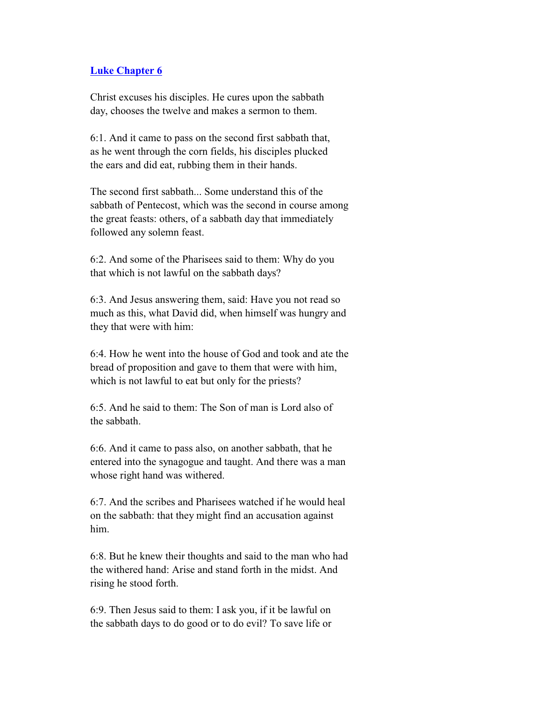### **Luke Chapter 6**

 Christ excuses his disciples. He cures upon the sabbath day, chooses the twelve and makes a sermon to them.

 6:1. And it came to pass on the second first sabbath that, as he went through the corn fields, his disciples plucked the ears and did eat, rubbing them in their hands.

 The second first sabbath... Some understand this of the sabbath of Pentecost, which was the second in course among the great feasts: others, of a sabbath day that immediately followed any solemn feast.

 6:2. And some of the Pharisees said to them: Why do you that which is not lawful on the sabbath days?

 6:3. And Jesus answering them, said: Have you not read so much as this, what David did, when himself was hungry and they that were with him:

 6:4. How he went into the house of God and took and ate the bread of proposition and gave to them that were with him, which is not lawful to eat but only for the priests?

 6:5. And he said to them: The Son of man is Lord also of the sabbath.

 6:6. And it came to pass also, on another sabbath, that he entered into the synagogue and taught. And there was a man whose right hand was withered.

 6:7. And the scribes and Pharisees watched if he would heal on the sabbath: that they might find an accusation against him.

 6:8. But he knew their thoughts and said to the man who had the withered hand: Arise and stand forth in the midst. And rising he stood forth.

 6:9. Then Jesus said to them: I ask you, if it be lawful on the sabbath days to do good or to do evil? To save life or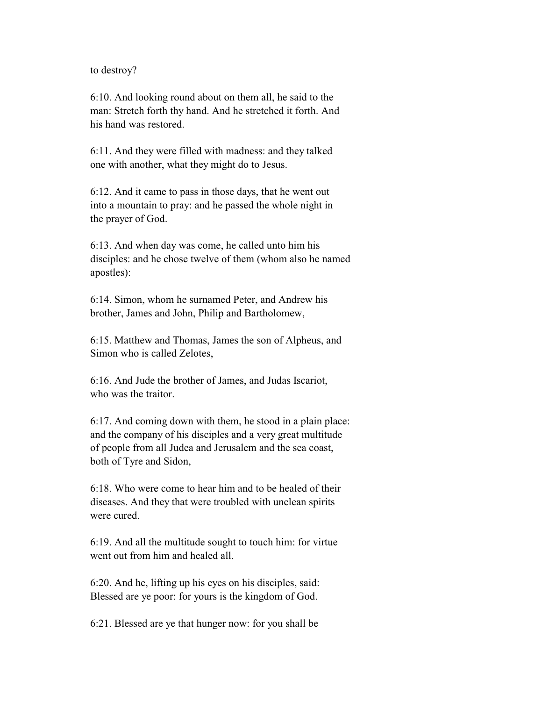to destroy?

 6:10. And looking round about on them all, he said to the man: Stretch forth thy hand. And he stretched it forth. And his hand was restored.

 6:11. And they were filled with madness: and they talked one with another, what they might do to Jesus.

 6:12. And it came to pass in those days, that he went out into a mountain to pray: and he passed the whole night in the prayer of God.

 6:13. And when day was come, he called unto him his disciples: and he chose twelve of them (whom also he named apostles):

 6:14. Simon, whom he surnamed Peter, and Andrew his brother, James and John, Philip and Bartholomew,

 6:15. Matthew and Thomas, James the son of Alpheus, and Simon who is called Zelotes,

 6:16. And Jude the brother of James, and Judas Iscariot, who was the traitor.

 6:17. And coming down with them, he stood in a plain place: and the company of his disciples and a very great multitude of people from all Judea and Jerusalem and the sea coast, both of Tyre and Sidon,

 6:18. Who were come to hear him and to be healed of their diseases. And they that were troubled with unclean spirits were cured.

 6:19. And all the multitude sought to touch him: for virtue went out from him and healed all.

 6:20. And he, lifting up his eyes on his disciples, said: Blessed are ye poor: for yours is the kingdom of God.

6:21. Blessed are ye that hunger now: for you shall be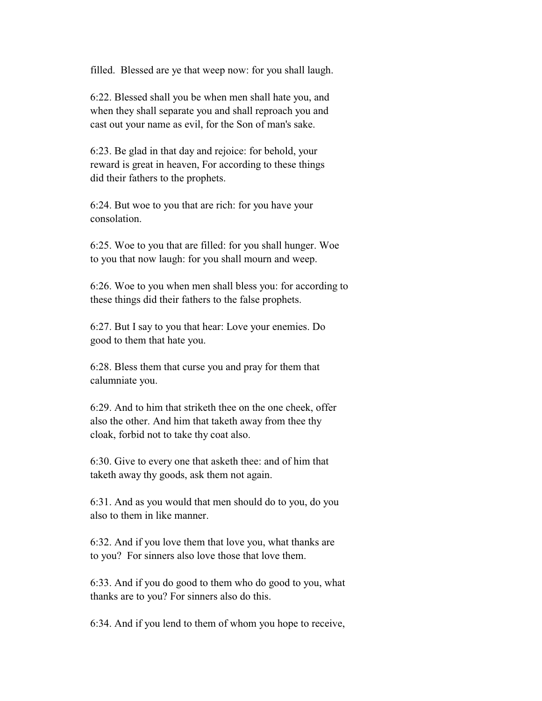filled. Blessed are ye that weep now: for you shall laugh.

 6:22. Blessed shall you be when men shall hate you, and when they shall separate you and shall reproach you and cast out your name as evil, for the Son of man's sake.

 6:23. Be glad in that day and rejoice: for behold, your reward is great in heaven, For according to these things did their fathers to the prophets.

 6:24. But woe to you that are rich: for you have your consolation.

 6:25. Woe to you that are filled: for you shall hunger. Woe to you that now laugh: for you shall mourn and weep.

 6:26. Woe to you when men shall bless you: for according to these things did their fathers to the false prophets.

 6:27. But I say to you that hear: Love your enemies. Do good to them that hate you.

 6:28. Bless them that curse you and pray for them that calumniate you.

 6:29. And to him that striketh thee on the one cheek, offer also the other. And him that taketh away from thee thy cloak, forbid not to take thy coat also.

 6:30. Give to every one that asketh thee: and of him that taketh away thy goods, ask them not again.

 6:31. And as you would that men should do to you, do you also to them in like manner.

 6:32. And if you love them that love you, what thanks are to you? For sinners also love those that love them.

 6:33. And if you do good to them who do good to you, what thanks are to you? For sinners also do this.

6:34. And if you lend to them of whom you hope to receive,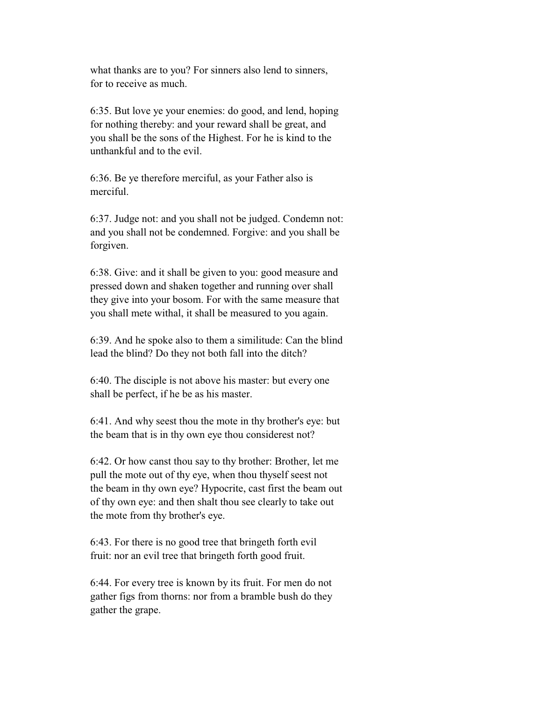what thanks are to you? For sinners also lend to sinners, for to receive as much.

 6:35. But love ye your enemies: do good, and lend, hoping for nothing thereby: and your reward shall be great, and you shall be the sons of the Highest. For he is kind to the unthankful and to the evil.

 6:36. Be ye therefore merciful, as your Father also is merciful.

 6:37. Judge not: and you shall not be judged. Condemn not: and you shall not be condemned. Forgive: and you shall be forgiven.

 6:38. Give: and it shall be given to you: good measure and pressed down and shaken together and running over shall they give into your bosom. For with the same measure that you shall mete withal, it shall be measured to you again.

 6:39. And he spoke also to them a similitude: Can the blind lead the blind? Do they not both fall into the ditch?

 6:40. The disciple is not above his master: but every one shall be perfect, if he be as his master.

 6:41. And why seest thou the mote in thy brother's eye: but the beam that is in thy own eye thou considerest not?

 6:42. Or how canst thou say to thy brother: Brother, let me pull the mote out of thy eye, when thou thyself seest not the beam in thy own eye? Hypocrite, cast first the beam out of thy own eye: and then shalt thou see clearly to take out the mote from thy brother's eye.

 6:43. For there is no good tree that bringeth forth evil fruit: nor an evil tree that bringeth forth good fruit.

 6:44. For every tree is known by its fruit. For men do not gather figs from thorns: nor from a bramble bush do they gather the grape.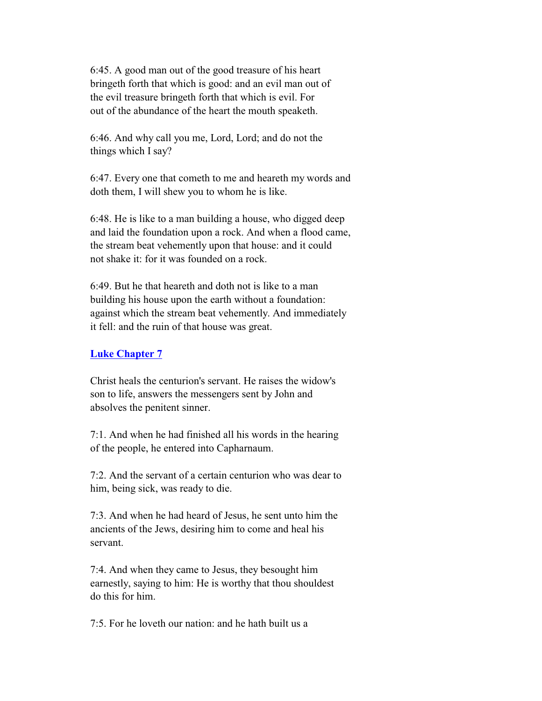6:45. A good man out of the good treasure of his heart bringeth forth that which is good: and an evil man out of the evil treasure bringeth forth that which is evil. For out of the abundance of the heart the mouth speaketh.

 6:46. And why call you me, Lord, Lord; and do not the things which I say?

 6:47. Every one that cometh to me and heareth my words and doth them, I will shew you to whom he is like.

 6:48. He is like to a man building a house, who digged deep and laid the foundation upon a rock. And when a flood came, the stream beat vehemently upon that house: and it could not shake it: for it was founded on a rock.

 6:49. But he that heareth and doth not is like to a man building his house upon the earth without a foundation: against which the stream beat vehemently. And immediately it fell: and the ruin of that house was great.

## **Luke Chapter 7**

 Christ heals the centurion's servant. He raises the widow's son to life, answers the messengers sent by John and absolves the penitent sinner.

 7:1. And when he had finished all his words in the hearing of the people, he entered into Capharnaum.

 7:2. And the servant of a certain centurion who was dear to him, being sick, was ready to die.

 7:3. And when he had heard of Jesus, he sent unto him the ancients of the Jews, desiring him to come and heal his servant.

 7:4. And when they came to Jesus, they besought him earnestly, saying to him: He is worthy that thou shouldest do this for him.

7:5. For he loveth our nation: and he hath built us a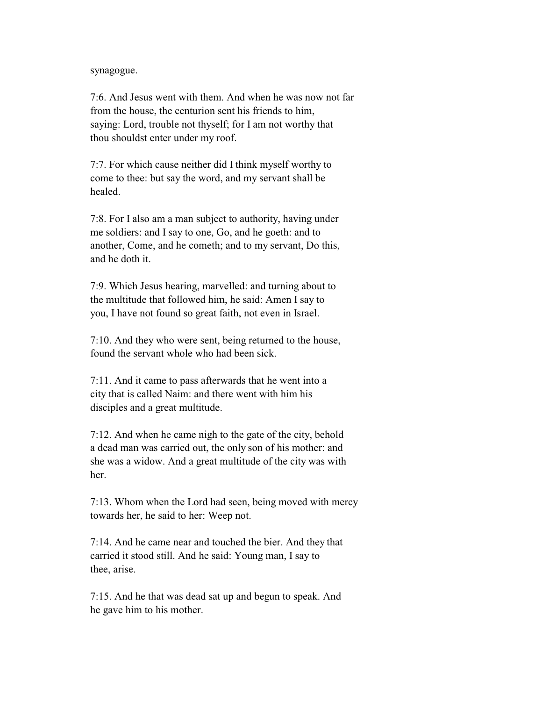#### synagogue.

 7:6. And Jesus went with them. And when he was now not far from the house, the centurion sent his friends to him, saying: Lord, trouble not thyself; for I am not worthy that thou shouldst enter under my roof.

 7:7. For which cause neither did I think myself worthy to come to thee: but say the word, and my servant shall be healed.

 7:8. For I also am a man subject to authority, having under me soldiers: and I say to one, Go, and he goeth: and to another, Come, and he cometh; and to my servant, Do this, and he doth it.

 7:9. Which Jesus hearing, marvelled: and turning about to the multitude that followed him, he said: Amen I say to you, I have not found so great faith, not even in Israel.

 7:10. And they who were sent, being returned to the house, found the servant whole who had been sick.

 7:11. And it came to pass afterwards that he went into a city that is called Naim: and there went with him his disciples and a great multitude.

 7:12. And when he came nigh to the gate of the city, behold a dead man was carried out, the only son of his mother: and she was a widow. And a great multitude of the city was with her.

 7:13. Whom when the Lord had seen, being moved with mercy towards her, he said to her: Weep not.

 7:14. And he came near and touched the bier. And they that carried it stood still. And he said: Young man, I say to thee, arise.

 7:15. And he that was dead sat up and begun to speak. And he gave him to his mother.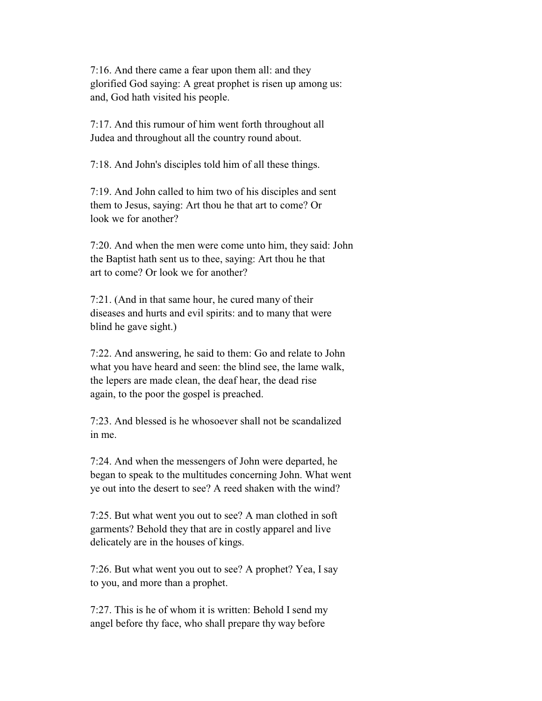7:16. And there came a fear upon them all: and they glorified God saying: A great prophet is risen up among us: and, God hath visited his people.

 7:17. And this rumour of him went forth throughout all Judea and throughout all the country round about.

7:18. And John's disciples told him of all these things.

 7:19. And John called to him two of his disciples and sent them to Jesus, saying: Art thou he that art to come? Or look we for another?

 7:20. And when the men were come unto him, they said: John the Baptist hath sent us to thee, saying: Art thou he that art to come? Or look we for another?

 7:21. (And in that same hour, he cured many of their diseases and hurts and evil spirits: and to many that were blind he gave sight.)

 7:22. And answering, he said to them: Go and relate to John what you have heard and seen: the blind see, the lame walk, the lepers are made clean, the deaf hear, the dead rise again, to the poor the gospel is preached.

 $7:23$  And blessed is he whosoever shall not be scandalized in me.

 7:24. And when the messengers of John were departed, he began to speak to the multitudes concerning John. What went ye out into the desert to see? A reed shaken with the wind?

 7:25. But what went you out to see? A man clothed in soft garments? Behold they that are in costly apparel and live delicately are in the houses of kings.

 7:26. But what went you out to see? A prophet? Yea, I say to you, and more than a prophet.

 7:27. This is he of whom it is written: Behold I send my angel before thy face, who shall prepare thy way before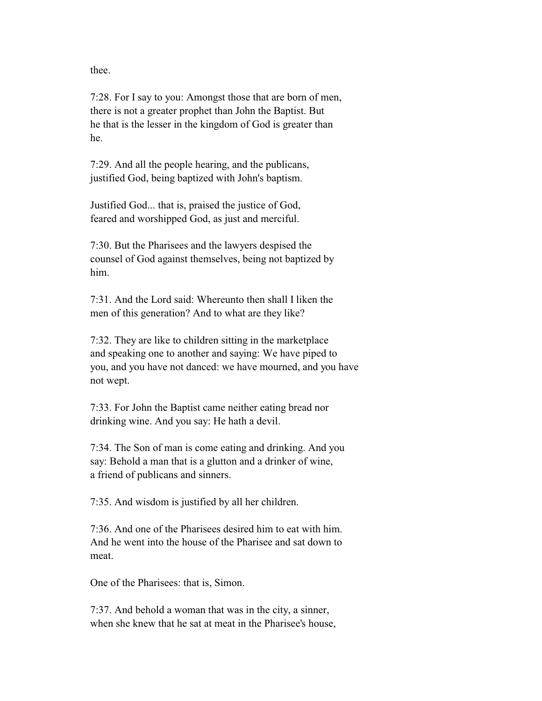thee.

 7:28. For I say to you: Amongst those that are born of men, there is not a greater prophet than John the Baptist. But he that is the lesser in the kingdom of God is greater than he.

 7:29. And all the people hearing, and the publicans, justified God, being baptized with John's baptism.

 Justified God... that is, praised the justice of God, feared and worshipped God, as just and merciful.

 7:30. But the Pharisees and the lawyers despised the counsel of God against themselves, being not baptized by him.

 7:31. And the Lord said: Whereunto then shall I liken the men of this generation? And to what are they like?

 7:32. They are like to children sitting in the marketplace and speaking one to another and saying: We have piped to you, and you have not danced: we have mourned, and you have not wept.

 7:33. For John the Baptist came neither eating bread nor drinking wine. And you say: He hath a devil.

 7:34. The Son of man is come eating and drinking. And you say: Behold a man that is a glutton and a drinker of wine, a friend of publicans and sinners.

7:35. And wisdom is justified by all her children.

 7:36. And one of the Pharisees desired him to eat with him. And he went into the house of the Pharisee and sat down to meat.

One of the Pharisees: that is, Simon.

 7:37. And behold a woman that was in the city, a sinner, when she knew that he sat at meat in the Pharisee's house,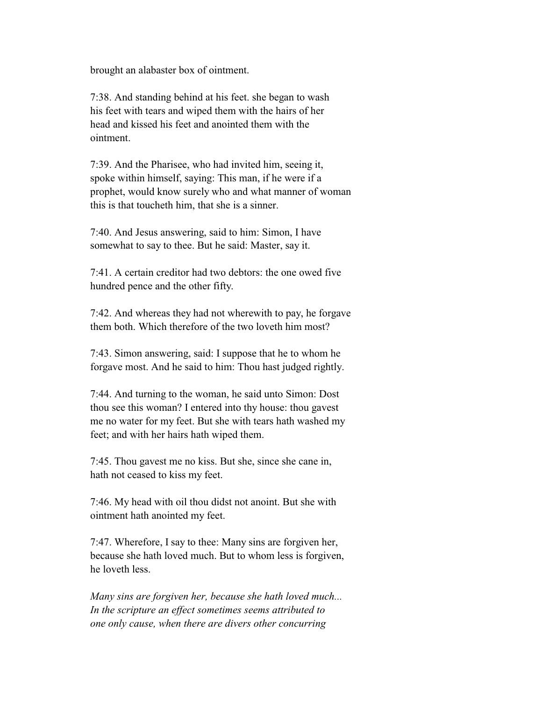brought an alabaster box of ointment.

 7:38. And standing behind at his feet. she began to wash his feet with tears and wiped them with the hairs of her head and kissed his feet and anointed them with the ointment.

 7:39. And the Pharisee, who had invited him, seeing it, spoke within himself, saying: This man, if he were if a prophet, would know surely who and what manner of woman this is that toucheth him, that she is a sinner.

 7:40. And Jesus answering, said to him: Simon, I have somewhat to say to thee. But he said: Master, say it.

 7:41. A certain creditor had two debtors: the one owed five hundred pence and the other fifty.

 7:42. And whereas they had not wherewith to pay, he forgave them both. Which therefore of the two loveth him most?

 7:43. Simon answering, said: I suppose that he to whom he forgave most. And he said to him: Thou hast judged rightly.

 7:44. And turning to the woman, he said unto Simon: Dost thou see this woman? I entered into thy house: thou gavest me no water for my feet. But she with tears hath washed my feet; and with her hairs hath wiped them.

 7:45. Thou gavest me no kiss. But she, since she cane in, hath not ceased to kiss my feet.

 7:46. My head with oil thou didst not anoint. But she with ointment hath anointed my feet.

 7:47. Wherefore, I say to thee: Many sins are forgiven her, because she hath loved much. But to whom less is forgiven, he loveth less.

 *Many sins are forgiven her, because she hath loved much... In the scripture an effect sometimes seems attributed to one only cause, when there are divers other concurring*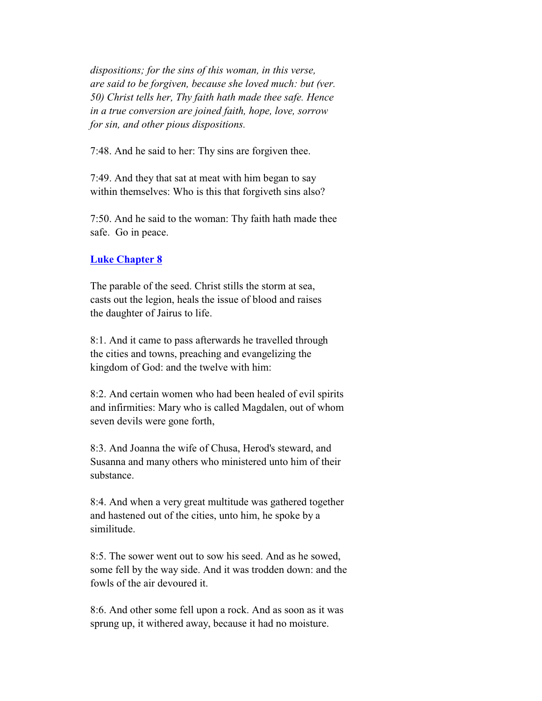*dispositions; for the sins of this woman, in this verse, are said to be forgiven, because she loved much: but (ver. 50) Christ tells her, Thy faith hath made thee safe. Hence in a true conversion are joined faith, hope, love, sorrow for sin, and other pious dispositions.*

7:48. And he said to her: Thy sins are forgiven thee.

 7:49. And they that sat at meat with him began to say within themselves: Who is this that forgiveth sins also?

 7:50. And he said to the woman: Thy faith hath made thee safe. Go in peace.

#### **Luke Chapter 8**

 The parable of the seed. Christ stills the storm at sea, casts out the legion, heals the issue of blood and raises the daughter of Jairus to life.

 8:1. And it came to pass afterwards he travelled through the cities and towns, preaching and evangelizing the kingdom of God: and the twelve with him:

 8:2. And certain women who had been healed of evil spirits and infirmities: Mary who is called Magdalen, out of whom seven devils were gone forth,

 8:3. And Joanna the wife of Chusa, Herod's steward, and Susanna and many others who ministered unto him of their substance.

 8:4. And when a very great multitude was gathered together and hastened out of the cities, unto him, he spoke by a similitude.

 8:5. The sower went out to sow his seed. And as he sowed, some fell by the way side. And it was trodden down: and the fowls of the air devoured it.

 8:6. And other some fell upon a rock. And as soon as it was sprung up, it withered away, because it had no moisture.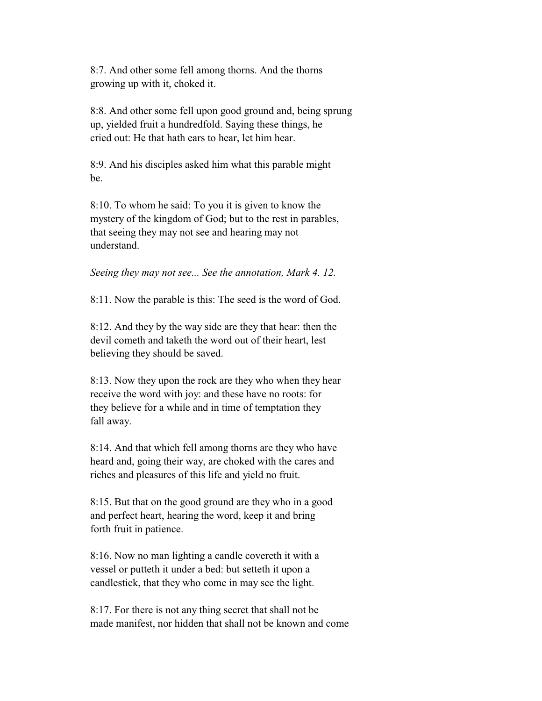8:7. And other some fell among thorns. And the thorns growing up with it, choked it.

 8:8. And other some fell upon good ground and, being sprung up, yielded fruit a hundredfold. Saying these things, he cried out: He that hath ears to hear, let him hear.

 8:9. And his disciples asked him what this parable might be.

 8:10. To whom he said: To you it is given to know the mystery of the kingdom of God; but to the rest in parables, that seeing they may not see and hearing may not understand.

*Seeing they may not see... See the annotation, Mark 4. 12.*

8:11. Now the parable is this: The seed is the word of God.

 8:12. And they by the way side are they that hear: then the devil cometh and taketh the word out of their heart, lest believing they should be saved.

 8:13. Now they upon the rock are they who when they hear receive the word with joy: and these have no roots: for they believe for a while and in time of temptation they fall away.

 8:14. And that which fell among thorns are they who have heard and, going their way, are choked with the cares and riches and pleasures of this life and yield no fruit.

 8:15. But that on the good ground are they who in a good and perfect heart, hearing the word, keep it and bring forth fruit in patience.

 8:16. Now no man lighting a candle covereth it with a vessel or putteth it under a bed: but setteth it upon a candlestick, that they who come in may see the light.

 8:17. For there is not any thing secret that shall not be made manifest, nor hidden that shall not be known and come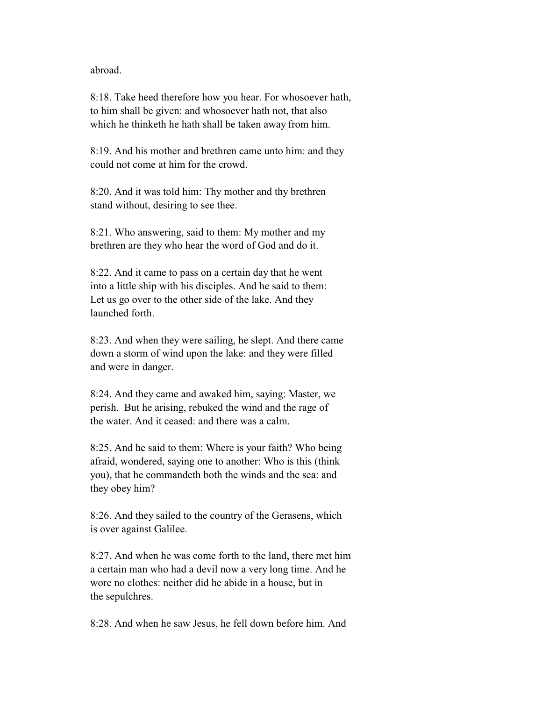abroad.

 8:18. Take heed therefore how you hear. For whosoever hath, to him shall be given: and whosoever hath not, that also which he thinketh he hath shall be taken away from him.

 8:19. And his mother and brethren came unto him: and they could not come at him for the crowd.

 8:20. And it was told him: Thy mother and thy brethren stand without, desiring to see thee.

 8:21. Who answering, said to them: My mother and my brethren are they who hear the word of God and do it.

 8:22. And it came to pass on a certain day that he went into a little ship with his disciples. And he said to them: Let us go over to the other side of the lake. And they launched forth.

 8:23. And when they were sailing, he slept. And there came down a storm of wind upon the lake: and they were filled and were in danger.

 8:24. And they came and awaked him, saying: Master, we perish. But he arising, rebuked the wind and the rage of the water. And it ceased: and there was a calm.

 8:25. And he said to them: Where is your faith? Who being afraid, wondered, saying one to another: Who is this (think you), that he commandeth both the winds and the sea: and they obey him?

 8:26. And they sailed to the country of the Gerasens, which is over against Galilee.

 8:27. And when he was come forth to the land, there met him a certain man who had a devil now a very long time. And he wore no clothes: neither did he abide in a house, but in the sepulchres.

8:28. And when he saw Jesus, he fell down before him. And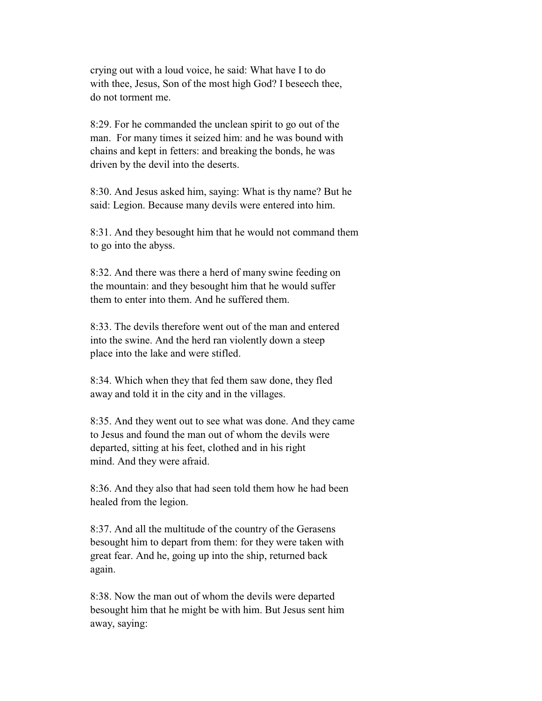crying out with a loud voice, he said: What have I to do with thee, Jesus, Son of the most high God? I beseech thee, do not torment me.

 8:29. For he commanded the unclean spirit to go out of the man. For many times it seized him: and he was bound with chains and kept in fetters: and breaking the bonds, he was driven by the devil into the deserts.

 8:30. And Jesus asked him, saying: What is thy name? But he said: Legion. Because many devils were entered into him.

 8:31. And they besought him that he would not command them to go into the abyss.

 8:32. And there was there a herd of many swine feeding on the mountain: and they besought him that he would suffer them to enter into them. And he suffered them.

 8:33. The devils therefore went out of the man and entered into the swine. And the herd ran violently down a steep place into the lake and were stifled.

 8:34. Which when they that fed them saw done, they fled away and told it in the city and in the villages.

 8:35. And they went out to see what was done. And they came to Jesus and found the man out of whom the devils were departed, sitting at his feet, clothed and in his right mind. And they were afraid.

 8:36. And they also that had seen told them how he had been healed from the legion.

 8:37. And all the multitude of the country of the Gerasens besought him to depart from them: for they were taken with great fear. And he, going up into the ship, returned back again.

 8:38. Now the man out of whom the devils were departed besought him that he might be with him. But Jesus sent him away, saying: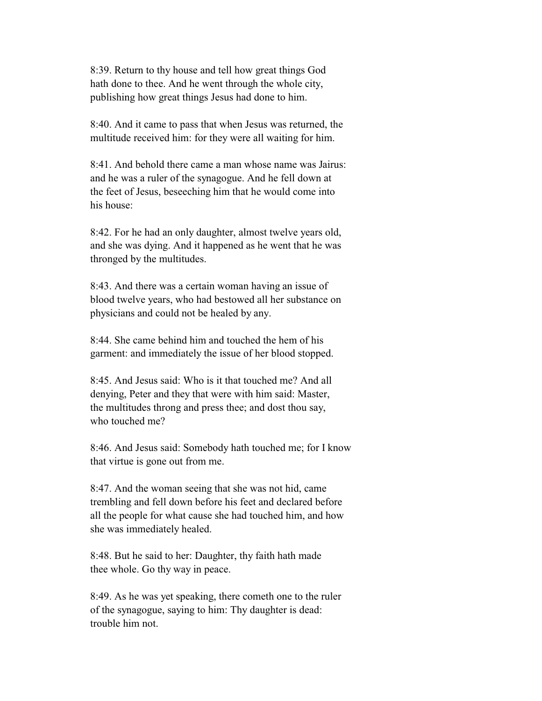8:39. Return to thy house and tell how great things God hath done to thee. And he went through the whole city, publishing how great things Jesus had done to him.

 8:40. And it came to pass that when Jesus was returned, the multitude received him: for they were all waiting for him.

 8:41. And behold there came a man whose name was Jairus: and he was a ruler of the synagogue. And he fell down at the feet of Jesus, beseeching him that he would come into his house:

 8:42. For he had an only daughter, almost twelve years old, and she was dying. And it happened as he went that he was thronged by the multitudes.

 8:43. And there was a certain woman having an issue of blood twelve years, who had bestowed all her substance on physicians and could not be healed by any.

 8:44. She came behind him and touched the hem of his garment: and immediately the issue of her blood stopped.

 8:45. And Jesus said: Who is it that touched me? And all denying, Peter and they that were with him said: Master, the multitudes throng and press thee; and dost thou say, who touched me?

 8:46. And Jesus said: Somebody hath touched me; for I know that virtue is gone out from me.

 8:47. And the woman seeing that she was not hid, came trembling and fell down before his feet and declared before all the people for what cause she had touched him, and how she was immediately healed.

 8:48. But he said to her: Daughter, thy faith hath made thee whole. Go thy way in peace.

 8:49. As he was yet speaking, there cometh one to the ruler of the synagogue, saying to him: Thy daughter is dead: trouble him not.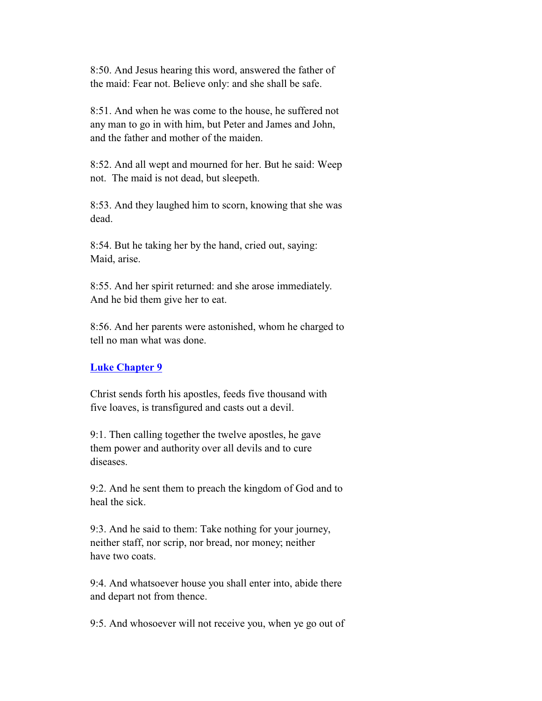8:50. And Jesus hearing this word, answered the father of the maid: Fear not. Believe only: and she shall be safe.

 8:51. And when he was come to the house, he suffered not any man to go in with him, but Peter and James and John, and the father and mother of the maiden.

 8:52. And all wept and mourned for her. But he said: Weep not. The maid is not dead, but sleepeth.

 8:53. And they laughed him to scorn, knowing that she was dead.

 8:54. But he taking her by the hand, cried out, saying: Maid, arise.

 8:55. And her spirit returned: and she arose immediately. And he bid them give her to eat.

 8:56. And her parents were astonished, whom he charged to tell no man what was done.

# **Luke Chapter 9**

 Christ sends forth his apostles, feeds five thousand with five loaves, is transfigured and casts out a devil.

 9:1. Then calling together the twelve apostles, he gave them power and authority over all devils and to cure diseases.

 9:2. And he sent them to preach the kingdom of God and to heal the sick.

 9:3. And he said to them: Take nothing for your journey, neither staff, nor scrip, nor bread, nor money; neither have two coats.

 9:4. And whatsoever house you shall enter into, abide there and depart not from thence.

9:5. And whosoever will not receive you, when ye go out of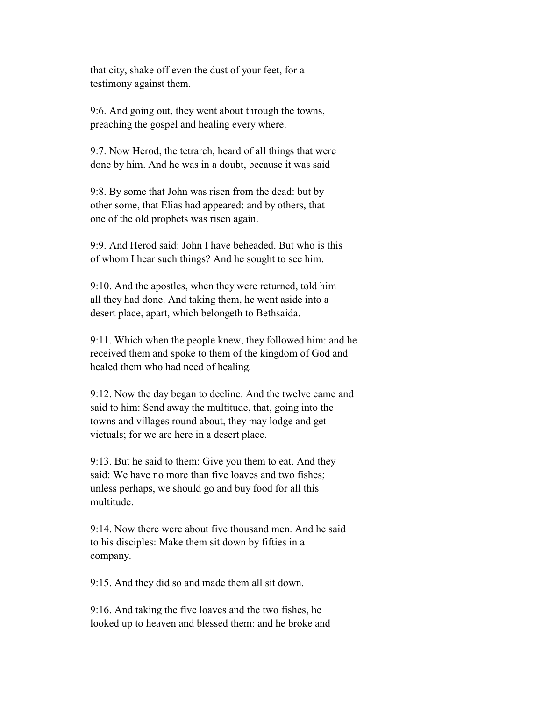that city, shake off even the dust of your feet, for a testimony against them.

 9:6. And going out, they went about through the towns, preaching the gospel and healing every where.

 9:7. Now Herod, the tetrarch, heard of all things that were done by him. And he was in a doubt, because it was said

 9:8. By some that John was risen from the dead: but by other some, that Elias had appeared: and by others, that one of the old prophets was risen again.

 9:9. And Herod said: John I have beheaded. But who is this of whom I hear such things? And he sought to see him.

 9:10. And the apostles, when they were returned, told him all they had done. And taking them, he went aside into a desert place, apart, which belongeth to Bethsaida.

 9:11. Which when the people knew, they followed him: and he received them and spoke to them of the kingdom of God and healed them who had need of healing.

 9:12. Now the day began to decline. And the twelve came and said to him: Send away the multitude, that, going into the towns and villages round about, they may lodge and get victuals; for we are here in a desert place.

 9:13. But he said to them: Give you them to eat. And they said: We have no more than five loaves and two fishes; unless perhaps, we should go and buy food for all this multitude.

 9:14. Now there were about five thousand men. And he said to his disciples: Make them sit down by fifties in a company.

9:15. And they did so and made them all sit down.

 9:16. And taking the five loaves and the two fishes, he looked up to heaven and blessed them: and he broke and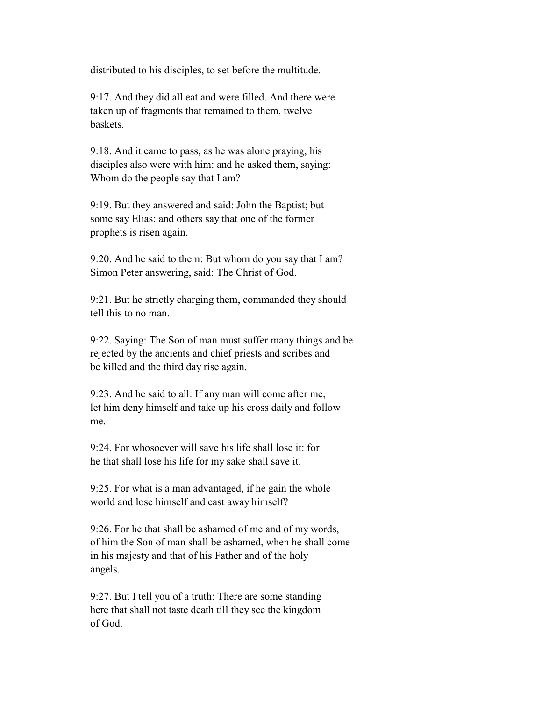distributed to his disciples, to set before the multitude.

 9:17. And they did all eat and were filled. And there were taken up of fragments that remained to them, twelve baskets.

 9:18. And it came to pass, as he was alone praying, his disciples also were with him: and he asked them, saying: Whom do the people say that I am?

 9:19. But they answered and said: John the Baptist; but some say Elias: and others say that one of the former prophets is risen again.

 9:20. And he said to them: But whom do you say that I am? Simon Peter answering, said: The Christ of God.

 9:21. But he strictly charging them, commanded they should tell this to no man.

 9:22. Saying: The Son of man must suffer many things and be rejected by the ancients and chief priests and scribes and be killed and the third day rise again.

 9:23. And he said to all: If any man will come after me, let him deny himself and take up his cross daily and follow me.

 9:24. For whosoever will save his life shall lose it: for he that shall lose his life for my sake shall save it.

 9:25. For what is a man advantaged, if he gain the whole world and lose himself and cast away himself?

 9:26. For he that shall be ashamed of me and of my words, of him the Son of man shall be ashamed, when he shall come in his majesty and that of his Father and of the holy angels.

 9:27. But I tell you of a truth: There are some standing here that shall not taste death till they see the kingdom of God.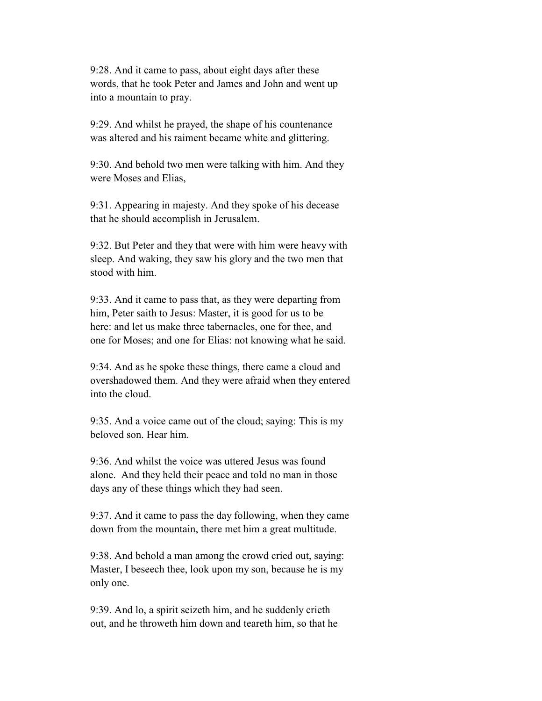9:28. And it came to pass, about eight days after these words, that he took Peter and James and John and went up into a mountain to pray.

 9:29. And whilst he prayed, the shape of his countenance was altered and his raiment became white and glittering.

 9:30. And behold two men were talking with him. And they were Moses and Elias,

 9:31. Appearing in majesty. And they spoke of his decease that he should accomplish in Jerusalem.

 9:32. But Peter and they that were with him were heavy with sleep. And waking, they saw his glory and the two men that stood with him.

 9:33. And it came to pass that, as they were departing from him, Peter saith to Jesus: Master, it is good for us to be here: and let us make three tabernacles, one for thee, and one for Moses; and one for Elias: not knowing what he said.

 9:34. And as he spoke these things, there came a cloud and overshadowed them. And they were afraid when they entered into the cloud.

 9:35. And a voice came out of the cloud; saying: This is my beloved son. Hear him.

 9:36. And whilst the voice was uttered Jesus was found alone. And they held their peace and told no man in those days any of these things which they had seen.

 9:37. And it came to pass the day following, when they came down from the mountain, there met him a great multitude.

 9:38. And behold a man among the crowd cried out, saying: Master, I beseech thee, look upon my son, because he is my only one.

 9:39. And lo, a spirit seizeth him, and he suddenly crieth out, and he throweth him down and teareth him, so that he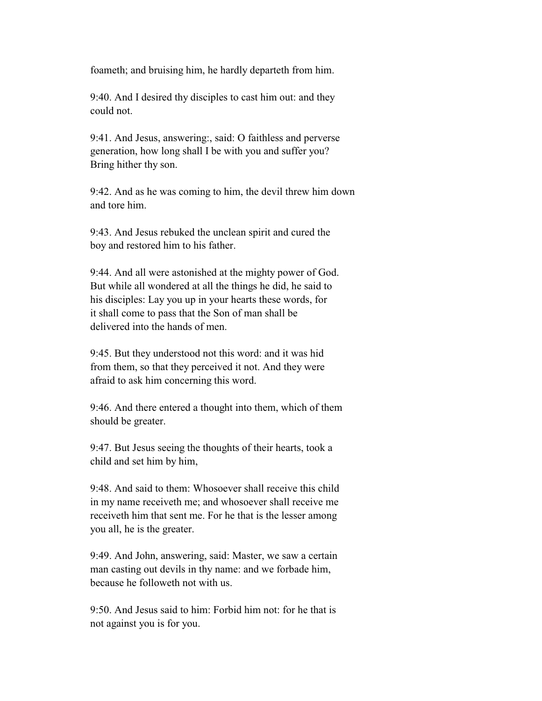foameth; and bruising him, he hardly departeth from him.

 9:40. And I desired thy disciples to cast him out: and they could not.

 9:41. And Jesus, answering:, said: O faithless and perverse generation, how long shall I be with you and suffer you? Bring hither thy son.

 9:42. And as he was coming to him, the devil threw him down and tore him.

 9:43. And Jesus rebuked the unclean spirit and cured the boy and restored him to his father.

 9:44. And all were astonished at the mighty power of God. But while all wondered at all the things he did, he said to his disciples: Lay you up in your hearts these words, for it shall come to pass that the Son of man shall be delivered into the hands of men.

 9:45. But they understood not this word: and it was hid from them, so that they perceived it not. And they were afraid to ask him concerning this word.

 9:46. And there entered a thought into them, which of them should be greater.

 9:47. But Jesus seeing the thoughts of their hearts, took a child and set him by him,

 9:48. And said to them: Whosoever shall receive this child in my name receiveth me; and whosoever shall receive me receiveth him that sent me. For he that is the lesser among you all, he is the greater.

 9:49. And John, answering, said: Master, we saw a certain man casting out devils in thy name: and we forbade him, because he followeth not with us.

 9:50. And Jesus said to him: Forbid him not: for he that is not against you is for you.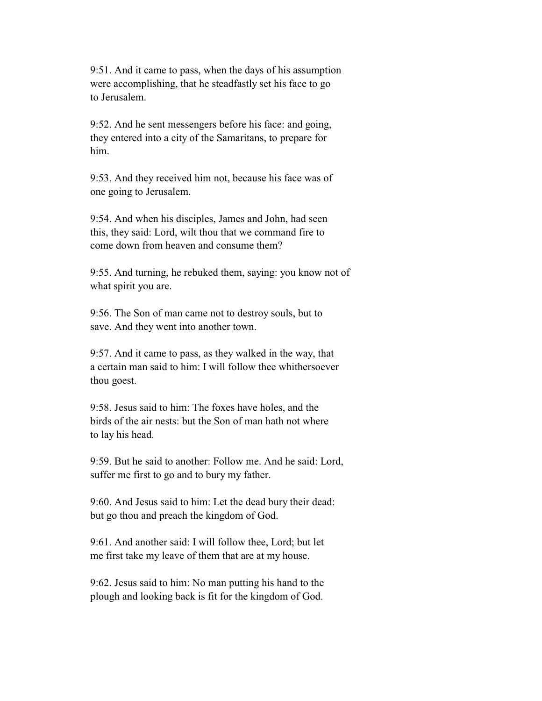9:51. And it came to pass, when the days of his assumption were accomplishing, that he steadfastly set his face to go to Jerusalem.

 9:52. And he sent messengers before his face: and going, they entered into a city of the Samaritans, to prepare for him.

 9:53. And they received him not, because his face was of one going to Jerusalem.

 9:54. And when his disciples, James and John, had seen this, they said: Lord, wilt thou that we command fire to come down from heaven and consume them?

 9:55. And turning, he rebuked them, saying: you know not of what spirit you are.

 9:56. The Son of man came not to destroy souls, but to save. And they went into another town.

 9:57. And it came to pass, as they walked in the way, that a certain man said to him: I will follow thee whithersoever thou goest.

 9:58. Jesus said to him: The foxes have holes, and the birds of the air nests: but the Son of man hath not where to lay his head.

 9:59. But he said to another: Follow me. And he said: Lord, suffer me first to go and to bury my father.

 9:60. And Jesus said to him: Let the dead bury their dead: but go thou and preach the kingdom of God.

 9:61. And another said: I will follow thee, Lord; but let me first take my leave of them that are at my house.

 9:62. Jesus said to him: No man putting his hand to the plough and looking back is fit for the kingdom of God.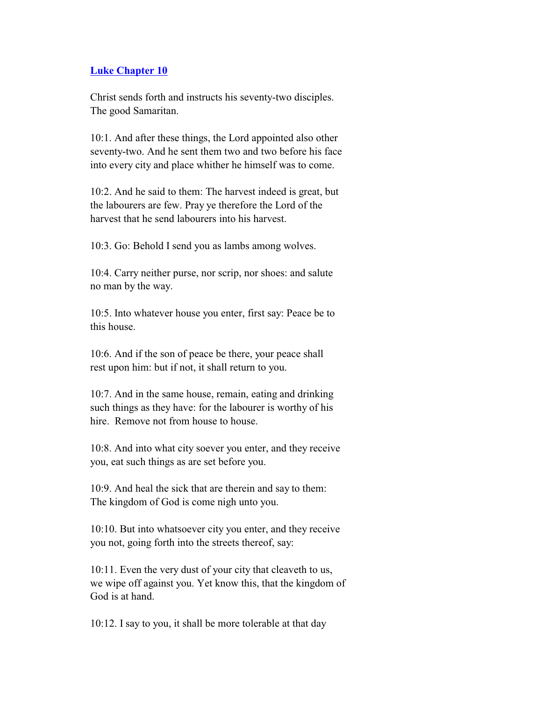#### **Luke Chapter 10**

 Christ sends forth and instructs his seventy-two disciples. The good Samaritan.

 10:1. And after these things, the Lord appointed also other seventy-two. And he sent them two and two before his face into every city and place whither he himself was to come.

 10:2. And he said to them: The harvest indeed is great, but the labourers are few. Pray ye therefore the Lord of the harvest that he send labourers into his harvest.

10:3. Go: Behold I send you as lambs among wolves.

 10:4. Carry neither purse, nor scrip, nor shoes: and salute no man by the way.

 10:5. Into whatever house you enter, first say: Peace be to this house.

 10:6. And if the son of peace be there, your peace shall rest upon him: but if not, it shall return to you.

 10:7. And in the same house, remain, eating and drinking such things as they have: for the labourer is worthy of his hire. Remove not from house to house.

 10:8. And into what city soever you enter, and they receive you, eat such things as are set before you.

 10:9. And heal the sick that are therein and say to them: The kingdom of God is come nigh unto you.

 10:10. But into whatsoever city you enter, and they receive you not, going forth into the streets thereof, say:

 10:11. Even the very dust of your city that cleaveth to us, we wipe off against you. Yet know this, that the kingdom of God is at hand.

10:12. I say to you, it shall be more tolerable at that day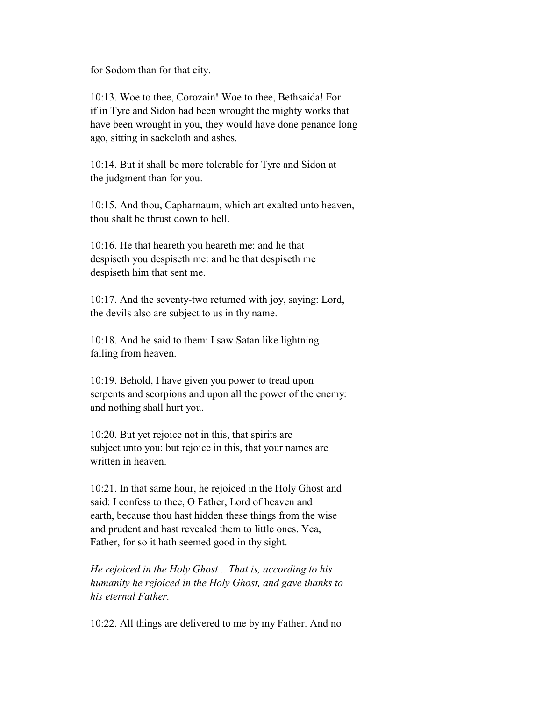for Sodom than for that city.

 10:13. Woe to thee, Corozain! Woe to thee, Bethsaida! For if in Tyre and Sidon had been wrought the mighty works that have been wrought in you, they would have done penance long ago, sitting in sackcloth and ashes.

 10:14. But it shall be more tolerable for Tyre and Sidon at the judgment than for you.

 10:15. And thou, Capharnaum, which art exalted unto heaven, thou shalt be thrust down to hell.

 10:16. He that heareth you heareth me: and he that despiseth you despiseth me: and he that despiseth me despiseth him that sent me.

 10:17. And the seventy-two returned with joy, saying: Lord, the devils also are subject to us in thy name.

 10:18. And he said to them: I saw Satan like lightning falling from heaven.

 10:19. Behold, I have given you power to tread upon serpents and scorpions and upon all the power of the enemy: and nothing shall hurt you.

 10:20. But yet rejoice not in this, that spirits are subject unto you: but rejoice in this, that your names are written in heaven.

 10:21. In that same hour, he rejoiced in the Holy Ghost and said: I confess to thee, O Father, Lord of heaven and earth, because thou hast hidden these things from the wise and prudent and hast revealed them to little ones. Yea, Father, for so it hath seemed good in thy sight.

 *He rejoiced in the Holy Ghost... That is, according to his humanity he rejoiced in the Holy Ghost, and gave thanks to his eternal Father.*

10:22. All things are delivered to me by my Father. And no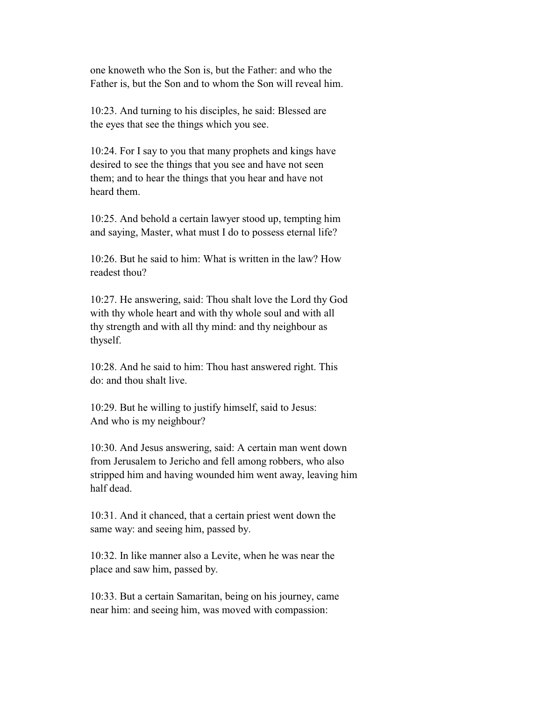one knoweth who the Son is, but the Father: and who the Father is, but the Son and to whom the Son will reveal him.

 10:23. And turning to his disciples, he said: Blessed are the eyes that see the things which you see.

 10:24. For I say to you that many prophets and kings have desired to see the things that you see and have not seen them; and to hear the things that you hear and have not heard them.

 10:25. And behold a certain lawyer stood up, tempting him and saying, Master, what must I do to possess eternal life?

 10:26. But he said to him: What is written in the law? How readest thou?

 10:27. He answering, said: Thou shalt love the Lord thy God with thy whole heart and with thy whole soul and with all thy strength and with all thy mind: and thy neighbour as thyself.

 10:28. And he said to him: Thou hast answered right. This do: and thou shalt live.

 10:29. But he willing to justify himself, said to Jesus: And who is my neighbour?

 10:30. And Jesus answering, said: A certain man went down from Jerusalem to Jericho and fell among robbers, who also stripped him and having wounded him went away, leaving him half dead.

 10:31. And it chanced, that a certain priest went down the same way: and seeing him, passed by.

 10:32. In like manner also a Levite, when he was near the place and saw him, passed by.

 10:33. But a certain Samaritan, being on his journey, came near him: and seeing him, was moved with compassion: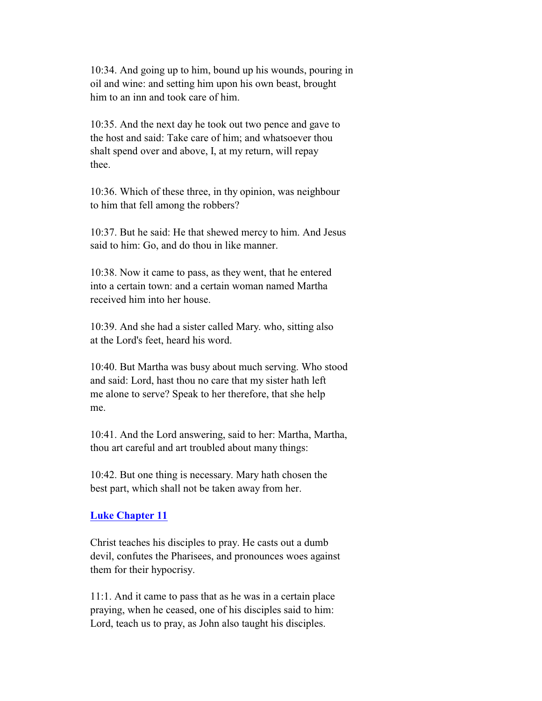10:34. And going up to him, bound up his wounds, pouring in oil and wine: and setting him upon his own beast, brought him to an inn and took care of him.

 10:35. And the next day he took out two pence and gave to the host and said: Take care of him; and whatsoever thou shalt spend over and above, I, at my return, will repay thee.

 10:36. Which of these three, in thy opinion, was neighbour to him that fell among the robbers?

 10:37. But he said: He that shewed mercy to him. And Jesus said to him: Go, and do thou in like manner.

 10:38. Now it came to pass, as they went, that he entered into a certain town: and a certain woman named Martha received him into her house.

 10:39. And she had a sister called Mary. who, sitting also at the Lord's feet, heard his word.

 10:40. But Martha was busy about much serving. Who stood and said: Lord, hast thou no care that my sister hath left me alone to serve? Speak to her therefore, that she help me.

 10:41. And the Lord answering, said to her: Martha, Martha, thou art careful and art troubled about many things:

 10:42. But one thing is necessary. Mary hath chosen the best part, which shall not be taken away from her.

### **Luke Chapter 11**

 Christ teaches his disciples to pray. He casts out a dumb devil, confutes the Pharisees, and pronounces woes against them for their hypocrisy.

 11:1. And it came to pass that as he was in a certain place praying, when he ceased, one of his disciples said to him: Lord, teach us to pray, as John also taught his disciples.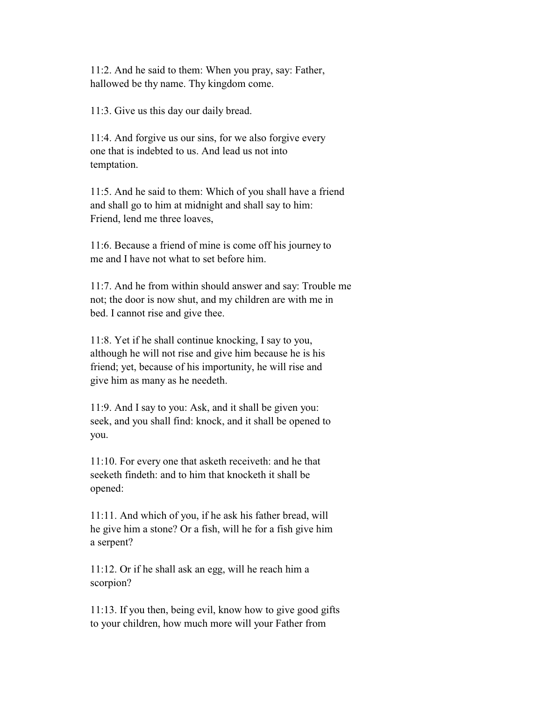11:2. And he said to them: When you pray, say: Father, hallowed be thy name. Thy kingdom come.

11:3. Give us this day our daily bread.

 11:4. And forgive us our sins, for we also forgive every one that is indebted to us. And lead us not into temptation.

 11:5. And he said to them: Which of you shall have a friend and shall go to him at midnight and shall say to him: Friend, lend me three loaves,

 11:6. Because a friend of mine is come off his journey to me and I have not what to set before him.

 11:7. And he from within should answer and say: Trouble me not; the door is now shut, and my children are with me in bed. I cannot rise and give thee.

 11:8. Yet if he shall continue knocking, I say to you, although he will not rise and give him because he is his friend; yet, because of his importunity, he will rise and give him as many as he needeth.

 11:9. And I say to you: Ask, and it shall be given you: seek, and you shall find: knock, and it shall be opened to you.

 11:10. For every one that asketh receiveth: and he that seeketh findeth: and to him that knocketh it shall be opened:

 11:11. And which of you, if he ask his father bread, will he give him a stone? Or a fish, will he for a fish give him a serpent?

 11:12. Or if he shall ask an egg, will he reach him a scorpion?

 11:13. If you then, being evil, know how to give good gifts to your children, how much more will your Father from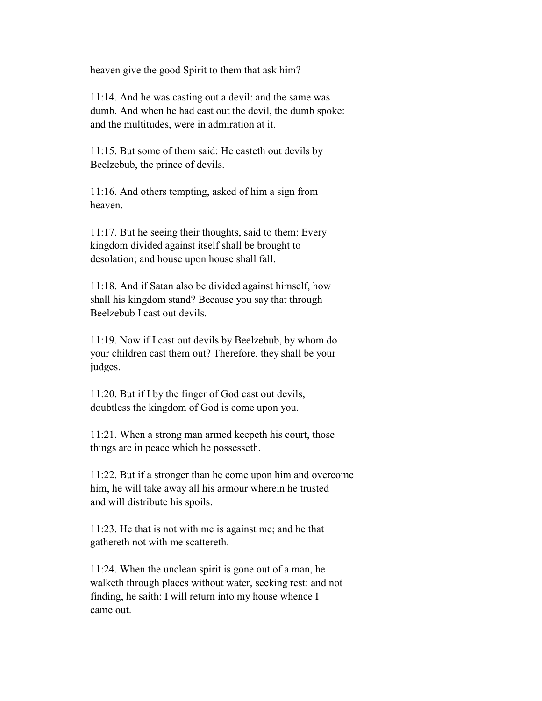heaven give the good Spirit to them that ask him?

 11:14. And he was casting out a devil: and the same was dumb. And when he had cast out the devil, the dumb spoke: and the multitudes, were in admiration at it.

 11:15. But some of them said: He casteth out devils by Beelzebub, the prince of devils.

 11:16. And others tempting, asked of him a sign from heaven.

 11:17. But he seeing their thoughts, said to them: Every kingdom divided against itself shall be brought to desolation; and house upon house shall fall.

 11:18. And if Satan also be divided against himself, how shall his kingdom stand? Because you say that through Beelzebub I cast out devils.

 11:19. Now if I cast out devils by Beelzebub, by whom do your children cast them out? Therefore, they shall be your judges.

 11:20. But if I by the finger of God cast out devils, doubtless the kingdom of God is come upon you.

 11:21. When a strong man armed keepeth his court, those things are in peace which he possesseth.

 11:22. But if a stronger than he come upon him and overcome him, he will take away all his armour wherein he trusted and will distribute his spoils.

 11:23. He that is not with me is against me; and he that gathereth not with me scattereth.

 11:24. When the unclean spirit is gone out of a man, he walketh through places without water, seeking rest: and not finding, he saith: I will return into my house whence I came out.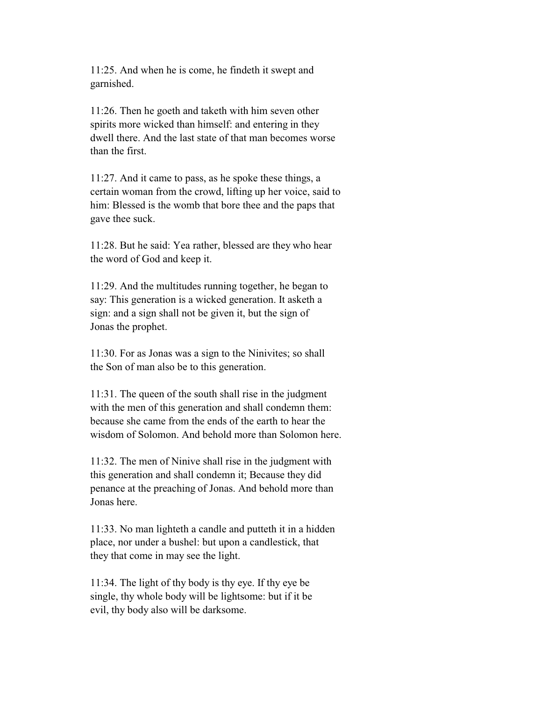11:25. And when he is come, he findeth it swept and garnished.

 11:26. Then he goeth and taketh with him seven other spirits more wicked than himself: and entering in they dwell there. And the last state of that man becomes worse than the first.

 11:27. And it came to pass, as he spoke these things, a certain woman from the crowd, lifting up her voice, said to him: Blessed is the womb that bore thee and the paps that gave thee suck.

 11:28. But he said: Yea rather, blessed are they who hear the word of God and keep it.

 11:29. And the multitudes running together, he began to say: This generation is a wicked generation. It asketh a sign: and a sign shall not be given it, but the sign of Jonas the prophet.

 11:30. For as Jonas was a sign to the Ninivites; so shall the Son of man also be to this generation.

 11:31. The queen of the south shall rise in the judgment with the men of this generation and shall condemn them: because she came from the ends of the earth to hear the wisdom of Solomon. And behold more than Solomon here.

 11:32. The men of Ninive shall rise in the judgment with this generation and shall condemn it; Because they did penance at the preaching of Jonas. And behold more than Jonas here.

 11:33. No man lighteth a candle and putteth it in a hidden place, nor under a bushel: but upon a candlestick, that they that come in may see the light.

 11:34. The light of thy body is thy eye. If thy eye be single, thy whole body will be lightsome: but if it be evil, thy body also will be darksome.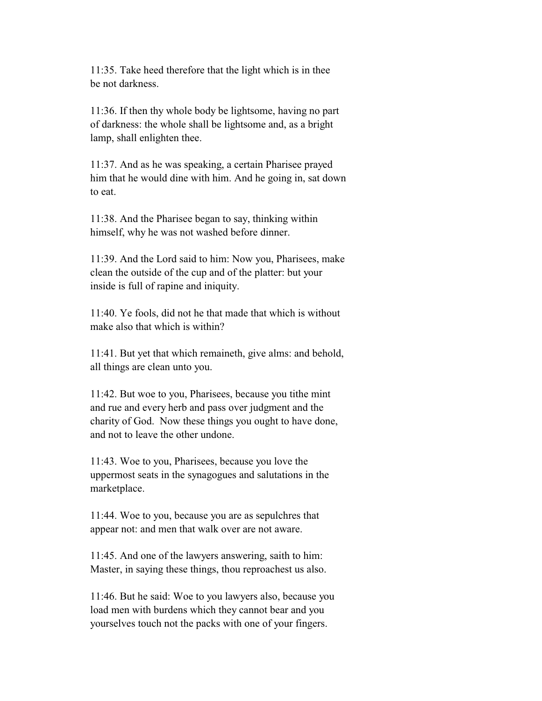11:35. Take heed therefore that the light which is in thee be not darkness.

 11:36. If then thy whole body be lightsome, having no part of darkness: the whole shall be lightsome and, as a bright lamp, shall enlighten thee.

 11:37. And as he was speaking, a certain Pharisee prayed him that he would dine with him. And he going in, sat down to eat.

 11:38. And the Pharisee began to say, thinking within himself, why he was not washed before dinner.

 11:39. And the Lord said to him: Now you, Pharisees, make clean the outside of the cup and of the platter: but your inside is full of rapine and iniquity.

 11:40. Ye fools, did not he that made that which is without make also that which is within?

 11:41. But yet that which remaineth, give alms: and behold, all things are clean unto you.

 11:42. But woe to you, Pharisees, because you tithe mint and rue and every herb and pass over judgment and the charity of God. Now these things you ought to have done, and not to leave the other undone.

 11:43. Woe to you, Pharisees, because you love the uppermost seats in the synagogues and salutations in the marketplace.

 11:44. Woe to you, because you are as sepulchres that appear not: and men that walk over are not aware.

 11:45. And one of the lawyers answering, saith to him: Master, in saying these things, thou reproachest us also.

 11:46. But he said: Woe to you lawyers also, because you load men with burdens which they cannot bear and you yourselves touch not the packs with one of your fingers.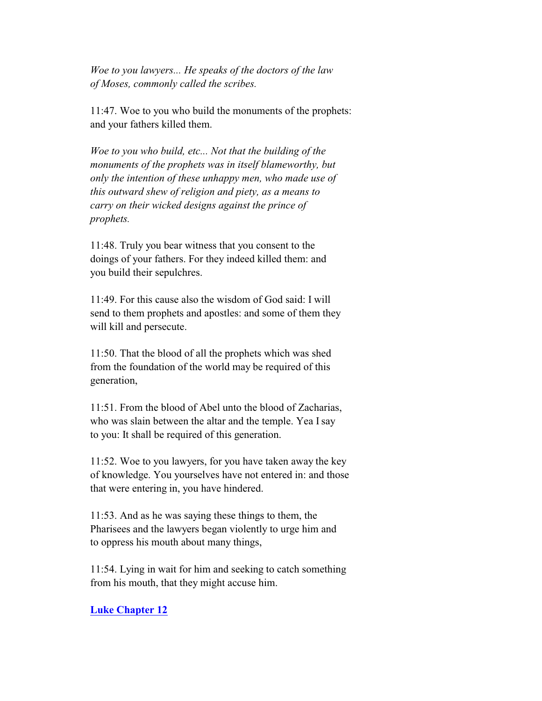*Woe to you lawyers... He speaks of the doctors of the law of Moses, commonly called the scribes.*

 11:47. Woe to you who build the monuments of the prophets: and your fathers killed them.

 *Woe to you who build, etc... Not that the building of the monuments of the prophets was in itself blameworthy, but only the intention of these unhappy men, who made use of this outward shew of religion and piety, as a means to carry on their wicked designs against the prince of prophets.*

 11:48. Truly you bear witness that you consent to the doings of your fathers. For they indeed killed them: and you build their sepulchres.

 11:49. For this cause also the wisdom of God said: I will send to them prophets and apostles: and some of them they will kill and persecute.

 11:50. That the blood of all the prophets which was shed from the foundation of the world may be required of this generation,

 11:51. From the blood of Abel unto the blood of Zacharias, who was slain between the altar and the temple. Yea I say to you: It shall be required of this generation.

 11:52. Woe to you lawyers, for you have taken away the key of knowledge. You yourselves have not entered in: and those that were entering in, you have hindered.

 11:53. And as he was saying these things to them, the Pharisees and the lawyers began violently to urge him and to oppress his mouth about many things,

 11:54. Lying in wait for him and seeking to catch something from his mouth, that they might accuse him.

### **Luke Chapter 12**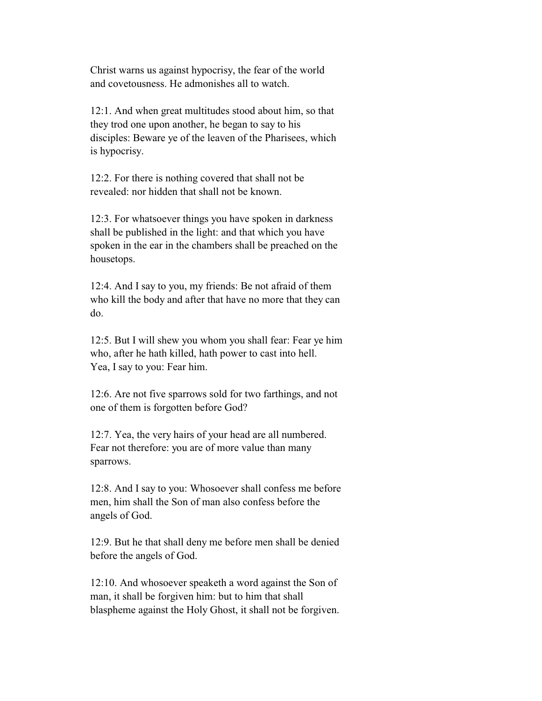Christ warns us against hypocrisy, the fear of the world and covetousness. He admonishes all to watch.

 12:1. And when great multitudes stood about him, so that they trod one upon another, he began to say to his disciples: Beware ye of the leaven of the Pharisees, which is hypocrisy.

 12:2. For there is nothing covered that shall not be revealed: nor hidden that shall not be known.

 12:3. For whatsoever things you have spoken in darkness shall be published in the light: and that which you have spoken in the ear in the chambers shall be preached on the housetops.

 12:4. And I say to you, my friends: Be not afraid of them who kill the body and after that have no more that they can do.

 12:5. But I will shew you whom you shall fear: Fear ye him who, after he hath killed, hath power to cast into hell. Yea, I say to you: Fear him.

 12:6. Are not five sparrows sold for two farthings, and not one of them is forgotten before God?

 12:7. Yea, the very hairs of your head are all numbered. Fear not therefore: you are of more value than many sparrows.

 12:8. And I say to you: Whosoever shall confess me before men, him shall the Son of man also confess before the angels of God.

 12:9. But he that shall deny me before men shall be denied before the angels of God.

 12:10. And whosoever speaketh a word against the Son of man, it shall be forgiven him: but to him that shall blaspheme against the Holy Ghost, it shall not be forgiven.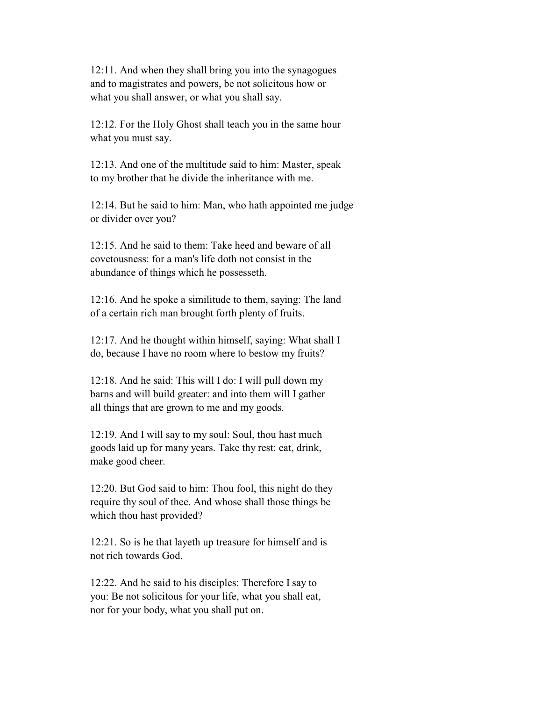12:11. And when they shall bring you into the synagogues and to magistrates and powers, be not solicitous how or what you shall answer, or what you shall say.

 12:12. For the Holy Ghost shall teach you in the same hour what you must say.

 12:13. And one of the multitude said to him: Master, speak to my brother that he divide the inheritance with me.

 12:14. But he said to him: Man, who hath appointed me judge or divider over you?

 12:15. And he said to them: Take heed and beware of all covetousness: for a man's life doth not consist in the abundance of things which he possesseth.

 12:16. And he spoke a similitude to them, saying: The land of a certain rich man brought forth plenty of fruits.

 12:17. And he thought within himself, saying: What shall I do, because I have no room where to bestow my fruits?

 12:18. And he said: This will I do: I will pull down my barns and will build greater: and into them will I gather all things that are grown to me and my goods.

 12:19. And I will say to my soul: Soul, thou hast much goods laid up for many years. Take thy rest: eat, drink, make good cheer.

 12:20. But God said to him: Thou fool, this night do they require thy soul of thee. And whose shall those things be which thou hast provided?

 12:21. So is he that layeth up treasure for himself and is not rich towards God.

 12:22. And he said to his disciples: Therefore I say to you: Be not solicitous for your life, what you shall eat, nor for your body, what you shall put on.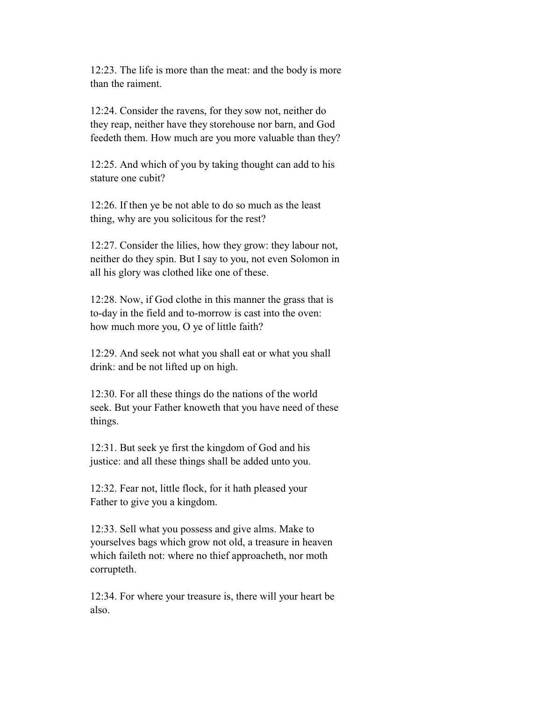12:23. The life is more than the meat: and the body is more than the raiment.

 12:24. Consider the ravens, for they sow not, neither do they reap, neither have they storehouse nor barn, and God feedeth them. How much are you more valuable than they?

 12:25. And which of you by taking thought can add to his stature one cubit?

 12:26. If then ye be not able to do so much as the least thing, why are you solicitous for the rest?

 12:27. Consider the lilies, how they grow: they labour not, neither do they spin. But I say to you, not even Solomon in all his glory was clothed like one of these.

 12:28. Now, if God clothe in this manner the grass that is to-day in the field and to-morrow is cast into the oven: how much more you, O ye of little faith?

 12:29. And seek not what you shall eat or what you shall drink: and be not lifted up on high.

 12:30. For all these things do the nations of the world seek. But your Father knoweth that you have need of these things.

 12:31. But seek ye first the kingdom of God and his justice: and all these things shall be added unto you.

 12:32. Fear not, little flock, for it hath pleased your Father to give you a kingdom.

 12:33. Sell what you possess and give alms. Make to yourselves bags which grow not old, a treasure in heaven which faileth not: where no thief approacheth, nor moth corrupteth.

 12:34. For where your treasure is, there will your heart be also.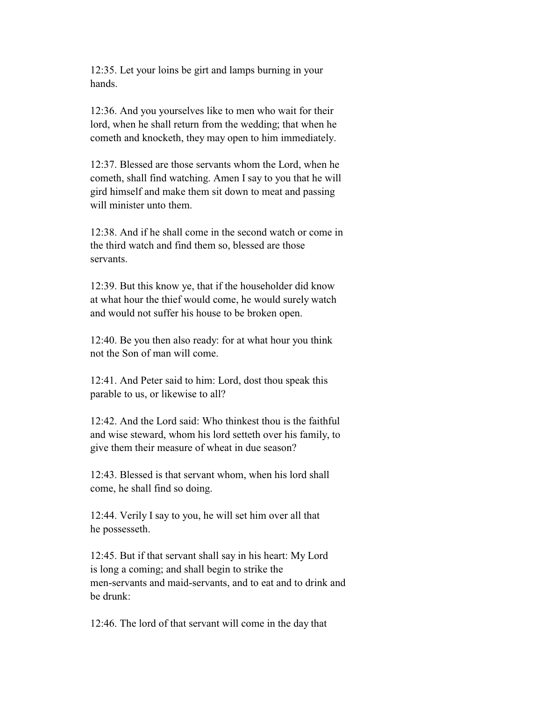12:35. Let your loins be girt and lamps burning in your hands.

 12:36. And you yourselves like to men who wait for their lord, when he shall return from the wedding; that when he cometh and knocketh, they may open to him immediately.

 12:37. Blessed are those servants whom the Lord, when he cometh, shall find watching. Amen I say to you that he will gird himself and make them sit down to meat and passing will minister unto them.

 12:38. And if he shall come in the second watch or come in the third watch and find them so, blessed are those servants.

 12:39. But this know ye, that if the householder did know at what hour the thief would come, he would surely watch and would not suffer his house to be broken open.

 12:40. Be you then also ready: for at what hour you think not the Son of man will come.

 12:41. And Peter said to him: Lord, dost thou speak this parable to us, or likewise to all?

 12:42. And the Lord said: Who thinkest thou is the faithful and wise steward, whom his lord setteth over his family, to give them their measure of wheat in due season?

 12:43. Blessed is that servant whom, when his lord shall come, he shall find so doing.

 12:44. Verily I say to you, he will set him over all that he possesseth.

 12:45. But if that servant shall say in his heart: My Lord is long a coming; and shall begin to strike the men-servants and maid-servants, and to eat and to drink and be drunk:

12:46. The lord of that servant will come in the day that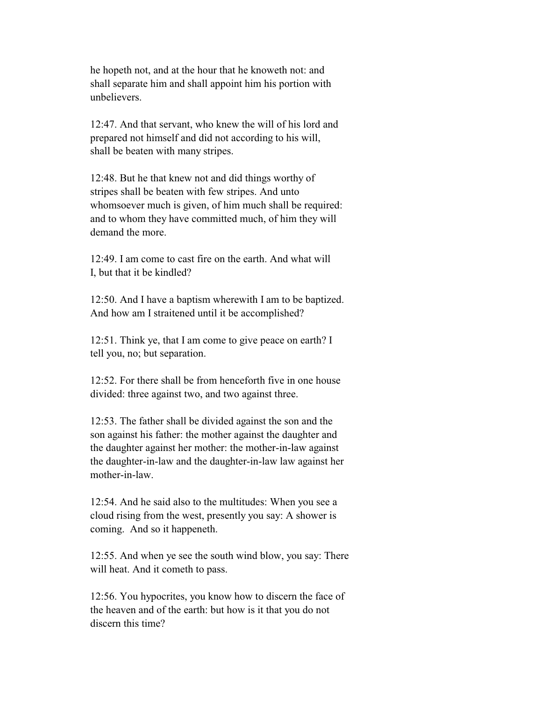he hopeth not, and at the hour that he knoweth not: and shall separate him and shall appoint him his portion with unbelievers.

 12:47. And that servant, who knew the will of his lord and prepared not himself and did not according to his will, shall be beaten with many stripes.

 12:48. But he that knew not and did things worthy of stripes shall be beaten with few stripes. And unto whomsoever much is given, of him much shall be required: and to whom they have committed much, of him they will demand the more.

 12:49. I am come to cast fire on the earth. And what will I, but that it be kindled?

 12:50. And I have a baptism wherewith I am to be baptized. And how am I straitened until it be accomplished?

 12:51. Think ye, that I am come to give peace on earth? I tell you, no; but separation.

 12:52. For there shall be from henceforth five in one house divided: three against two, and two against three.

 12:53. The father shall be divided against the son and the son against his father: the mother against the daughter and the daughter against her mother: the mother-in-law against the daughter-in-law and the daughter-in-law law against her mother-in-law.

 12:54. And he said also to the multitudes: When you see a cloud rising from the west, presently you say: A shower is coming. And so it happeneth.

 12:55. And when ye see the south wind blow, you say: There will heat. And it cometh to pass.

 12:56. You hypocrites, you know how to discern the face of the heaven and of the earth: but how is it that you do not discern this time?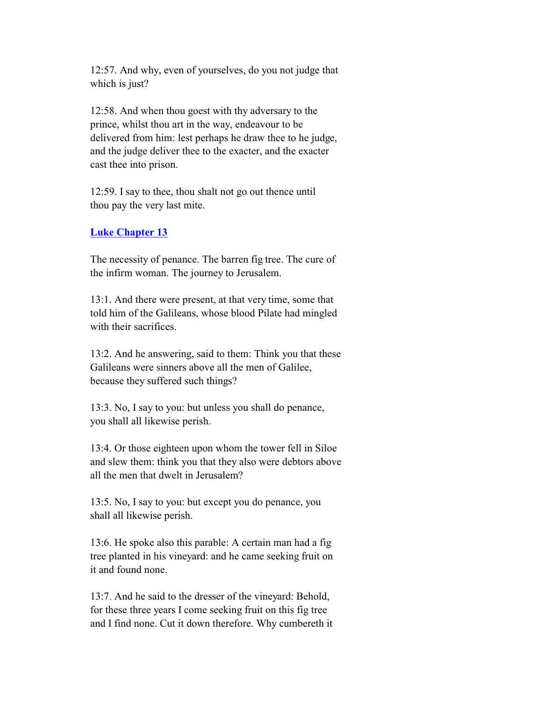12:57. And why, even of yourselves, do you not judge that which is just?

 12:58. And when thou goest with thy adversary to the prince, whilst thou art in the way, endeavour to be delivered from him: lest perhaps he draw thee to he judge, and the judge deliver thee to the exacter, and the exacter cast thee into prison.

 12:59. I say to thee, thou shalt not go out thence until thou pay the very last mite.

# **Luke Chapter 13**

 The necessity of penance. The barren fig tree. The cure of the infirm woman. The journey to Jerusalem.

 13:1. And there were present, at that very time, some that told him of the Galileans, whose blood Pilate had mingled with their sacrifices.

 13:2. And he answering, said to them: Think you that these Galileans were sinners above all the men of Galilee, because they suffered such things?

 13:3. No, I say to you: but unless you shall do penance, you shall all likewise perish.

 13:4. Or those eighteen upon whom the tower fell in Siloe and slew them: think you that they also were debtors above all the men that dwelt in Jerusalem?

 13:5. No, I say to you: but except you do penance, you shall all likewise perish.

 13:6. He spoke also this parable: A certain man had a fig tree planted in his vineyard: and he came seeking fruit on it and found none.

 13:7. And he said to the dresser of the vineyard: Behold, for these three years I come seeking fruit on this fig tree and I find none. Cut it down therefore. Why cumbereth it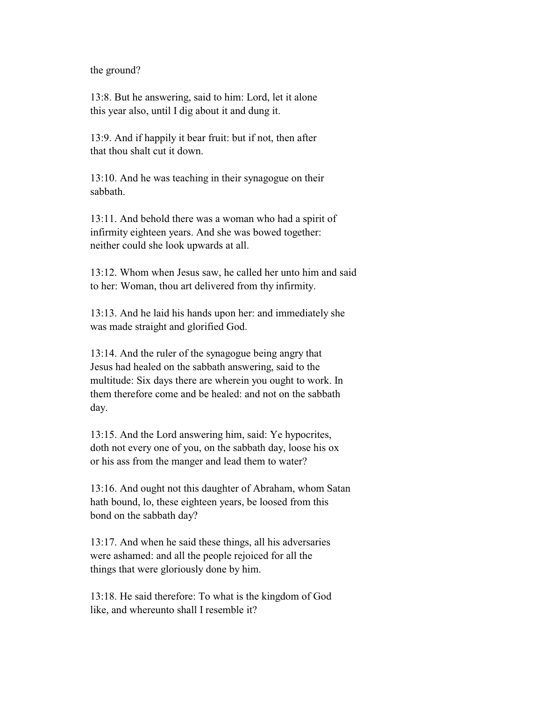the ground?

 13:8. But he answering, said to him: Lord, let it alone this year also, until I dig about it and dung it.

 13:9. And if happily it bear fruit: but if not, then after that thou shalt cut it down.

 13:10. And he was teaching in their synagogue on their sabbath.

 13:11. And behold there was a woman who had a spirit of infirmity eighteen years. And she was bowed together: neither could she look upwards at all.

 13:12. Whom when Jesus saw, he called her unto him and said to her: Woman, thou art delivered from thy infirmity.

 13:13. And he laid his hands upon her: and immediately she was made straight and glorified God.

 13:14. And the ruler of the synagogue being angry that Jesus had healed on the sabbath answering, said to the multitude: Six days there are wherein you ought to work. In them therefore come and be healed: and not on the sabbath day.

 13:15. And the Lord answering him, said: Ye hypocrites, doth not every one of you, on the sabbath day, loose his ox or his ass from the manger and lead them to water?

 13:16. And ought not this daughter of Abraham, whom Satan hath bound, lo, these eighteen years, be loosed from this bond on the sabbath day?

 13:17. And when he said these things, all his adversaries were ashamed: and all the people rejoiced for all the things that were gloriously done by him.

 13:18. He said therefore: To what is the kingdom of God like, and whereunto shall I resemble it?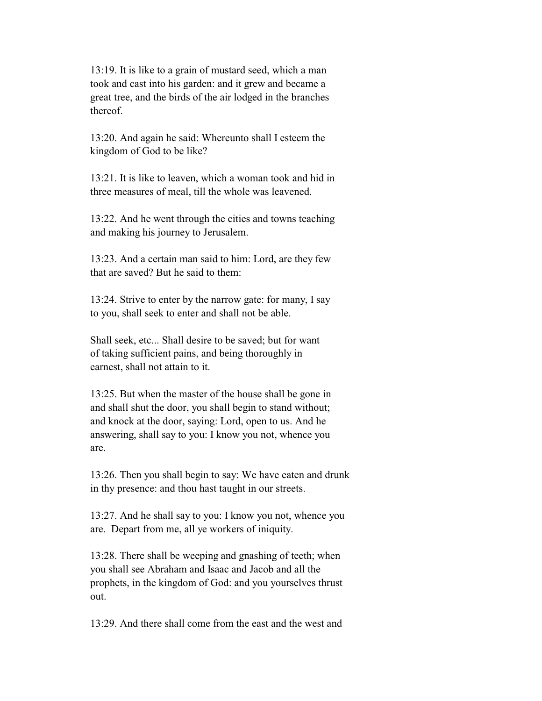13:19. It is like to a grain of mustard seed, which a man took and cast into his garden: and it grew and became a great tree, and the birds of the air lodged in the branches thereof.

 13:20. And again he said: Whereunto shall I esteem the kingdom of God to be like?

 13:21. It is like to leaven, which a woman took and hid in three measures of meal, till the whole was leavened.

 13:22. And he went through the cities and towns teaching and making his journey to Jerusalem.

 13:23. And a certain man said to him: Lord, are they few that are saved? But he said to them:

 13:24. Strive to enter by the narrow gate: for many, I say to you, shall seek to enter and shall not be able.

 Shall seek, etc... Shall desire to be saved; but for want of taking sufficient pains, and being thoroughly in earnest, shall not attain to it.

 13:25. But when the master of the house shall be gone in and shall shut the door, you shall begin to stand without; and knock at the door, saying: Lord, open to us. And he answering, shall say to you: I know you not, whence you are.

 13:26. Then you shall begin to say: We have eaten and drunk in thy presence: and thou hast taught in our streets.

 13:27. And he shall say to you: I know you not, whence you are. Depart from me, all ye workers of iniquity.

 13:28. There shall be weeping and gnashing of teeth; when you shall see Abraham and Isaac and Jacob and all the prophets, in the kingdom of God: and you yourselves thrust out.

13:29. And there shall come from the east and the west and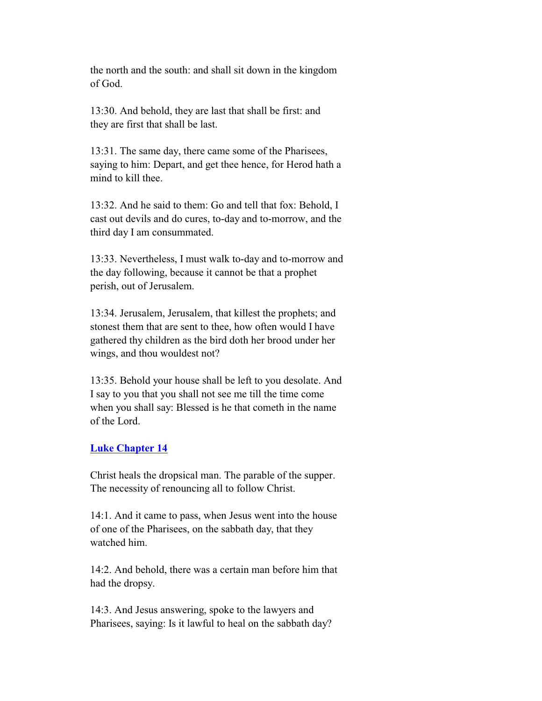the north and the south: and shall sit down in the kingdom of God.

 13:30. And behold, they are last that shall be first: and they are first that shall be last.

 13:31. The same day, there came some of the Pharisees, saying to him: Depart, and get thee hence, for Herod hath a mind to kill thee.

 13:32. And he said to them: Go and tell that fox: Behold, I cast out devils and do cures, to-day and to-morrow, and the third day I am consummated.

 13:33. Nevertheless, I must walk to-day and to-morrow and the day following, because it cannot be that a prophet perish, out of Jerusalem.

 13:34. Jerusalem, Jerusalem, that killest the prophets; and stonest them that are sent to thee, how often would I have gathered thy children as the bird doth her brood under her wings, and thou wouldest not?

 13:35. Behold your house shall be left to you desolate. And I say to you that you shall not see me till the time come when you shall say: Blessed is he that cometh in the name of the Lord.

### **Luke Chapter 14**

 Christ heals the dropsical man. The parable of the supper. The necessity of renouncing all to follow Christ.

 14:1. And it came to pass, when Jesus went into the house of one of the Pharisees, on the sabbath day, that they watched him.

 14:2. And behold, there was a certain man before him that had the dropsy.

 14:3. And Jesus answering, spoke to the lawyers and Pharisees, saying: Is it lawful to heal on the sabbath day?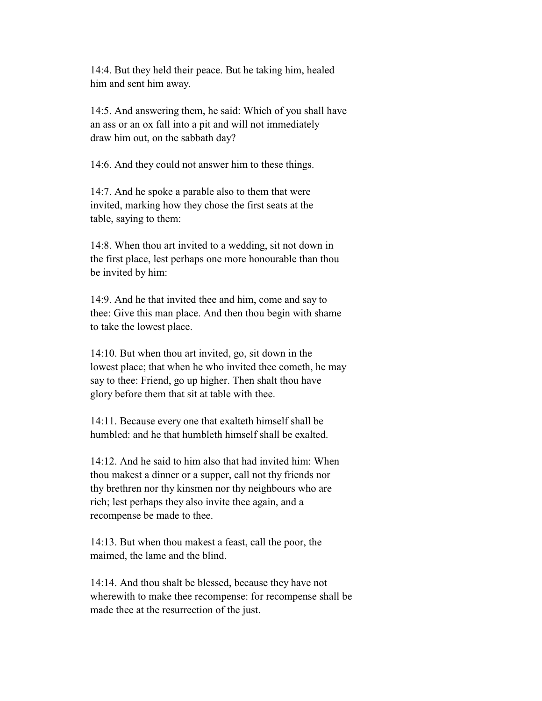14:4. But they held their peace. But he taking him, healed him and sent him away.

 14:5. And answering them, he said: Which of you shall have an ass or an ox fall into a pit and will not immediately draw him out, on the sabbath day?

14:6. And they could not answer him to these things.

 14:7. And he spoke a parable also to them that were invited, marking how they chose the first seats at the table, saying to them:

 14:8. When thou art invited to a wedding, sit not down in the first place, lest perhaps one more honourable than thou be invited by him:

 14:9. And he that invited thee and him, come and say to thee: Give this man place. And then thou begin with shame to take the lowest place.

 14:10. But when thou art invited, go, sit down in the lowest place; that when he who invited thee cometh, he may say to thee: Friend, go up higher. Then shalt thou have glory before them that sit at table with thee.

 14:11. Because every one that exalteth himself shall be humbled: and he that humbleth himself shall be exalted.

 14:12. And he said to him also that had invited him: When thou makest a dinner or a supper, call not thy friends nor thy brethren nor thy kinsmen nor thy neighbours who are rich; lest perhaps they also invite thee again, and a recompense be made to thee.

 14:13. But when thou makest a feast, call the poor, the maimed, the lame and the blind.

 14:14. And thou shalt be blessed, because they have not wherewith to make thee recompense: for recompense shall be made thee at the resurrection of the just.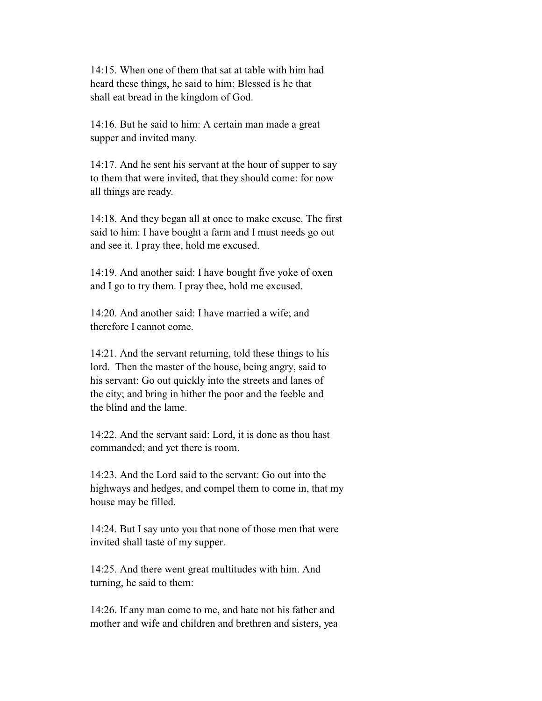14:15. When one of them that sat at table with him had heard these things, he said to him: Blessed is he that shall eat bread in the kingdom of God.

 14:16. But he said to him: A certain man made a great supper and invited many.

 14:17. And he sent his servant at the hour of supper to say to them that were invited, that they should come: for now all things are ready.

 14:18. And they began all at once to make excuse. The first said to him: I have bought a farm and I must needs go out and see it. I pray thee, hold me excused.

 14:19. And another said: I have bought five yoke of oxen and I go to try them. I pray thee, hold me excused.

 14:20. And another said: I have married a wife; and therefore I cannot come.

 14:21. And the servant returning, told these things to his lord. Then the master of the house, being angry, said to his servant: Go out quickly into the streets and lanes of the city; and bring in hither the poor and the feeble and the blind and the lame.

 14:22. And the servant said: Lord, it is done as thou hast commanded; and yet there is room.

 14:23. And the Lord said to the servant: Go out into the highways and hedges, and compel them to come in, that my house may be filled.

 14:24. But I say unto you that none of those men that were invited shall taste of my supper.

 14:25. And there went great multitudes with him. And turning, he said to them:

 14:26. If any man come to me, and hate not his father and mother and wife and children and brethren and sisters, yea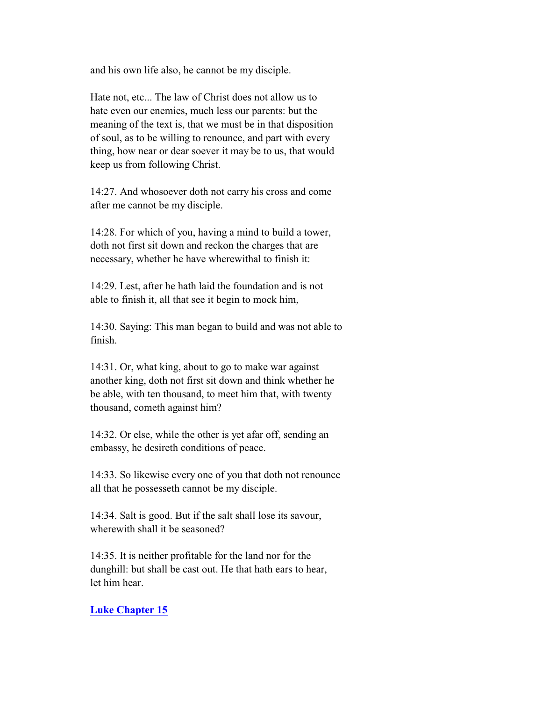and his own life also, he cannot be my disciple.

 Hate not, etc... The law of Christ does not allow us to hate even our enemies, much less our parents: but the meaning of the text is, that we must be in that disposition of soul, as to be willing to renounce, and part with every thing, how near or dear soever it may be to us, that would keep us from following Christ.

 14:27. And whosoever doth not carry his cross and come after me cannot be my disciple.

 14:28. For which of you, having a mind to build a tower, doth not first sit down and reckon the charges that are necessary, whether he have wherewithal to finish it:

 14:29. Lest, after he hath laid the foundation and is not able to finish it, all that see it begin to mock him,

 14:30. Saying: This man began to build and was not able to finish.

 14:31. Or, what king, about to go to make war against another king, doth not first sit down and think whether he be able, with ten thousand, to meet him that, with twenty thousand, cometh against him?

 14:32. Or else, while the other is yet afar off, sending an embassy, he desireth conditions of peace.

 14:33. So likewise every one of you that doth not renounce all that he possesseth cannot be my disciple.

 14:34. Salt is good. But if the salt shall lose its savour, wherewith shall it be seasoned?

 14:35. It is neither profitable for the land nor for the dunghill: but shall be cast out. He that hath ears to hear, let him hear.

### **Luke Chapter 15**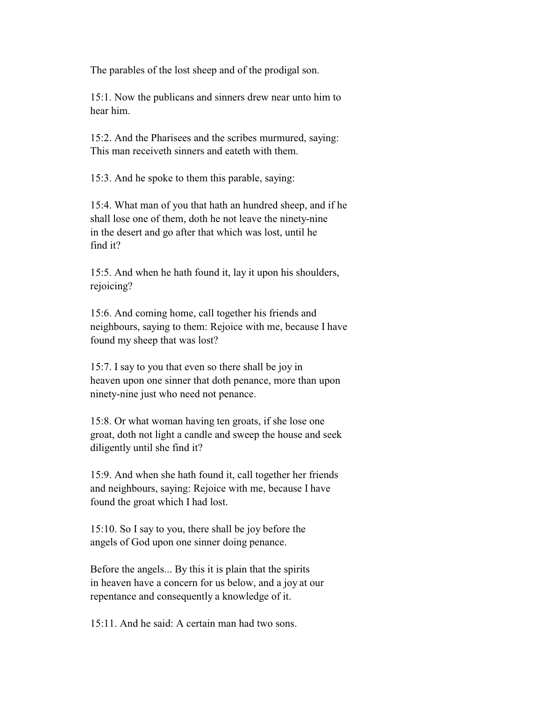The parables of the lost sheep and of the prodigal son.

 15:1. Now the publicans and sinners drew near unto him to hear him.

 15:2. And the Pharisees and the scribes murmured, saying: This man receiveth sinners and eateth with them.

15:3. And he spoke to them this parable, saying:

 15:4. What man of you that hath an hundred sheep, and if he shall lose one of them, doth he not leave the ninety-nine in the desert and go after that which was lost, until he find it?

 15:5. And when he hath found it, lay it upon his shoulders, rejoicing?

 15:6. And coming home, call together his friends and neighbours, saying to them: Rejoice with me, because I have found my sheep that was lost?

 15:7. I say to you that even so there shall be joy in heaven upon one sinner that doth penance, more than upon ninety-nine just who need not penance.

 15:8. Or what woman having ten groats, if she lose one groat, doth not light a candle and sweep the house and seek diligently until she find it?

 15:9. And when she hath found it, call together her friends and neighbours, saying: Rejoice with me, because I have found the groat which I had lost.

 15:10. So I say to you, there shall be joy before the angels of God upon one sinner doing penance.

 Before the angels... By this it is plain that the spirits in heaven have a concern for us below, and a joy at our repentance and consequently a knowledge of it.

15:11. And he said: A certain man had two sons.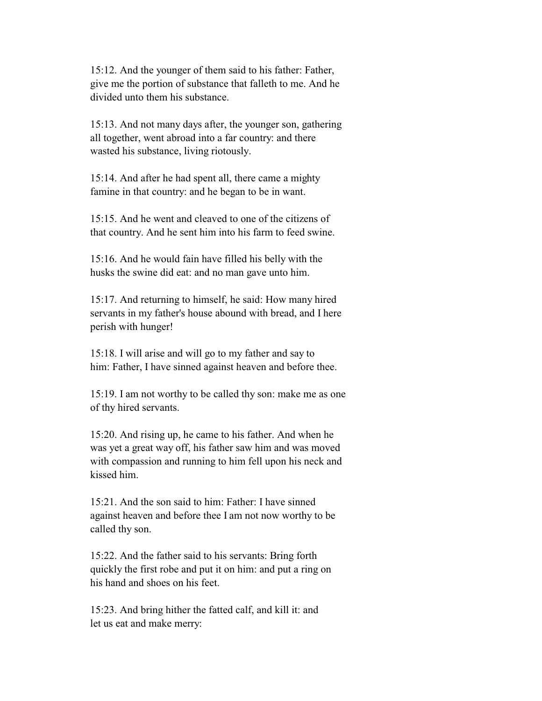15:12. And the younger of them said to his father: Father, give me the portion of substance that falleth to me. And he divided unto them his substance.

 15:13. And not many days after, the younger son, gathering all together, went abroad into a far country: and there wasted his substance, living riotously.

 15:14. And after he had spent all, there came a mighty famine in that country: and he began to be in want.

 15:15. And he went and cleaved to one of the citizens of that country. And he sent him into his farm to feed swine.

 15:16. And he would fain have filled his belly with the husks the swine did eat: and no man gave unto him.

 15:17. And returning to himself, he said: How many hired servants in my father's house abound with bread, and I here perish with hunger!

 15:18. I will arise and will go to my father and say to him: Father, I have sinned against heaven and before thee.

 15:19. I am not worthy to be called thy son: make me as one of thy hired servants.

 15:20. And rising up, he came to his father. And when he was yet a great way off, his father saw him and was moved with compassion and running to him fell upon his neck and kissed him.

 15:21. And the son said to him: Father: I have sinned against heaven and before thee I am not now worthy to be called thy son.

 15:22. And the father said to his servants: Bring forth quickly the first robe and put it on him: and put a ring on his hand and shoes on his feet.

 15:23. And bring hither the fatted calf, and kill it: and let us eat and make merry: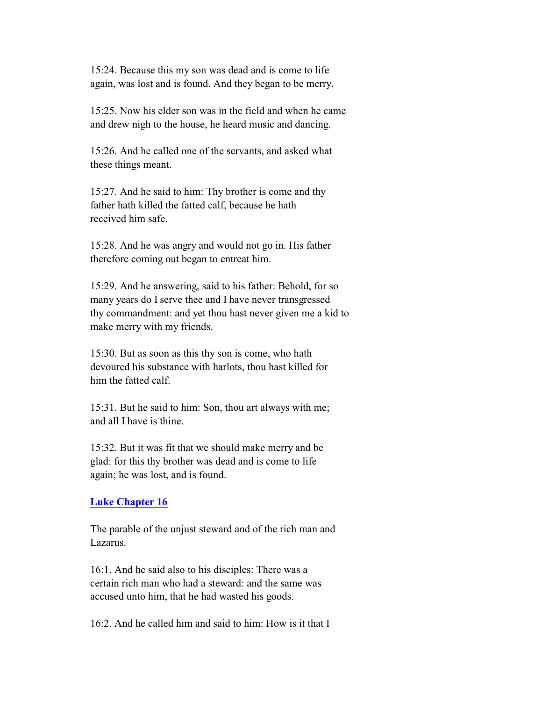15:24. Because this my son was dead and is come to life again, was lost and is found. And they began to be merry.

 15:25. Now his elder son was in the field and when he came and drew nigh to the house, he heard music and dancing.

 15:26. And he called one of the servants, and asked what these things meant.

 15:27. And he said to him: Thy brother is come and thy father hath killed the fatted calf, because he hath received him safe.

 15:28. And he was angry and would not go in. His father therefore coming out began to entreat him.

 15:29. And he answering, said to his father: Behold, for so many years do I serve thee and I have never transgressed thy commandment: and yet thou hast never given me a kid to make merry with my friends.

 15:30. But as soon as this thy son is come, who hath devoured his substance with harlots, thou hast killed for him the fatted calf.

 15:31. But he said to him: Son, thou art always with me; and all I have is thine.

 15:32. But it was fit that we should make merry and be glad: for this thy brother was dead and is come to life again; he was lost, and is found.

### **Luke Chapter 16**

 The parable of the unjust steward and of the rich man and Lazarus.

 16:1. And he said also to his disciples: There was a certain rich man who had a steward: and the same was accused unto him, that he had wasted his goods.

16:2. And he called him and said to him: How is it that I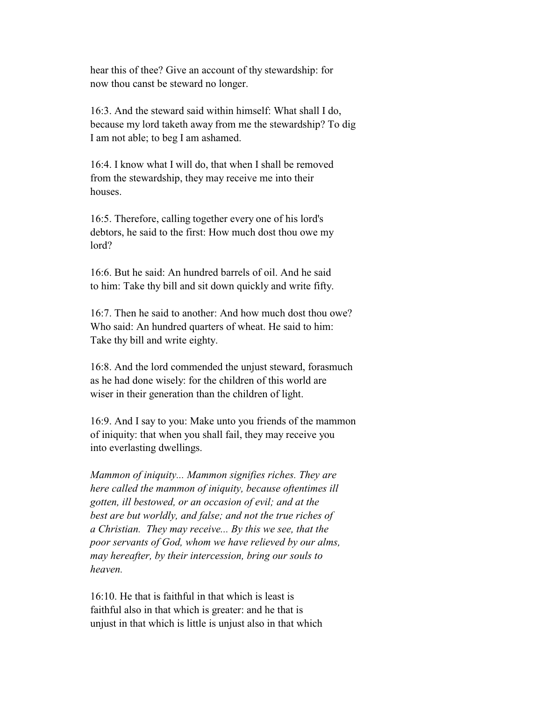hear this of thee? Give an account of thy stewardship: for now thou canst be steward no longer.

 16:3. And the steward said within himself: What shall I do, because my lord taketh away from me the stewardship? To dig I am not able; to beg I am ashamed.

 16:4. I know what I will do, that when I shall be removed from the stewardship, they may receive me into their houses.

 16:5. Therefore, calling together every one of his lord's debtors, he said to the first: How much dost thou owe my lord?

 16:6. But he said: An hundred barrels of oil. And he said to him: Take thy bill and sit down quickly and write fifty.

 16:7. Then he said to another: And how much dost thou owe? Who said: An hundred quarters of wheat. He said to him: Take thy bill and write eighty.

 16:8. And the lord commended the unjust steward, forasmuch as he had done wisely: for the children of this world are wiser in their generation than the children of light.

 16:9. And I say to you: Make unto you friends of the mammon of iniquity: that when you shall fail, they may receive you into everlasting dwellings.

 *Mammon of iniquity... Mammon signifies riches. They are here called the mammon of iniquity, because oftentimes ill gotten, ill bestowed, or an occasion of evil; and at the best are but worldly, and false; and not the true riches of a Christian. They may receive... By this we see, that the poor servants of God, whom we have relieved by our alms, may hereafter, by their intercession, bring our souls to heaven.*

 16:10. He that is faithful in that which is least is faithful also in that which is greater: and he that is unjust in that which is little is unjust also in that which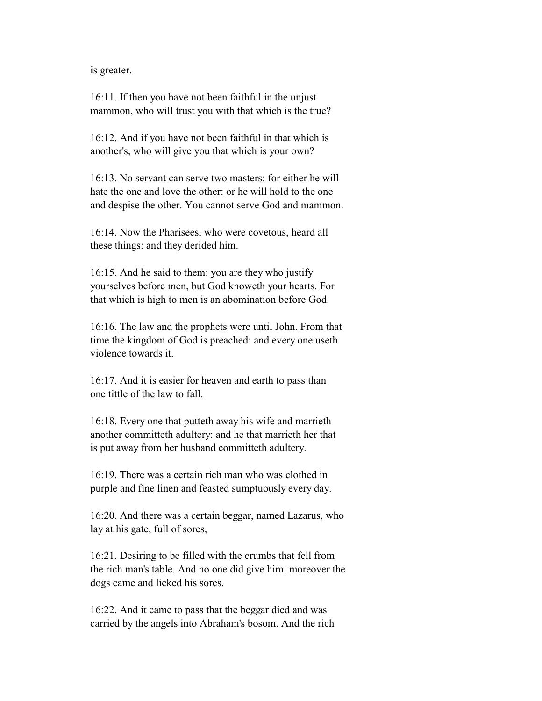is greater.

 16:11. If then you have not been faithful in the unjust mammon, who will trust you with that which is the true?

 16:12. And if you have not been faithful in that which is another's, who will give you that which is your own?

 16:13. No servant can serve two masters: for either he will hate the one and love the other: or he will hold to the one and despise the other. You cannot serve God and mammon.

 16:14. Now the Pharisees, who were covetous, heard all these things: and they derided him.

 16:15. And he said to them: you are they who justify yourselves before men, but God knoweth your hearts. For that which is high to men is an abomination before God.

 16:16. The law and the prophets were until John. From that time the kingdom of God is preached: and every one useth violence towards it.

 16:17. And it is easier for heaven and earth to pass than one tittle of the law to fall.

 16:18. Every one that putteth away his wife and marrieth another committeth adultery: and he that marrieth her that is put away from her husband committeth adultery.

 16:19. There was a certain rich man who was clothed in purple and fine linen and feasted sumptuously every day.

 16:20. And there was a certain beggar, named Lazarus, who lay at his gate, full of sores,

 16:21. Desiring to be filled with the crumbs that fell from the rich man's table. And no one did give him: moreover the dogs came and licked his sores.

 16:22. And it came to pass that the beggar died and was carried by the angels into Abraham's bosom. And the rich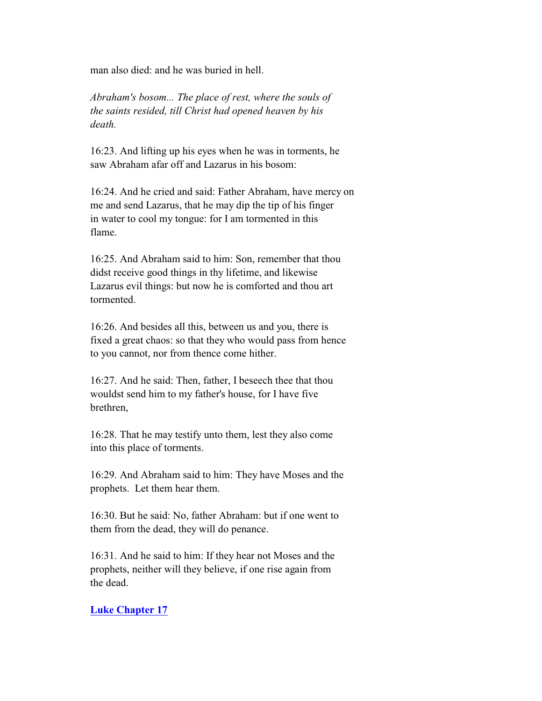man also died: and he was buried in hell.

 *Abraham's bosom... The place of rest, where the souls of the saints resided, till Christ had opened heaven by his death.*

 16:23. And lifting up his eyes when he was in torments, he saw Abraham afar off and Lazarus in his bosom:

 16:24. And he cried and said: Father Abraham, have mercy on me and send Lazarus, that he may dip the tip of his finger in water to cool my tongue: for I am tormented in this flame.

 16:25. And Abraham said to him: Son, remember that thou didst receive good things in thy lifetime, and likewise Lazarus evil things: but now he is comforted and thou art tormented.

 16:26. And besides all this, between us and you, there is fixed a great chaos: so that they who would pass from hence to you cannot, nor from thence come hither.

 16:27. And he said: Then, father, I beseech thee that thou wouldst send him to my father's house, for I have five brethren,

 16:28. That he may testify unto them, lest they also come into this place of torments.

 16:29. And Abraham said to him: They have Moses and the prophets. Let them hear them.

 16:30. But he said: No, father Abraham: but if one went to them from the dead, they will do penance.

 16:31. And he said to him: If they hear not Moses and the prophets, neither will they believe, if one rise again from the dead.

### **Luke Chapter 17**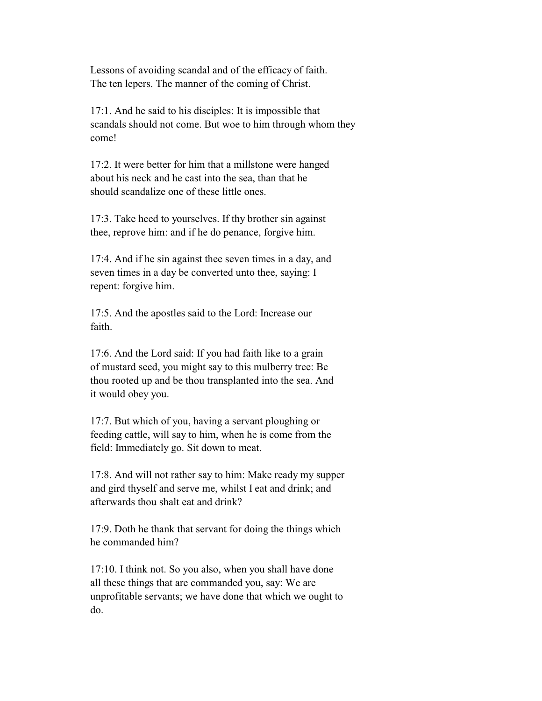Lessons of avoiding scandal and of the efficacy of faith. The ten lepers. The manner of the coming of Christ.

 17:1. And he said to his disciples: It is impossible that scandals should not come. But woe to him through whom they come!

 17:2. It were better for him that a millstone were hanged about his neck and he cast into the sea, than that he should scandalize one of these little ones.

 17:3. Take heed to yourselves. If thy brother sin against thee, reprove him: and if he do penance, forgive him.

 17:4. And if he sin against thee seven times in a day, and seven times in a day be converted unto thee, saying: I repent: forgive him.

 17:5. And the apostles said to the Lord: Increase our faith.

 17:6. And the Lord said: If you had faith like to a grain of mustard seed, you might say to this mulberry tree: Be thou rooted up and be thou transplanted into the sea. And it would obey you.

 17:7. But which of you, having a servant ploughing or feeding cattle, will say to him, when he is come from the field: Immediately go. Sit down to meat.

 17:8. And will not rather say to him: Make ready my supper and gird thyself and serve me, whilst I eat and drink; and afterwards thou shalt eat and drink?

 17:9. Doth he thank that servant for doing the things which he commanded him?

 17:10. I think not. So you also, when you shall have done all these things that are commanded you, say: We are unprofitable servants; we have done that which we ought to do.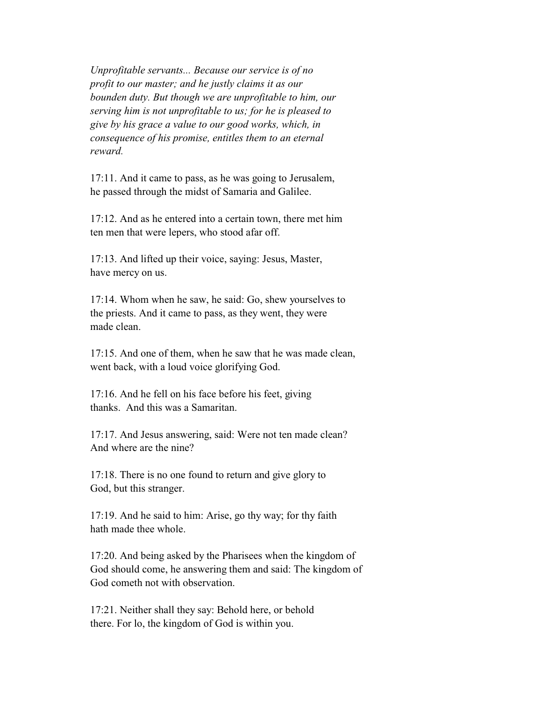*Unprofitable servants... Because our service is of no profit to our master; and he justly claims it as our bounden duty. But though we are unprofitable to him, our serving him is not unprofitable to us; for he is pleased to give by his grace a value to our good works, which, in consequence of his promise, entitles them to an eternal reward.*

 17:11. And it came to pass, as he was going to Jerusalem, he passed through the midst of Samaria and Galilee.

 17:12. And as he entered into a certain town, there met him ten men that were lepers, who stood afar off.

 17:13. And lifted up their voice, saying: Jesus, Master, have mercy on us.

 17:14. Whom when he saw, he said: Go, shew yourselves to the priests. And it came to pass, as they went, they were made clean.

 17:15. And one of them, when he saw that he was made clean, went back, with a loud voice glorifying God.

 17:16. And he fell on his face before his feet, giving thanks. And this was a Samaritan.

 17:17. And Jesus answering, said: Were not ten made clean? And where are the nine?

 17:18. There is no one found to return and give glory to God, but this stranger.

 17:19. And he said to him: Arise, go thy way; for thy faith hath made thee whole.

 17:20. And being asked by the Pharisees when the kingdom of God should come, he answering them and said: The kingdom of God cometh not with observation.

 17:21. Neither shall they say: Behold here, or behold there. For lo, the kingdom of God is within you.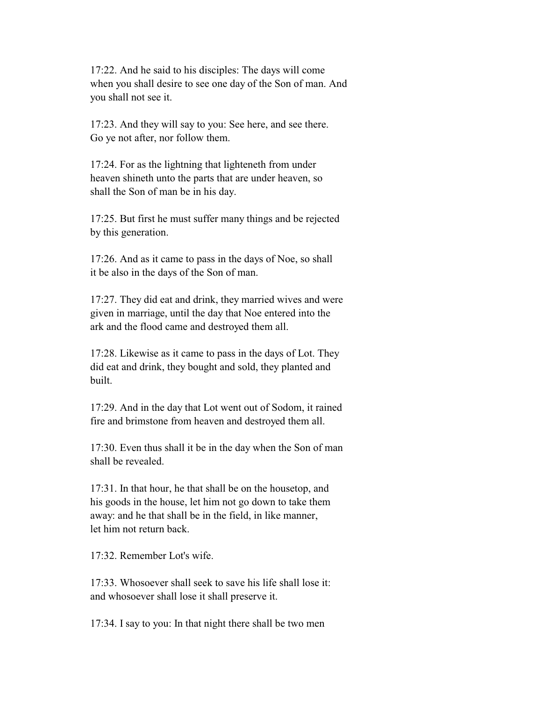17:22. And he said to his disciples: The days will come when you shall desire to see one day of the Son of man. And you shall not see it.

 17:23. And they will say to you: See here, and see there. Go ye not after, nor follow them.

 17:24. For as the lightning that lighteneth from under heaven shineth unto the parts that are under heaven, so shall the Son of man be in his day.

 17:25. But first he must suffer many things and be rejected by this generation.

 17:26. And as it came to pass in the days of Noe, so shall it be also in the days of the Son of man.

 17:27. They did eat and drink, they married wives and were given in marriage, until the day that Noe entered into the ark and the flood came and destroyed them all.

 17:28. Likewise as it came to pass in the days of Lot. They did eat and drink, they bought and sold, they planted and built.

 17:29. And in the day that Lot went out of Sodom, it rained fire and brimstone from heaven and destroyed them all.

 17:30. Even thus shall it be in the day when the Son of man shall be revealed.

 17:31. In that hour, he that shall be on the housetop, and his goods in the house, let him not go down to take them away: and he that shall be in the field, in like manner, let him not return back.

17:32. Remember Lot's wife.

 17:33. Whosoever shall seek to save his life shall lose it: and whosoever shall lose it shall preserve it.

17:34. I say to you: In that night there shall be two men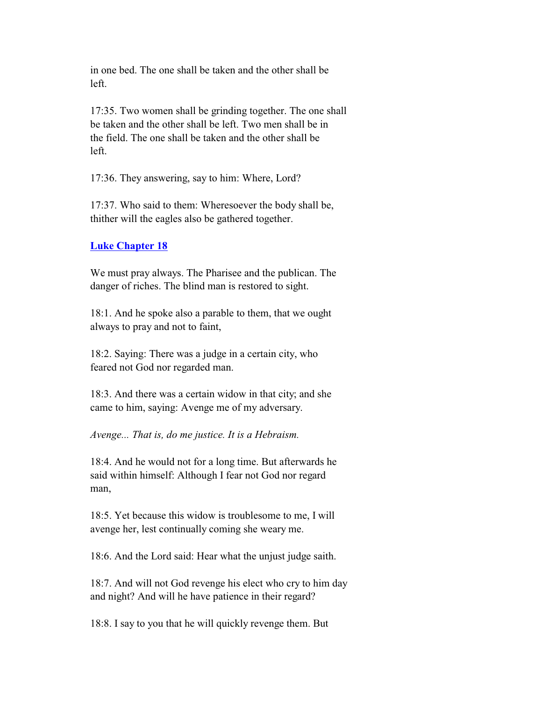in one bed. The one shall be taken and the other shall be left.

 17:35. Two women shall be grinding together. The one shall be taken and the other shall be left. Two men shall be in the field. The one shall be taken and the other shall be left.

17:36. They answering, say to him: Where, Lord?

 17:37. Who said to them: Wheresoever the body shall be, thither will the eagles also be gathered together.

## **Luke Chapter 18**

 We must pray always. The Pharisee and the publican. The danger of riches. The blind man is restored to sight.

 18:1. And he spoke also a parable to them, that we ought always to pray and not to faint,

 18:2. Saying: There was a judge in a certain city, who feared not God nor regarded man.

 18:3. And there was a certain widow in that city; and she came to him, saying: Avenge me of my adversary.

*Avenge... That is, do me justice. It is a Hebraism.*

 18:4. And he would not for a long time. But afterwards he said within himself: Although I fear not God nor regard man,

 18:5. Yet because this widow is troublesome to me, I will avenge her, lest continually coming she weary me.

18:6. And the Lord said: Hear what the unjust judge saith.

 18:7. And will not God revenge his elect who cry to him day and night? And will he have patience in their regard?

18:8. I say to you that he will quickly revenge them. But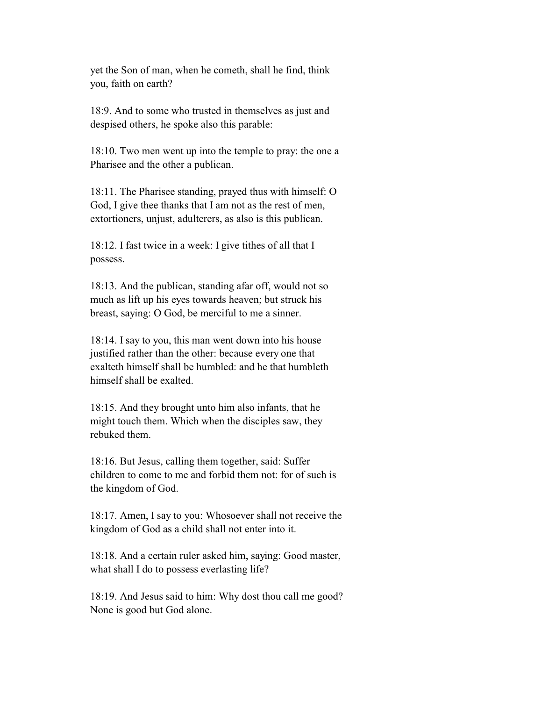yet the Son of man, when he cometh, shall he find, think you, faith on earth?

 18:9. And to some who trusted in themselves as just and despised others, he spoke also this parable:

 18:10. Two men went up into the temple to pray: the one a Pharisee and the other a publican.

 18:11. The Pharisee standing, prayed thus with himself: O God, I give thee thanks that I am not as the rest of men, extortioners, unjust, adulterers, as also is this publican.

 18:12. I fast twice in a week: I give tithes of all that I possess.

 18:13. And the publican, standing afar off, would not so much as lift up his eyes towards heaven; but struck his breast, saying: O God, be merciful to me a sinner.

 18:14. I say to you, this man went down into his house justified rather than the other: because every one that exalteth himself shall be humbled: and he that humbleth himself shall be exalted.

 18:15. And they brought unto him also infants, that he might touch them. Which when the disciples saw, they rebuked them.

 18:16. But Jesus, calling them together, said: Suffer children to come to me and forbid them not: for of such is the kingdom of God.

 18:17. Amen, I say to you: Whosoever shall not receive the kingdom of God as a child shall not enter into it.

 18:18. And a certain ruler asked him, saying: Good master, what shall I do to possess everlasting life?

 18:19. And Jesus said to him: Why dost thou call me good? None is good but God alone.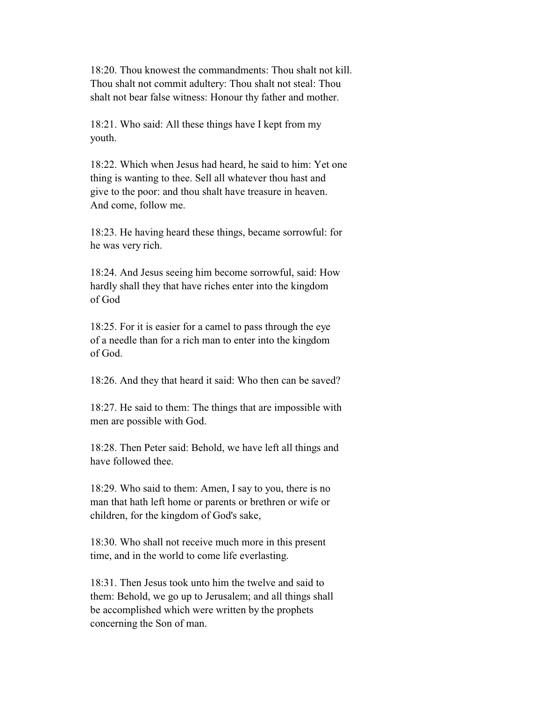18:20. Thou knowest the commandments: Thou shalt not kill. Thou shalt not commit adultery: Thou shalt not steal: Thou shalt not bear false witness: Honour thy father and mother.

 18:21. Who said: All these things have I kept from my youth.

 18:22. Which when Jesus had heard, he said to him: Yet one thing is wanting to thee. Sell all whatever thou hast and give to the poor: and thou shalt have treasure in heaven. And come, follow me.

 18:23. He having heard these things, became sorrowful: for he was very rich.

 18:24. And Jesus seeing him become sorrowful, said: How hardly shall they that have riches enter into the kingdom of God

 18:25. For it is easier for a camel to pass through the eye of a needle than for a rich man to enter into the kingdom of God.

18:26. And they that heard it said: Who then can be saved?

 18:27. He said to them: The things that are impossible with men are possible with God.

 18:28. Then Peter said: Behold, we have left all things and have followed thee.

 18:29. Who said to them: Amen, I say to you, there is no man that hath left home or parents or brethren or wife or children, for the kingdom of God's sake,

 18:30. Who shall not receive much more in this present time, and in the world to come life everlasting.

 18:31. Then Jesus took unto him the twelve and said to them: Behold, we go up to Jerusalem; and all things shall be accomplished which were written by the prophets concerning the Son of man.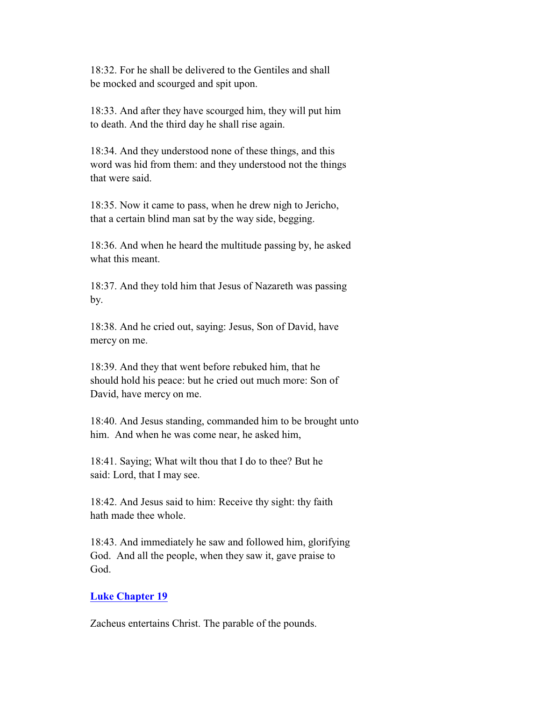18:32. For he shall be delivered to the Gentiles and shall be mocked and scourged and spit upon.

 18:33. And after they have scourged him, they will put him to death. And the third day he shall rise again.

 18:34. And they understood none of these things, and this word was hid from them: and they understood not the things that were said.

 18:35. Now it came to pass, when he drew nigh to Jericho, that a certain blind man sat by the way side, begging.

 18:36. And when he heard the multitude passing by, he asked what this meant.

 18:37. And they told him that Jesus of Nazareth was passing by.

 18:38. And he cried out, saying: Jesus, Son of David, have mercy on me.

 18:39. And they that went before rebuked him, that he should hold his peace: but he cried out much more: Son of David, have mercy on me.

 18:40. And Jesus standing, commanded him to be brought unto him. And when he was come near, he asked him,

 18:41. Saying; What wilt thou that I do to thee? But he said: Lord, that I may see.

 18:42. And Jesus said to him: Receive thy sight: thy faith hath made thee whole.

 18:43. And immediately he saw and followed him, glorifying God. And all the people, when they saw it, gave praise to God.

# **Luke Chapter 19**

Zacheus entertains Christ. The parable of the pounds.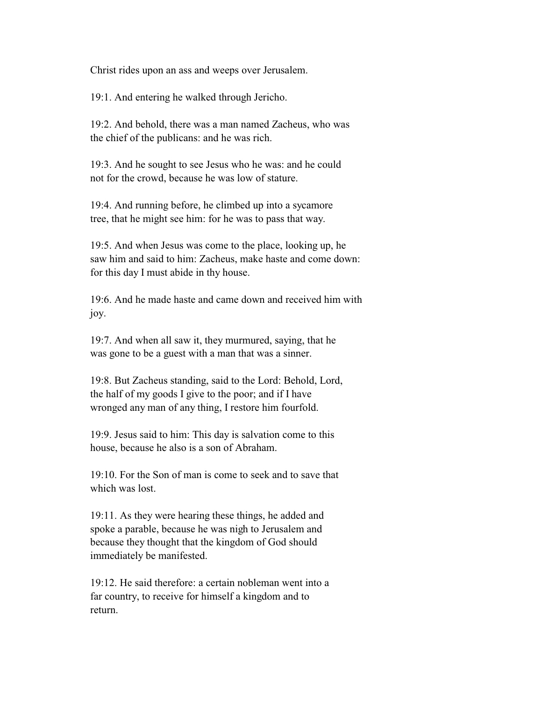Christ rides upon an ass and weeps over Jerusalem.

19:1. And entering he walked through Jericho.

 19:2. And behold, there was a man named Zacheus, who was the chief of the publicans: and he was rich.

 19:3. And he sought to see Jesus who he was: and he could not for the crowd, because he was low of stature.

 19:4. And running before, he climbed up into a sycamore tree, that he might see him: for he was to pass that way.

 19:5. And when Jesus was come to the place, looking up, he saw him and said to him: Zacheus, make haste and come down: for this day I must abide in thy house.

 19:6. And he made haste and came down and received him with joy.

 19:7. And when all saw it, they murmured, saying, that he was gone to be a guest with a man that was a sinner.

 19:8. But Zacheus standing, said to the Lord: Behold, Lord, the half of my goods I give to the poor; and if I have wronged any man of any thing, I restore him fourfold.

 19:9. Jesus said to him: This day is salvation come to this house, because he also is a son of Abraham.

 19:10. For the Son of man is come to seek and to save that which was lost.

 19:11. As they were hearing these things, he added and spoke a parable, because he was nigh to Jerusalem and because they thought that the kingdom of God should immediately be manifested.

 19:12. He said therefore: a certain nobleman went into a far country, to receive for himself a kingdom and to return.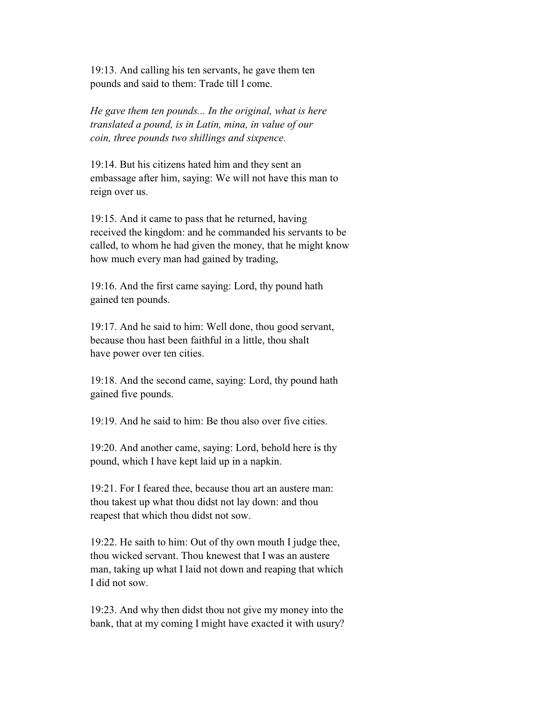19:13. And calling his ten servants, he gave them ten pounds and said to them: Trade till I come.

 *He gave them ten pounds... In the original, what is here translated a pound, is in Latin, mina, in value of our coin, three pounds two shillings and sixpence.*

 19:14. But his citizens hated him and they sent an embassage after him, saying: We will not have this man to reign over us.

 19:15. And it came to pass that he returned, having received the kingdom: and he commanded his servants to be called, to whom he had given the money, that he might know how much every man had gained by trading,

 19:16. And the first came saying: Lord, thy pound hath gained ten pounds.

 19:17. And he said to him: Well done, thou good servant, because thou hast been faithful in a little, thou shalt have power over ten cities.

 19:18. And the second came, saying: Lord, thy pound hath gained five pounds.

 $19.19$  And he said to him: Be thou also over five cities.

 19:20. And another came, saying: Lord, behold here is thy pound, which I have kept laid up in a napkin.

 19:21. For I feared thee, because thou art an austere man: thou takest up what thou didst not lay down: and thou reapest that which thou didst not sow.

 19:22. He saith to him: Out of thy own mouth I judge thee, thou wicked servant. Thou knewest that I was an austere man, taking up what I laid not down and reaping that which I did not sow.

 19:23. And why then didst thou not give my money into the bank, that at my coming I might have exacted it with usury?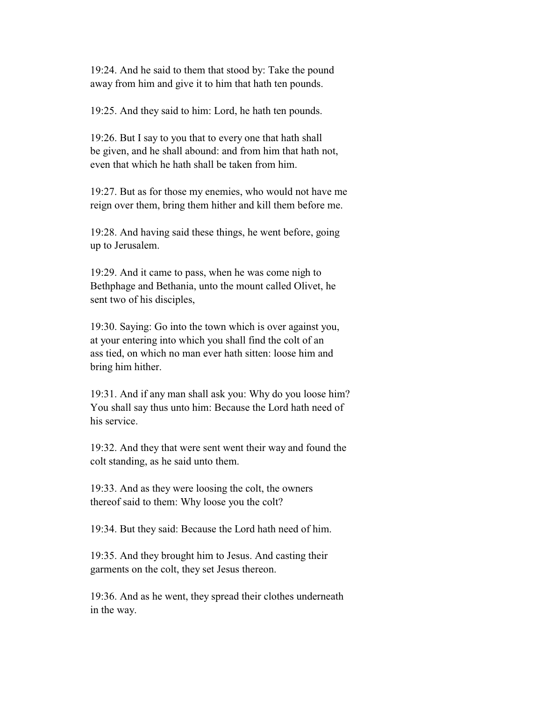19:24. And he said to them that stood by: Take the pound away from him and give it to him that hath ten pounds.

19:25. And they said to him: Lord, he hath ten pounds.

 19:26. But I say to you that to every one that hath shall be given, and he shall abound: and from him that hath not, even that which he hath shall be taken from him.

 19:27. But as for those my enemies, who would not have me reign over them, bring them hither and kill them before me.

 19:28. And having said these things, he went before, going up to Jerusalem.

 19:29. And it came to pass, when he was come nigh to Bethphage and Bethania, unto the mount called Olivet, he sent two of his disciples,

 19:30. Saying: Go into the town which is over against you, at your entering into which you shall find the colt of an ass tied, on which no man ever hath sitten: loose him and bring him hither.

 19:31. And if any man shall ask you: Why do you loose him? You shall say thus unto him: Because the Lord hath need of his service.

 19:32. And they that were sent went their way and found the colt standing, as he said unto them.

 19:33. And as they were loosing the colt, the owners thereof said to them: Why loose you the colt?

19:34. But they said: Because the Lord hath need of him.

 19:35. And they brought him to Jesus. And casting their garments on the colt, they set Jesus thereon.

 19:36. And as he went, they spread their clothes underneath in the way.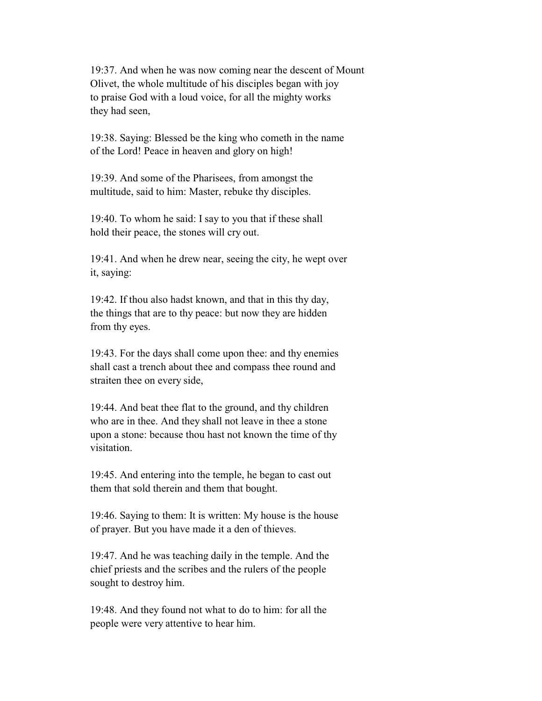19:37. And when he was now coming near the descent of Mount Olivet, the whole multitude of his disciples began with joy to praise God with a loud voice, for all the mighty works they had seen,

 19:38. Saying: Blessed be the king who cometh in the name of the Lord! Peace in heaven and glory on high!

 19:39. And some of the Pharisees, from amongst the multitude, said to him: Master, rebuke thy disciples.

 19:40. To whom he said: I say to you that if these shall hold their peace, the stones will cry out.

 19:41. And when he drew near, seeing the city, he wept over it, saying:

 19:42. If thou also hadst known, and that in this thy day, the things that are to thy peace: but now they are hidden from thy eyes.

 19:43. For the days shall come upon thee: and thy enemies shall cast a trench about thee and compass thee round and straiten thee on every side,

 19:44. And beat thee flat to the ground, and thy children who are in thee. And they shall not leave in thee a stone upon a stone: because thou hast not known the time of thy visitation.

 19:45. And entering into the temple, he began to cast out them that sold therein and them that bought.

 19:46. Saying to them: It is written: My house is the house of prayer. But you have made it a den of thieves.

 19:47. And he was teaching daily in the temple. And the chief priests and the scribes and the rulers of the people sought to destroy him.

 19:48. And they found not what to do to him: for all the people were very attentive to hear him.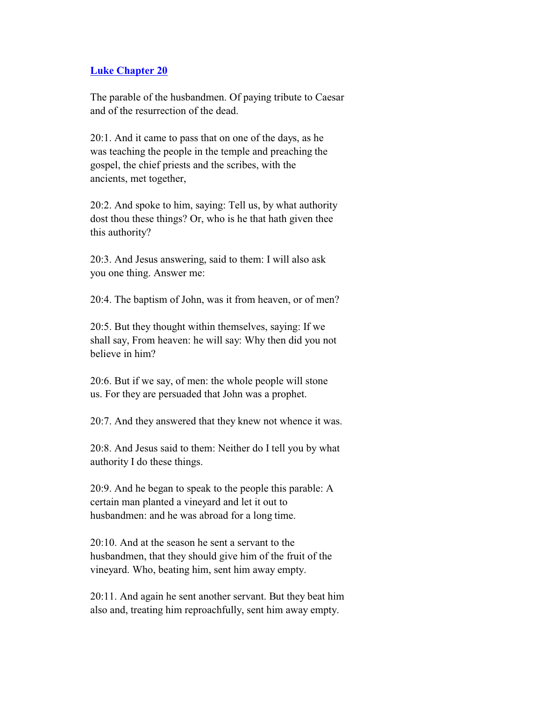#### **Luke Chapter 20**

 The parable of the husbandmen. Of paying tribute to Caesar and of the resurrection of the dead.

 20:1. And it came to pass that on one of the days, as he was teaching the people in the temple and preaching the gospel, the chief priests and the scribes, with the ancients, met together,

 20:2. And spoke to him, saying: Tell us, by what authority dost thou these things? Or, who is he that hath given thee this authority?

 20:3. And Jesus answering, said to them: I will also ask you one thing. Answer me:

20:4. The baptism of John, was it from heaven, or of men?

 20:5. But they thought within themselves, saying: If we shall say, From heaven: he will say: Why then did you not believe in him?

 20:6. But if we say, of men: the whole people will stone us. For they are persuaded that John was a prophet.

20:7. And they answered that they knew not whence it was.

 20:8. And Jesus said to them: Neither do I tell you by what authority I do these things.

 20:9. And he began to speak to the people this parable: A certain man planted a vineyard and let it out to husbandmen: and he was abroad for a long time.

 20:10. And at the season he sent a servant to the husbandmen, that they should give him of the fruit of the vineyard. Who, beating him, sent him away empty.

 20:11. And again he sent another servant. But they beat him also and, treating him reproachfully, sent him away empty.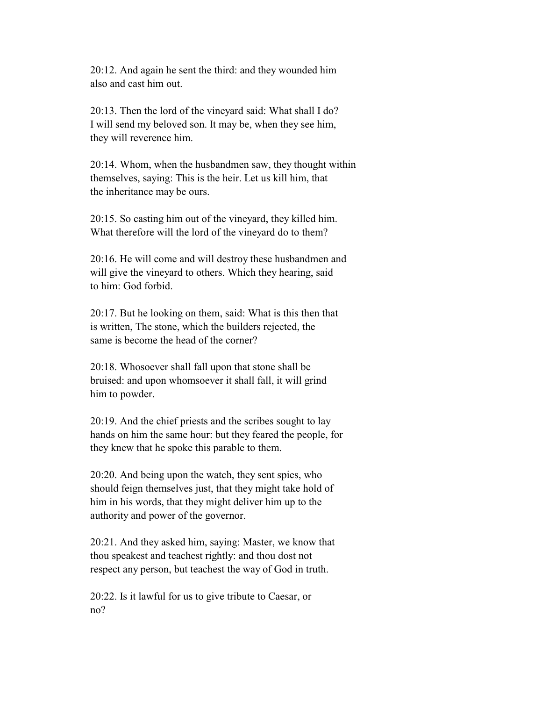20:12. And again he sent the third: and they wounded him also and cast him out.

 20:13. Then the lord of the vineyard said: What shall I do? I will send my beloved son. It may be, when they see him, they will reverence him.

 20:14. Whom, when the husbandmen saw, they thought within themselves, saying: This is the heir. Let us kill him, that the inheritance may be ours.

 20:15. So casting him out of the vineyard, they killed him. What therefore will the lord of the vineyard do to them?

 20:16. He will come and will destroy these husbandmen and will give the vineyard to others. Which they hearing, said to him: God forbid.

 20:17. But he looking on them, said: What is this then that is written, The stone, which the builders rejected, the same is become the head of the corner?

 20:18. Whosoever shall fall upon that stone shall be bruised: and upon whomsoever it shall fall, it will grind him to powder.

 20:19. And the chief priests and the scribes sought to lay hands on him the same hour: but they feared the people, for they knew that he spoke this parable to them.

 20:20. And being upon the watch, they sent spies, who should feign themselves just, that they might take hold of him in his words, that they might deliver him up to the authority and power of the governor.

 20:21. And they asked him, saying: Master, we know that thou speakest and teachest rightly: and thou dost not respect any person, but teachest the way of God in truth.

 20:22. Is it lawful for us to give tribute to Caesar, or no?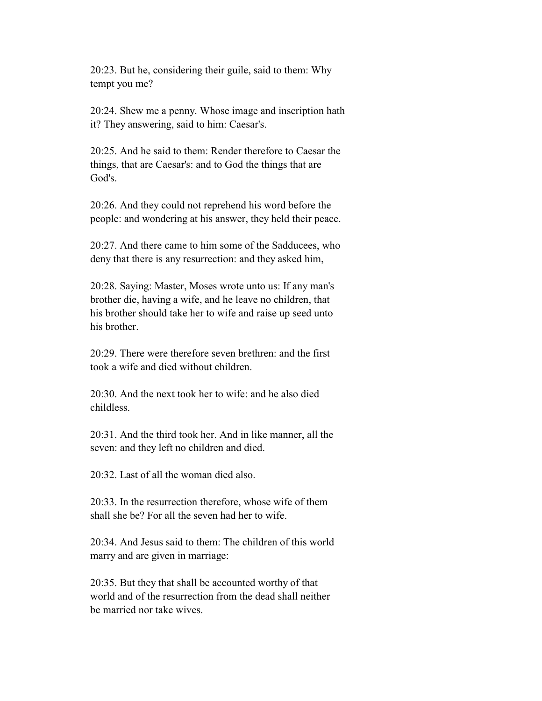20:23. But he, considering their guile, said to them: Why tempt you me?

 20:24. Shew me a penny. Whose image and inscription hath it? They answering, said to him: Caesar's.

 20:25. And he said to them: Render therefore to Caesar the things, that are Caesar's: and to God the things that are God's.

 20:26. And they could not reprehend his word before the people: and wondering at his answer, they held their peace.

 20:27. And there came to him some of the Sadducees, who deny that there is any resurrection: and they asked him,

 20:28. Saying: Master, Moses wrote unto us: If any man's brother die, having a wife, and he leave no children, that his brother should take her to wife and raise up seed unto his brother.

 20:29. There were therefore seven brethren: and the first took a wife and died without children.

 20:30. And the next took her to wife: and he also died childless.

 20:31. And the third took her. And in like manner, all the seven: and they left no children and died.

20:32. Last of all the woman died also.

 20:33. In the resurrection therefore, whose wife of them shall she be? For all the seven had her to wife.

 20:34. And Jesus said to them: The children of this world marry and are given in marriage:

 20:35. But they that shall be accounted worthy of that world and of the resurrection from the dead shall neither be married nor take wives.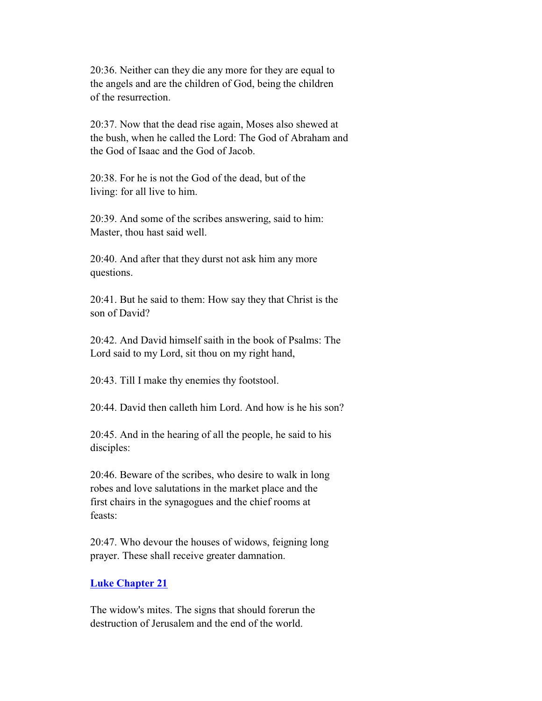20:36. Neither can they die any more for they are equal to the angels and are the children of God, being the children of the resurrection.

 20:37. Now that the dead rise again, Moses also shewed at the bush, when he called the Lord: The God of Abraham and the God of Isaac and the God of Jacob.

 20:38. For he is not the God of the dead, but of the living: for all live to him.

 20:39. And some of the scribes answering, said to him: Master, thou hast said well.

 20:40. And after that they durst not ask him any more questions.

 20:41. But he said to them: How say they that Christ is the son of David?

 20:42. And David himself saith in the book of Psalms: The Lord said to my Lord, sit thou on my right hand,

20:43. Till I make thy enemies thy footstool.

20:44. David then calleth him Lord. And how is he his son?

 20:45. And in the hearing of all the people, he said to his disciples:

 20:46. Beware of the scribes, who desire to walk in long robes and love salutations in the market place and the first chairs in the synagogues and the chief rooms at feasts:

 20:47. Who devour the houses of widows, feigning long prayer. These shall receive greater damnation.

#### **Luke Chapter 21**

 The widow's mites. The signs that should forerun the destruction of Jerusalem and the end of the world.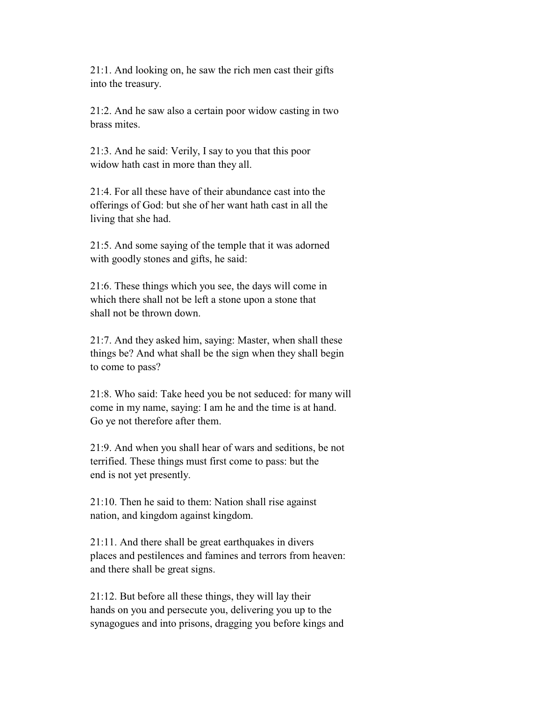21:1. And looking on, he saw the rich men cast their gifts into the treasury.

 21:2. And he saw also a certain poor widow casting in two brass mites.

 21:3. And he said: Verily, I say to you that this poor widow hath cast in more than they all.

 21:4. For all these have of their abundance cast into the offerings of God: but she of her want hath cast in all the living that she had.

 21:5. And some saying of the temple that it was adorned with goodly stones and gifts, he said:

 21:6. These things which you see, the days will come in which there shall not be left a stone upon a stone that shall not be thrown down.

 21:7. And they asked him, saying: Master, when shall these things be? And what shall be the sign when they shall begin to come to pass?

 21:8. Who said: Take heed you be not seduced: for many will come in my name, saying: I am he and the time is at hand. Go ye not therefore after them.

 21:9. And when you shall hear of wars and seditions, be not terrified. These things must first come to pass: but the end is not yet presently.

 21:10. Then he said to them: Nation shall rise against nation, and kingdom against kingdom.

 21:11. And there shall be great earthquakes in divers places and pestilences and famines and terrors from heaven: and there shall be great signs.

 21:12. But before all these things, they will lay their hands on you and persecute you, delivering you up to the synagogues and into prisons, dragging you before kings and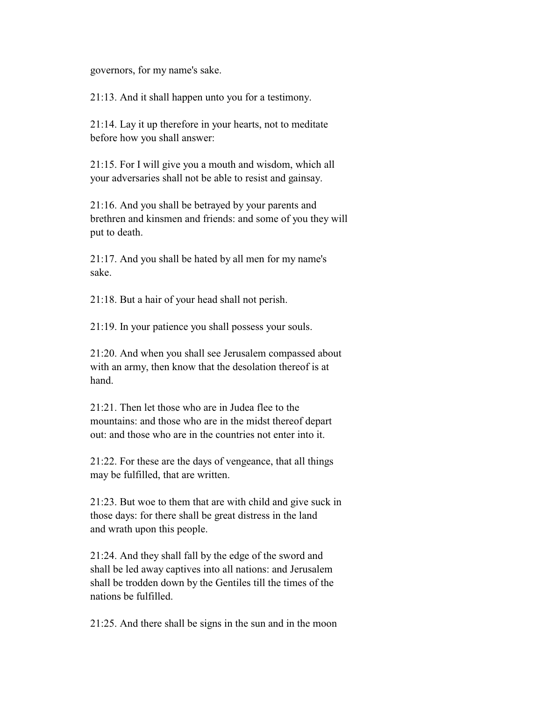governors, for my name's sake.

21:13. And it shall happen unto you for a testimony.

 21:14. Lay it up therefore in your hearts, not to meditate before how you shall answer:

 21:15. For I will give you a mouth and wisdom, which all your adversaries shall not be able to resist and gainsay.

 21:16. And you shall be betrayed by your parents and brethren and kinsmen and friends: and some of you they will put to death.

 21:17. And you shall be hated by all men for my name's sake.

21:18. But a hair of your head shall not perish.

21:19. In your patience you shall possess your souls.

 21:20. And when you shall see Jerusalem compassed about with an army, then know that the desolation thereof is at hand.

 21:21. Then let those who are in Judea flee to the mountains: and those who are in the midst thereof depart out: and those who are in the countries not enter into it.

 21:22. For these are the days of vengeance, that all things may be fulfilled, that are written.

 21:23. But woe to them that are with child and give suck in those days: for there shall be great distress in the land and wrath upon this people.

 21:24. And they shall fall by the edge of the sword and shall be led away captives into all nations: and Jerusalem shall be trodden down by the Gentiles till the times of the nations be fulfilled.

21:25. And there shall be signs in the sun and in the moon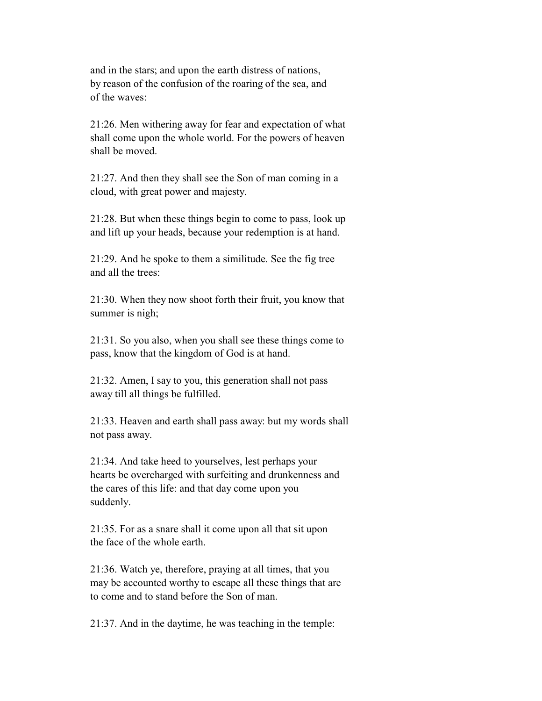and in the stars; and upon the earth distress of nations, by reason of the confusion of the roaring of the sea, and of the waves:

 21:26. Men withering away for fear and expectation of what shall come upon the whole world. For the powers of heaven shall be moved.

 21:27. And then they shall see the Son of man coming in a cloud, with great power and majesty.

 21:28. But when these things begin to come to pass, look up and lift up your heads, because your redemption is at hand.

 21:29. And he spoke to them a similitude. See the fig tree and all the trees:

 21:30. When they now shoot forth their fruit, you know that summer is nigh;

 21:31. So you also, when you shall see these things come to pass, know that the kingdom of God is at hand.

 21:32. Amen, I say to you, this generation shall not pass away till all things be fulfilled.

 21:33. Heaven and earth shall pass away: but my words shall not pass away.

 21:34. And take heed to yourselves, lest perhaps your hearts be overcharged with surfeiting and drunkenness and the cares of this life: and that day come upon you suddenly.

 21:35. For as a snare shall it come upon all that sit upon the face of the whole earth.

 21:36. Watch ye, therefore, praying at all times, that you may be accounted worthy to escape all these things that are to come and to stand before the Son of man.

21:37. And in the daytime, he was teaching in the temple: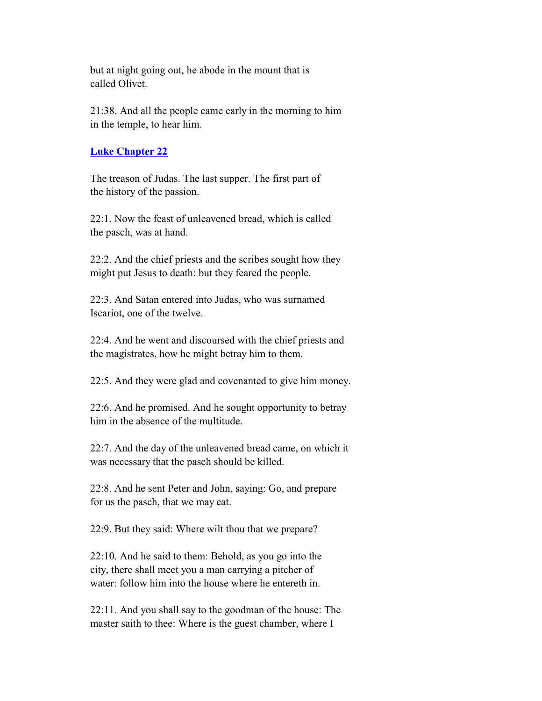but at night going out, he abode in the mount that is called Olivet.

 21:38. And all the people came early in the morning to him in the temple, to hear him.

## **Luke Chapter 22**

 The treason of Judas. The last supper. The first part of the history of the passion.

 22:1. Now the feast of unleavened bread, which is called the pasch, was at hand.

 22:2. And the chief priests and the scribes sought how they might put Jesus to death: but they feared the people.

 22:3. And Satan entered into Judas, who was surnamed Iscariot, one of the twelve.

 22:4. And he went and discoursed with the chief priests and the magistrates, how he might betray him to them.

22:5. And they were glad and covenanted to give him money.

 22:6. And he promised. And he sought opportunity to betray him in the absence of the multitude.

 22:7. And the day of the unleavened bread came, on which it was necessary that the pasch should be killed.

 22:8. And he sent Peter and John, saying: Go, and prepare for us the pasch, that we may eat.

22:9. But they said: Where wilt thou that we prepare?

 22:10. And he said to them: Behold, as you go into the city, there shall meet you a man carrying a pitcher of water: follow him into the house where he entereth in.

 22:11. And you shall say to the goodman of the house: The master saith to thee: Where is the guest chamber, where I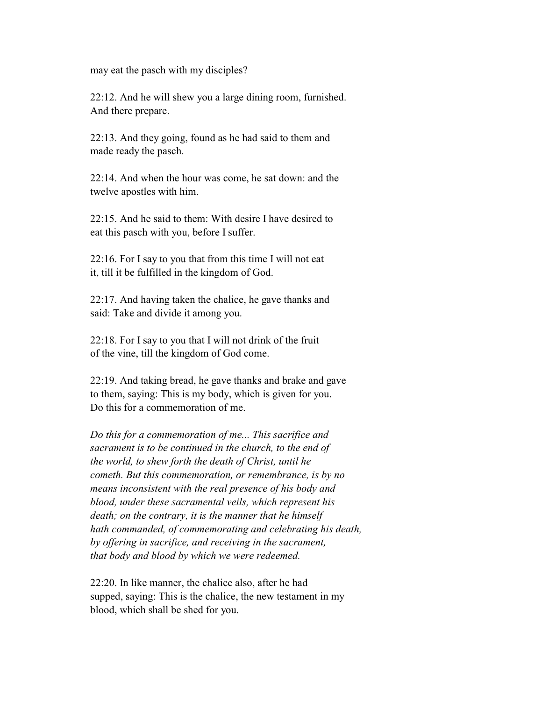may eat the pasch with my disciples?

 22:12. And he will shew you a large dining room, furnished. And there prepare.

 22:13. And they going, found as he had said to them and made ready the pasch.

 22:14. And when the hour was come, he sat down: and the twelve apostles with him.

 22:15. And he said to them: With desire I have desired to eat this pasch with you, before I suffer.

 22:16. For I say to you that from this time I will not eat it, till it be fulfilled in the kingdom of God.

 22:17. And having taken the chalice, he gave thanks and said: Take and divide it among you.

 22:18. For I say to you that I will not drink of the fruit of the vine, till the kingdom of God come.

 22:19. And taking bread, he gave thanks and brake and gave to them, saying: This is my body, which is given for you. Do this for a commemoration of me.

 *Do this for a commemoration of me... This sacrifice and sacrament is to be continued in the church, to the end of the world, to shew forth the death of Christ, until he cometh. But this commemoration, or remembrance, is by no means inconsistent with the real presence of his body and blood, under these sacramental veils, which represent his death; on the contrary, it is the manner that he himself hath commanded, of commemorating and celebrating his death, by offering in sacrifice, and receiving in the sacrament, that body and blood by which we were redeemed.*

 22:20. In like manner, the chalice also, after he had supped, saying: This is the chalice, the new testament in my blood, which shall be shed for you.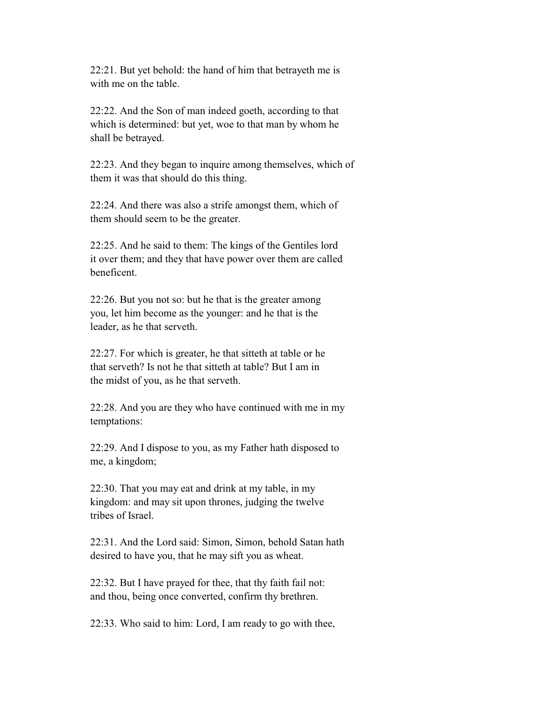22:21. But yet behold: the hand of him that betrayeth me is with me on the table.

 22:22. And the Son of man indeed goeth, according to that which is determined: but yet, woe to that man by whom he shall be betrayed.

 22:23. And they began to inquire among themselves, which of them it was that should do this thing.

 22:24. And there was also a strife amongst them, which of them should seem to be the greater.

 22:25. And he said to them: The kings of the Gentiles lord it over them; and they that have power over them are called beneficent.

 22:26. But you not so: but he that is the greater among you, let him become as the younger: and he that is the leader, as he that serveth.

 22:27. For which is greater, he that sitteth at table or he that serveth? Is not he that sitteth at table? But I am in the midst of you, as he that serveth.

 22:28. And you are they who have continued with me in my temptations:

 22:29. And I dispose to you, as my Father hath disposed to me, a kingdom;

 22:30. That you may eat and drink at my table, in my kingdom: and may sit upon thrones, judging the twelve tribes of Israel.

 22:31. And the Lord said: Simon, Simon, behold Satan hath desired to have you, that he may sift you as wheat.

 22:32. But I have prayed for thee, that thy faith fail not: and thou, being once converted, confirm thy brethren.

22:33. Who said to him: Lord, I am ready to go with thee,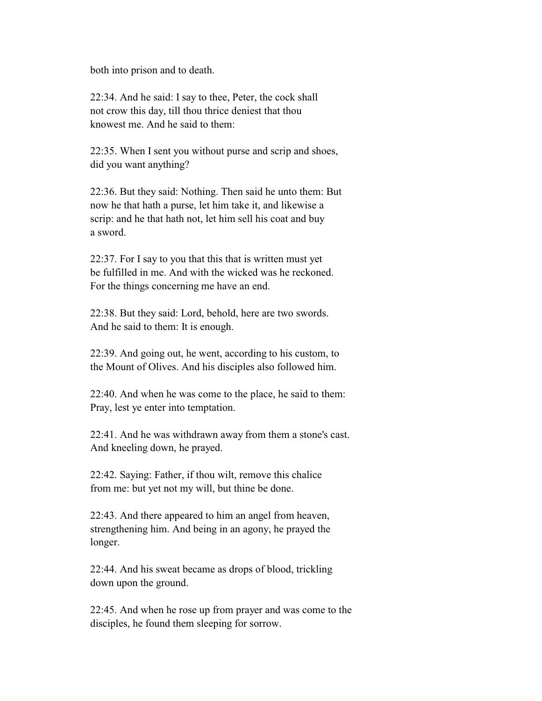both into prison and to death.

 22:34. And he said: I say to thee, Peter, the cock shall not crow this day, till thou thrice deniest that thou knowest me. And he said to them:

 22:35. When I sent you without purse and scrip and shoes, did you want anything?

 22:36. But they said: Nothing. Then said he unto them: But now he that hath a purse, let him take it, and likewise a scrip: and he that hath not, let him sell his coat and buy a sword.

 22:37. For I say to you that this that is written must yet be fulfilled in me. And with the wicked was he reckoned. For the things concerning me have an end.

 22:38. But they said: Lord, behold, here are two swords. And he said to them: It is enough.

 22:39. And going out, he went, according to his custom, to the Mount of Olives. And his disciples also followed him.

 22:40. And when he was come to the place, he said to them: Pray, lest ye enter into temptation.

 22:41. And he was withdrawn away from them a stone's cast. And kneeling down, he prayed.

 22:42. Saying: Father, if thou wilt, remove this chalice from me: but yet not my will, but thine be done.

 22:43. And there appeared to him an angel from heaven, strengthening him. And being in an agony, he prayed the longer.

 22:44. And his sweat became as drops of blood, trickling down upon the ground.

 22:45. And when he rose up from prayer and was come to the disciples, he found them sleeping for sorrow.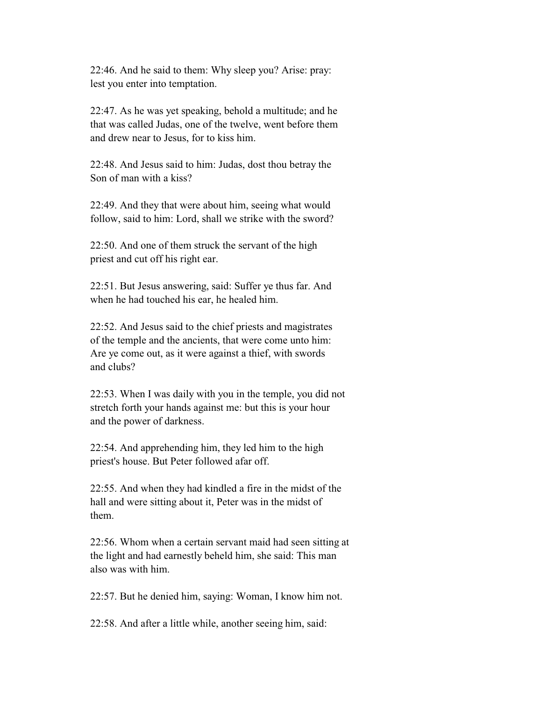22:46. And he said to them: Why sleep you? Arise: pray: lest you enter into temptation.

 22:47. As he was yet speaking, behold a multitude; and he that was called Judas, one of the twelve, went before them and drew near to Jesus, for to kiss him.

 22:48. And Jesus said to him: Judas, dost thou betray the Son of man with a kiss?

 22:49. And they that were about him, seeing what would follow, said to him: Lord, shall we strike with the sword?

 22:50. And one of them struck the servant of the high priest and cut off his right ear.

 22:51. But Jesus answering, said: Suffer ye thus far. And when he had touched his ear, he healed him.

 22:52. And Jesus said to the chief priests and magistrates of the temple and the ancients, that were come unto him: Are ye come out, as it were against a thief, with swords and clubs?

 22:53. When I was daily with you in the temple, you did not stretch forth your hands against me: but this is your hour and the power of darkness.

 22:54. And apprehending him, they led him to the high priest's house. But Peter followed afar off.

 22:55. And when they had kindled a fire in the midst of the hall and were sitting about it, Peter was in the midst of them.

 22:56. Whom when a certain servant maid had seen sitting at the light and had earnestly beheld him, she said: This man also was with him.

22:57. But he denied him, saying: Woman, I know him not.

22:58. And after a little while, another seeing him, said: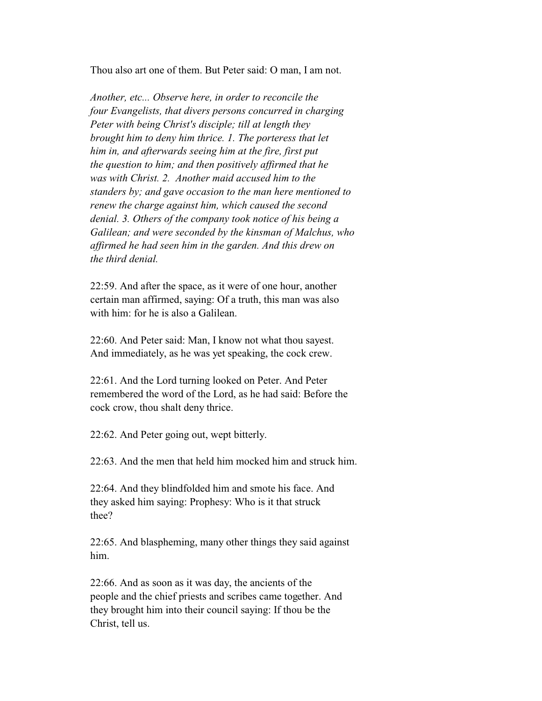Thou also art one of them. But Peter said: O man, I am not.

 *Another, etc... Observe here, in order to reconcile the four Evangelists, that divers persons concurred in charging Peter with being Christ's disciple; till at length they brought him to deny him thrice. 1. The porteress that let him in, and afterwards seeing him at the fire, first put the question to him; and then positively affirmed that he was with Christ. 2. Another maid accused him to the standers by; and gave occasion to the man here mentioned to renew the charge against him, which caused the second denial. 3. Others of the company took notice of his being a Galilean; and were seconded by the kinsman of Malchus, who affirmed he had seen him in the garden. And this drew on the third denial.*

 22:59. And after the space, as it were of one hour, another certain man affirmed, saying: Of a truth, this man was also with him: for he is also a Galilean.

 22:60. And Peter said: Man, I know not what thou sayest. And immediately, as he was yet speaking, the cock crew.

 22:61. And the Lord turning looked on Peter. And Peter remembered the word of the Lord, as he had said: Before the cock crow, thou shalt deny thrice.

22:62. And Peter going out, wept bitterly.

22:63. And the men that held him mocked him and struck him.

 22:64. And they blindfolded him and smote his face. And they asked him saying: Prophesy: Who is it that struck thee?

 22:65. And blaspheming, many other things they said against him.

 22:66. And as soon as it was day, the ancients of the people and the chief priests and scribes came together. And they brought him into their council saying: If thou be the Christ, tell us.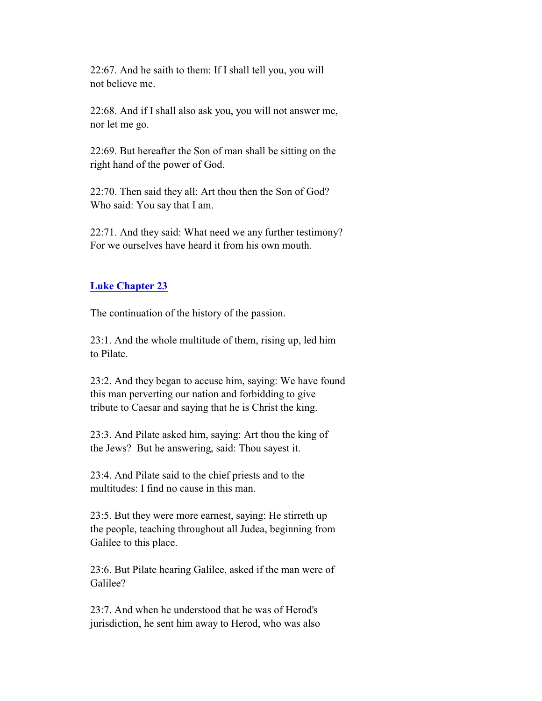22:67. And he saith to them: If I shall tell you, you will not believe me.

 22:68. And if I shall also ask you, you will not answer me, nor let me go.

 22:69. But hereafter the Son of man shall be sitting on the right hand of the power of God.

 22:70. Then said they all: Art thou then the Son of God? Who said: You say that I am.

 22:71. And they said: What need we any further testimony? For we ourselves have heard it from his own mouth.

## **Luke Chapter 23**

The continuation of the history of the passion.

 23:1. And the whole multitude of them, rising up, led him to Pilate.

 23:2. And they began to accuse him, saying: We have found this man perverting our nation and forbidding to give tribute to Caesar and saying that he is Christ the king.

 23:3. And Pilate asked him, saying: Art thou the king of the Jews? But he answering, said: Thou sayest it.

 23:4. And Pilate said to the chief priests and to the multitudes: I find no cause in this man.

 23:5. But they were more earnest, saying: He stirreth up the people, teaching throughout all Judea, beginning from Galilee to this place.

 23:6. But Pilate hearing Galilee, asked if the man were of Galilee?

 23:7. And when he understood that he was of Herod's jurisdiction, he sent him away to Herod, who was also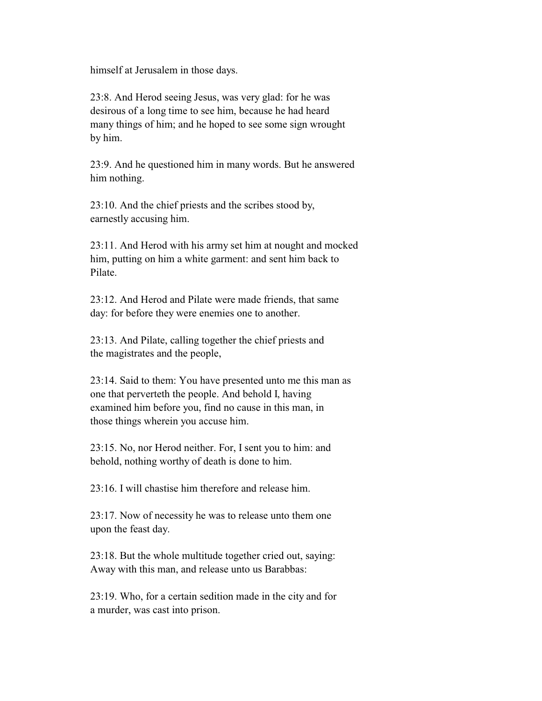himself at Jerusalem in those days.

 23:8. And Herod seeing Jesus, was very glad: for he was desirous of a long time to see him, because he had heard many things of him; and he hoped to see some sign wrought by him.

 23:9. And he questioned him in many words. But he answered him nothing.

 23:10. And the chief priests and the scribes stood by, earnestly accusing him.

 23:11. And Herod with his army set him at nought and mocked him, putting on him a white garment: and sent him back to Pilate.

 23:12. And Herod and Pilate were made friends, that same day: for before they were enemies one to another.

 23:13. And Pilate, calling together the chief priests and the magistrates and the people,

 23:14. Said to them: You have presented unto me this man as one that perverteth the people. And behold I, having examined him before you, find no cause in this man, in those things wherein you accuse him.

 23:15. No, nor Herod neither. For, I sent you to him: and behold, nothing worthy of death is done to him.

23:16. I will chastise him therefore and release him.

 23:17. Now of necessity he was to release unto them one upon the feast day.

 23:18. But the whole multitude together cried out, saying: Away with this man, and release unto us Barabbas:

 23:19. Who, for a certain sedition made in the city and for a murder, was cast into prison.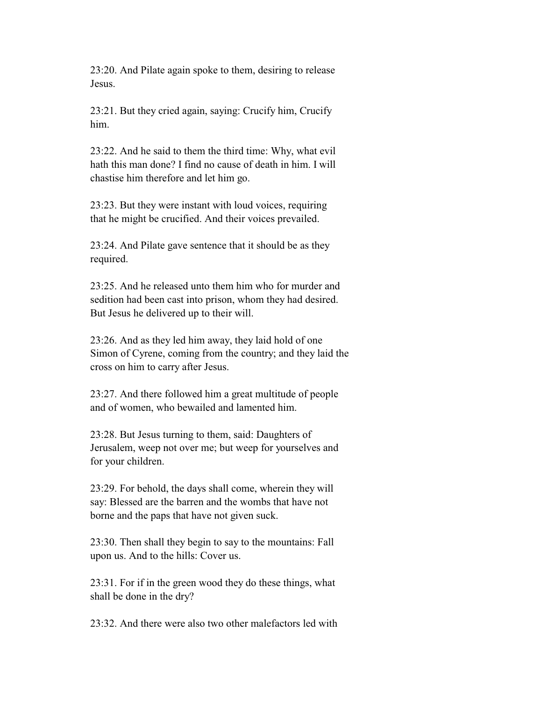23:20. And Pilate again spoke to them, desiring to release Jesus.

 23:21. But they cried again, saying: Crucify him, Crucify him.

 23:22. And he said to them the third time: Why, what evil hath this man done? I find no cause of death in him. I will chastise him therefore and let him go.

 23:23. But they were instant with loud voices, requiring that he might be crucified. And their voices prevailed.

 23:24. And Pilate gave sentence that it should be as they required.

 23:25. And he released unto them him who for murder and sedition had been cast into prison, whom they had desired. But Jesus he delivered up to their will.

 23:26. And as they led him away, they laid hold of one Simon of Cyrene, coming from the country; and they laid the cross on him to carry after Jesus.

 23:27. And there followed him a great multitude of people and of women, who bewailed and lamented him.

 23:28. But Jesus turning to them, said: Daughters of Jerusalem, weep not over me; but weep for yourselves and for your children.

 23:29. For behold, the days shall come, wherein they will say: Blessed are the barren and the wombs that have not borne and the paps that have not given suck.

 23:30. Then shall they begin to say to the mountains: Fall upon us. And to the hills: Cover us.

 23:31. For if in the green wood they do these things, what shall be done in the dry?

23:32. And there were also two other malefactors led with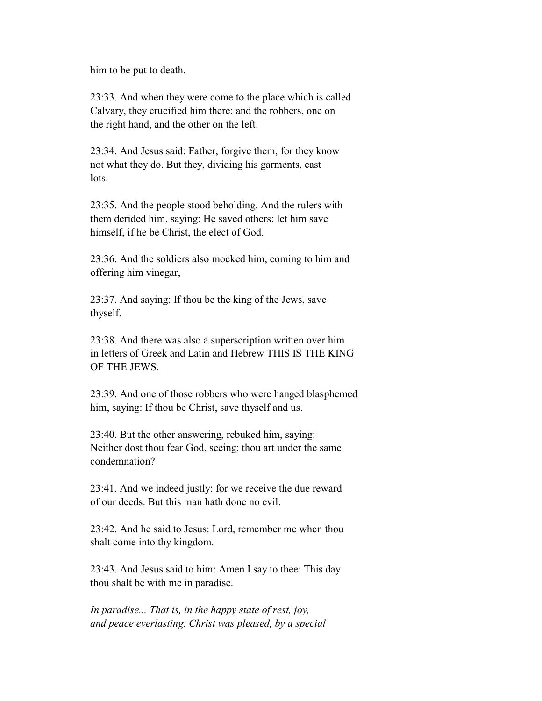him to be put to death.

 23:33. And when they were come to the place which is called Calvary, they crucified him there: and the robbers, one on the right hand, and the other on the left.

 23:34. And Jesus said: Father, forgive them, for they know not what they do. But they, dividing his garments, cast lots.

 23:35. And the people stood beholding. And the rulers with them derided him, saying: He saved others: let him save himself, if he be Christ, the elect of God.

 23:36. And the soldiers also mocked him, coming to him and offering him vinegar,

 23:37. And saying: If thou be the king of the Jews, save thyself.

 23:38. And there was also a superscription written over him in letters of Greek and Latin and Hebrew THIS IS THE KING OF THE JEWS.

 23:39. And one of those robbers who were hanged blasphemed him, saying: If thou be Christ, save thyself and us.

 23:40. But the other answering, rebuked him, saying: Neither dost thou fear God, seeing; thou art under the same condemnation?

 23:41. And we indeed justly: for we receive the due reward of our deeds. But this man hath done no evil.

 23:42. And he said to Jesus: Lord, remember me when thou shalt come into thy kingdom.

 23:43. And Jesus said to him: Amen I say to thee: This day thou shalt be with me in paradise.

 *In paradise... That is, in the happy state of rest, joy, and peace everlasting. Christ was pleased, by a special*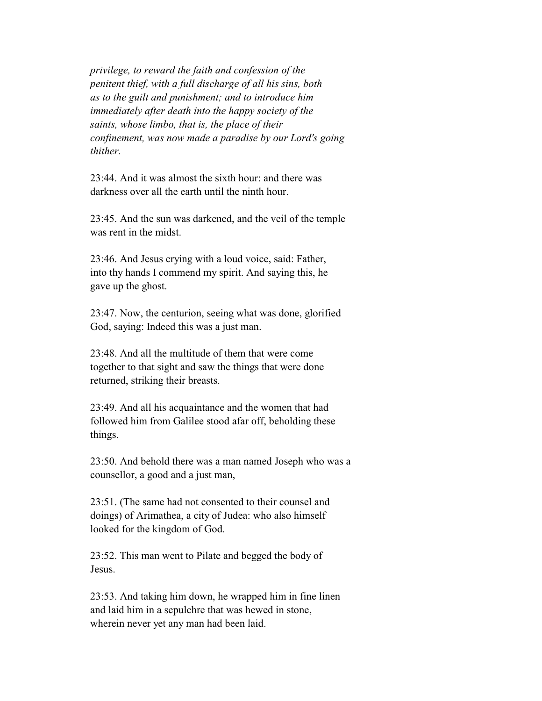*privilege, to reward the faith and confession of the penitent thief, with a full discharge of all his sins, both as to the guilt and punishment; and to introduce him immediately after death into the happy society of the saints, whose limbo, that is, the place of their confinement, was now made a paradise by our Lord's going thither.*

 23:44. And it was almost the sixth hour: and there was darkness over all the earth until the ninth hour.

 23:45. And the sun was darkened, and the veil of the temple was rent in the midst.

 23:46. And Jesus crying with a loud voice, said: Father, into thy hands I commend my spirit. And saying this, he gave up the ghost.

 23:47. Now, the centurion, seeing what was done, glorified God, saying: Indeed this was a just man.

 23:48. And all the multitude of them that were come together to that sight and saw the things that were done returned, striking their breasts.

 23:49. And all his acquaintance and the women that had followed him from Galilee stood afar off, beholding these things.

 23:50. And behold there was a man named Joseph who was a counsellor, a good and a just man,

 23:51. (The same had not consented to their counsel and doings) of Arimathea, a city of Judea: who also himself looked for the kingdom of God.

 23:52. This man went to Pilate and begged the body of Jesus.

 23:53. And taking him down, he wrapped him in fine linen and laid him in a sepulchre that was hewed in stone, wherein never yet any man had been laid.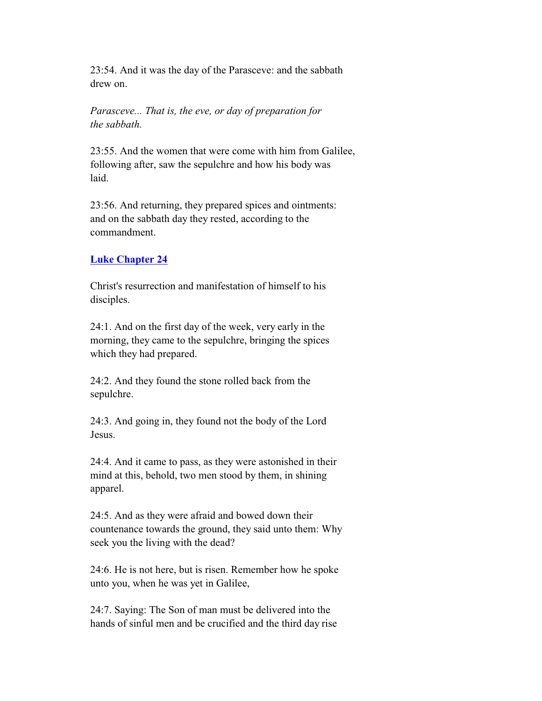23:54. And it was the day of the Parasceve: and the sabbath drew on.

 *Parasceve... That is, the eve, or day of preparation for the sabbath.*

 23:55. And the women that were come with him from Galilee, following after, saw the sepulchre and how his body was laid.

 23:56. And returning, they prepared spices and ointments: and on the sabbath day they rested, according to the commandment.

## **Luke Chapter 24**

 Christ's resurrection and manifestation of himself to his disciples.

 24:1. And on the first day of the week, very early in the morning, they came to the sepulchre, bringing the spices which they had prepared.

 24:2. And they found the stone rolled back from the sepulchre.

 24:3. And going in, they found not the body of the Lord Jesus.

 24:4. And it came to pass, as they were astonished in their mind at this, behold, two men stood by them, in shining apparel.

 24:5. And as they were afraid and bowed down their countenance towards the ground, they said unto them: Why seek you the living with the dead?

 24:6. He is not here, but is risen. Remember how he spoke unto you, when he was yet in Galilee,

 24:7. Saying: The Son of man must be delivered into the hands of sinful men and be crucified and the third day rise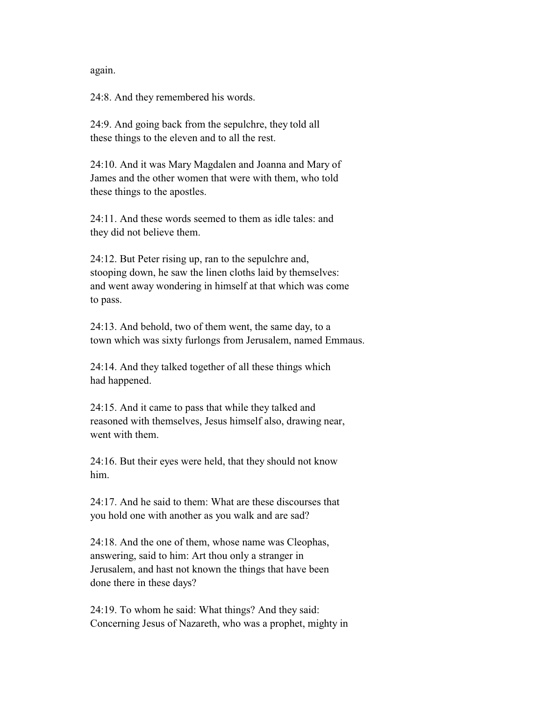again.

24:8. And they remembered his words.

 24:9. And going back from the sepulchre, they told all these things to the eleven and to all the rest.

 24:10. And it was Mary Magdalen and Joanna and Mary of James and the other women that were with them, who told these things to the apostles.

 24:11. And these words seemed to them as idle tales: and they did not believe them.

 24:12. But Peter rising up, ran to the sepulchre and, stooping down, he saw the linen cloths laid by themselves: and went away wondering in himself at that which was come to pass.

 24:13. And behold, two of them went, the same day, to a town which was sixty furlongs from Jerusalem, named Emmaus.

 24:14. And they talked together of all these things which had happened.

 24:15. And it came to pass that while they talked and reasoned with themselves, Jesus himself also, drawing near, went with them.

 24:16. But their eyes were held, that they should not know him.

 24:17. And he said to them: What are these discourses that you hold one with another as you walk and are sad?

 24:18. And the one of them, whose name was Cleophas, answering, said to him: Art thou only a stranger in Jerusalem, and hast not known the things that have been done there in these days?

 24:19. To whom he said: What things? And they said: Concerning Jesus of Nazareth, who was a prophet, mighty in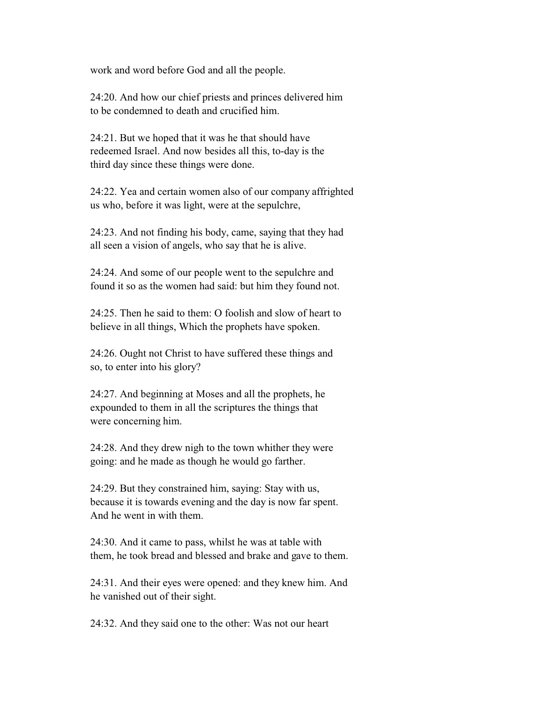work and word before God and all the people.

 24:20. And how our chief priests and princes delivered him to be condemned to death and crucified him.

 24:21. But we hoped that it was he that should have redeemed Israel. And now besides all this, to-day is the third day since these things were done.

 24:22. Yea and certain women also of our company affrighted us who, before it was light, were at the sepulchre,

 24:23. And not finding his body, came, saying that they had all seen a vision of angels, who say that he is alive.

 24:24. And some of our people went to the sepulchre and found it so as the women had said: but him they found not.

 24:25. Then he said to them: O foolish and slow of heart to believe in all things, Which the prophets have spoken.

 24:26. Ought not Christ to have suffered these things and so, to enter into his glory?

 24:27. And beginning at Moses and all the prophets, he expounded to them in all the scriptures the things that were concerning him.

 24:28. And they drew nigh to the town whither they were going: and he made as though he would go farther.

 24:29. But they constrained him, saying: Stay with us, because it is towards evening and the day is now far spent. And he went in with them.

 24:30. And it came to pass, whilst he was at table with them, he took bread and blessed and brake and gave to them.

 24:31. And their eyes were opened: and they knew him. And he vanished out of their sight.

24:32. And they said one to the other: Was not our heart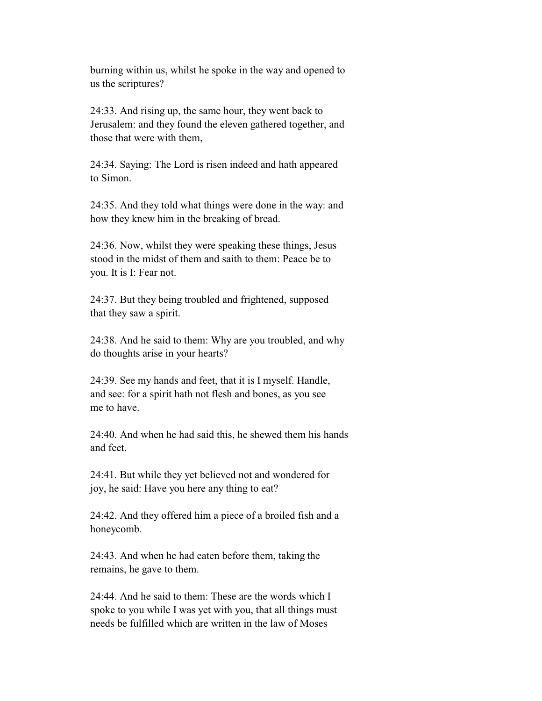burning within us, whilst he spoke in the way and opened to us the scriptures?

 24:33. And rising up, the same hour, they went back to Jerusalem: and they found the eleven gathered together, and those that were with them,

 24:34. Saying: The Lord is risen indeed and hath appeared to Simon.

 24:35. And they told what things were done in the way: and how they knew him in the breaking of bread.

 24:36. Now, whilst they were speaking these things, Jesus stood in the midst of them and saith to them: Peace be to you. It is I: Fear not.

 24:37. But they being troubled and frightened, supposed that they saw a spirit.

 24:38. And he said to them: Why are you troubled, and why do thoughts arise in your hearts?

 24:39. See my hands and feet, that it is I myself. Handle, and see: for a spirit hath not flesh and bones, as you see me to have.

 24:40. And when he had said this, he shewed them his hands and feet.

 24:41. But while they yet believed not and wondered for joy, he said: Have you here any thing to eat?

 24:42. And they offered him a piece of a broiled fish and a honeycomb.

 24:43. And when he had eaten before them, taking the remains, he gave to them.

 24:44. And he said to them: These are the words which I spoke to you while I was yet with you, that all things must needs be fulfilled which are written in the law of Moses